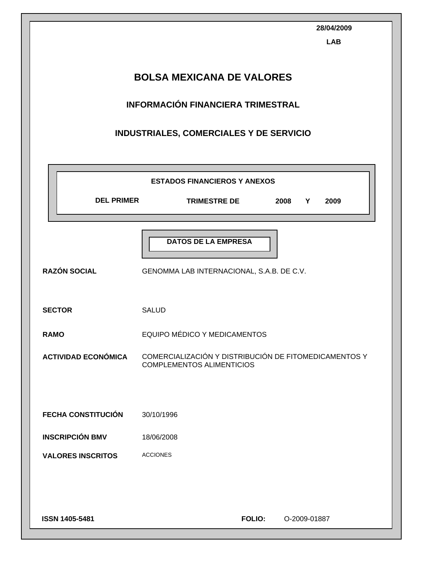| <b>BOLSA MEXICANA DE VALORES</b><br><b>INFORMACIÓN FINANCIERA TRIMESTRAL</b><br>INDUSTRIALES, COMERCIALES Y DE SERVICIO<br><b>ESTADOS FINANCIEROS Y ANEXOS</b><br><b>DEL PRIMER</b><br><b>TRIMESTRE DE</b><br>2008<br>Y<br>2009<br><b>DATOS DE LA EMPRESA</b><br><b>RAZÓN SOCIAL</b><br>GENOMMA LAB INTERNACIONAL, S.A.B. DE C.V.<br><b>SECTOR</b><br><b>SALUD</b><br>EQUIPO MÉDICO Y MEDICAMENTOS<br><b>RAMO</b><br>COMERCIALIZACIÓN Y DISTRIBUCIÓN DE FITOMEDICAMENTOS Y<br><b>ACTIVIDAD ECONÓMICA</b><br><b>COMPLEMENTOS ALIMENTICIOS</b> |                           | 28/04/2009<br><b>LAB</b> |  |  |  |
|----------------------------------------------------------------------------------------------------------------------------------------------------------------------------------------------------------------------------------------------------------------------------------------------------------------------------------------------------------------------------------------------------------------------------------------------------------------------------------------------------------------------------------------------|---------------------------|--------------------------|--|--|--|
|                                                                                                                                                                                                                                                                                                                                                                                                                                                                                                                                              |                           |                          |  |  |  |
|                                                                                                                                                                                                                                                                                                                                                                                                                                                                                                                                              |                           |                          |  |  |  |
|                                                                                                                                                                                                                                                                                                                                                                                                                                                                                                                                              |                           |                          |  |  |  |
|                                                                                                                                                                                                                                                                                                                                                                                                                                                                                                                                              |                           |                          |  |  |  |
|                                                                                                                                                                                                                                                                                                                                                                                                                                                                                                                                              |                           |                          |  |  |  |
|                                                                                                                                                                                                                                                                                                                                                                                                                                                                                                                                              |                           |                          |  |  |  |
|                                                                                                                                                                                                                                                                                                                                                                                                                                                                                                                                              |                           |                          |  |  |  |
|                                                                                                                                                                                                                                                                                                                                                                                                                                                                                                                                              |                           |                          |  |  |  |
|                                                                                                                                                                                                                                                                                                                                                                                                                                                                                                                                              |                           |                          |  |  |  |
|                                                                                                                                                                                                                                                                                                                                                                                                                                                                                                                                              |                           |                          |  |  |  |
|                                                                                                                                                                                                                                                                                                                                                                                                                                                                                                                                              |                           |                          |  |  |  |
|                                                                                                                                                                                                                                                                                                                                                                                                                                                                                                                                              |                           |                          |  |  |  |
|                                                                                                                                                                                                                                                                                                                                                                                                                                                                                                                                              |                           |                          |  |  |  |
|                                                                                                                                                                                                                                                                                                                                                                                                                                                                                                                                              | <b>FECHA CONSTITUCIÓN</b> | 30/10/1996               |  |  |  |
| <b>INSCRIPCIÓN BMV</b><br>18/06/2008                                                                                                                                                                                                                                                                                                                                                                                                                                                                                                         |                           |                          |  |  |  |
| <b>ACCIONES</b><br><b>VALORES INSCRITOS</b>                                                                                                                                                                                                                                                                                                                                                                                                                                                                                                  |                           |                          |  |  |  |
|                                                                                                                                                                                                                                                                                                                                                                                                                                                                                                                                              |                           |                          |  |  |  |
|                                                                                                                                                                                                                                                                                                                                                                                                                                                                                                                                              |                           |                          |  |  |  |
| ISSN 1405-5481<br><b>FOLIO:</b><br>O-2009-01887                                                                                                                                                                                                                                                                                                                                                                                                                                                                                              |                           |                          |  |  |  |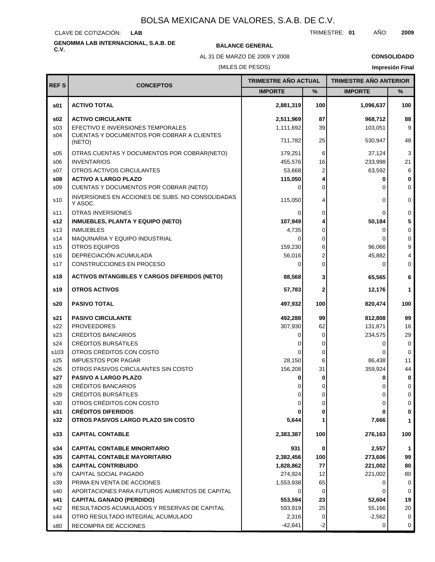CLAVE DE COTIZACIÓN: **LAB**

# **GENOMMA LAB INTERNACIONAL, S.A.B. DE C.V. BALANCE GENERAL**

#### TRIMESTRE: **01** AÑO: **2009**

(MILES DE PESOS) AL 31 DE MARZO DE 2009 Y 2008 **CONSOLIDADO Impresión Final**

|                 |                                                             | <b>TRIMESTRE AÑO ACTUAL</b> |          | <b>TRIMESTRE AÑO ANTERIOR</b> |             |
|-----------------|-------------------------------------------------------------|-----------------------------|----------|-------------------------------|-------------|
| <b>REFS</b>     | <b>CONCEPTOS</b>                                            | <b>IMPORTE</b>              | $\%$     | <b>IMPORTE</b>                | %           |
| \$01            | <b>ACTIVO TOTAL</b>                                         | 2,881,319                   | 100      | 1,096,637                     | 100         |
| \$02            | <b>ACTIVO CIRCULANTE</b>                                    | 2,511,969                   | 87       | 968,712                       | 88          |
| s <sub>03</sub> | EFECTIVO E INVERSIONES TEMPORALES                           | 1,111,692                   | 39       | 103,051                       | 9           |
| s04             | CUENTAS Y DOCUMENTOS POR COBRAR A CLIENTES<br>(NETO)        | 711,782                     | 25       | 530,947                       | 48          |
| s05             | OTRAS CUENTAS Y DOCUMENTOS POR COBRAR(NETO)                 | 179,251                     | 6        | 37,124                        | 3           |
| \$06            | <b>INVENTARIOS</b>                                          | 455,576                     | 16       | 233,998                       | 21          |
| S <sub>07</sub> | OTROS ACTIVOS CIRCULANTES                                   | 53,668                      | 2        | 63,592                        | 6           |
| \$08            | <b>ACTIVO A LARGO PLAZO</b>                                 | 115,050                     | 4        | 0                             | $\bf{0}$    |
| \$09            | CUENTAS Y DOCUMENTOS POR COBRAR (NETO)                      | $\Omega$                    | 0        | 0                             | $\Omega$    |
| s10             | INVERSIONES EN ACCIONES DE SUBS. NO CONSOLIDADAS<br>Y ASOC. | 115,050                     | 4        | 0                             | $\Omega$    |
| s11             | <b>OTRAS INVERSIONES</b>                                    | 0                           | 0        | 0                             | $\Omega$    |
| s12             | <b>INMUEBLES, PLANTA Y EQUIPO (NETO)</b>                    | 107,949                     |          | 50,184                        |             |
| s <sub>13</sub> | <b>INMUEBLES</b>                                            | 4,735                       | 0        | 0                             | $\mathbf 0$ |
| s14             | <b>MAQUINARIA Y EQUIPO INDUSTRIAL</b>                       | $\Omega$                    | 0        | 0                             | $\mathbf 0$ |
| s <sub>15</sub> | <b>OTROS EQUIPOS</b>                                        | 159,230                     | 6        | 96,066                        | 9           |
| s16             | DEPRECIACIÓN ACUMULADA                                      | 56,016                      | 2        | 45,882                        |             |
| s17             | CONSTRUCCIONES EN PROCESO                                   | 0                           | 0        | 0                             | $\mathbf 0$ |
| s18             | <b>ACTIVOS INTANGIBLES Y CARGOS DIFERIDOS (NETO)</b>        | 88,568                      | 3        | 65,565                        | 6           |
| s19             | <b>OTROS ACTIVOS</b>                                        | 57,783                      | 2        | 12,176                        | 1           |
| s20             | <b>PASIVO TOTAL</b>                                         | 497,932                     | 100      | 820,474                       | 100         |
| s21             | <b>PASIVO CIRCULANTE</b>                                    | 492,288                     | 99       | 812,808                       | 99          |
| s22             | <b>PROVEEDORES</b>                                          | 307,930                     | 62       | 131,871                       | 16          |
| s23             | CRÉDITOS BANCARIOS                                          | 0                           | 0        | 234,575                       | 29          |
| s24             | <b>CRÉDITOS BURSÁTILES</b>                                  |                             | 0        | 0                             | 0           |
| s103            | OTROS CRÉDITOS CON COSTO                                    | ∩                           | 0        | 0                             | $\mathbf 0$ |
| s25             | <b>IMPUESTOS POR PAGAR</b>                                  | 28,150                      | 6        | 86,438                        | 11          |
| s26             | OTROS PASIVOS CIRCULANTES SIN COSTO                         | 156,208                     | 31       | 359,924                       | 44          |
| s27             | PASIVO A LARGO PLAZO                                        |                             |          | 0                             | 0           |
| s28             | CRÉDITOS BANCARIOS                                          | 0                           | 0        | 0                             | 0           |
| s29             | CRÉDITOS BURSÁTILES                                         | 0                           | 0        | 0                             | 0           |
| s30             | OTROS CRÉDITOS CON COSTO                                    | 0                           | 0        | 0                             | 0           |
| s31             | <b>CRÉDITOS DIFERIDOS</b>                                   |                             | 0        | 0                             | 0           |
| s32             | OTROS PASIVOS LARGO PLAZO SIN COSTO                         | 5,644                       | 1        | 7,666                         | 1           |
| \$33            | <b>CAPITAL CONTABLE</b>                                     | 2,383,387                   | 100      | 276,163                       | 100         |
| s34             | <b>CAPITAL CONTABLE MINORITARIO</b>                         | 931                         | 0        | 2,557                         | 1           |
| s35             | <b>CAPITAL CONTABLE MAYORITARIO</b>                         | 2,382,456                   | 100      | 273,606                       | 99          |
| s36             | <b>CAPITAL CONTRIBUIDO</b>                                  | 1,828,862                   | 77       | 221,002                       | 80          |
| s79             | CAPITAL SOCIAL PAGADO                                       | 274,924                     | 12       | 221,002                       | 80          |
| s39             | PRIMA EN VENTA DE ACCIONES                                  | 1,553,938                   | 65       | 0                             | 0           |
| s40             | APORTACIONES PARA FUTUROS AUMENTOS DE CAPITAL               | 0                           | $\Omega$ | 0                             | 0           |
| s41             | <b>CAPITAL GANADO (PERDIDO)</b>                             | 553,594                     | 23       | 52,604                        | 19          |
| s42             | RESULTADOS ACUMULADOS Y RESERVAS DE CAPITAL                 | 593,919                     | 25       | 55,166                        | 20          |
| s44             | OTRO RESULTADO INTEGRAL ACUMULADO                           | 2,316                       | 0        | $-2,562$                      | 0           |
| s80             | RECOMPRA DE ACCIONES                                        | $-42,641$                   | $-2$     | 0                             | 0           |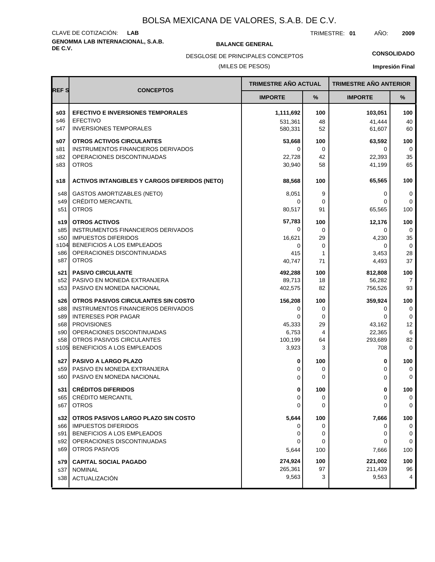# **GENOMMA LAB INTERNACIONAL, S.A.B. DE C.V. BALANCE GENERAL** CLAVE DE COTIZACIÓN: **LAB**

TRIMESTRE: **01** AÑO: **2009**

**CONSOLIDADO**

(MILES DE PESOS) DESGLOSE DE PRINCIPALES CONCEPTOS

**Impresión Final**

|                        |                                                                        | <b>TRIMESTRE AÑO ACTUAL</b> |          | <b>TRIMESTRE AÑO ANTERIOR</b> |                    |
|------------------------|------------------------------------------------------------------------|-----------------------------|----------|-------------------------------|--------------------|
| <b>REFS</b>            | <b>CONCEPTOS</b>                                                       | <b>IMPORTE</b>              | %        | <b>IMPORTE</b>                | %                  |
| \$03                   | <b>EFECTIVO E INVERSIONES TEMPORALES</b>                               | 1,111,692                   | 100      | 103,051                       | 100                |
| s46<br>s47             | <b>EFECTIVO</b><br><b>INVERSIONES TEMPORALES</b>                       | 531.361                     | 48       | 41,444                        | 40                 |
|                        |                                                                        | 580,331                     | 52       | 61,607                        | 60                 |
| s07                    | <b>OTROS ACTIVOS CIRCULANTES</b><br>INSTRUMENTOS FINANCIEROS DERIVADOS | 53,668<br>0                 | 100<br>0 | 63,592<br>0                   | 100<br>0           |
| s81<br>s82             | OPERACIONES DISCONTINUADAS                                             | 22,728                      | 42       | 22,393                        | 35                 |
| s83                    | <b>OTROS</b>                                                           | 30,940                      | 58       | 41,199                        | 65                 |
| s18                    | <b>ACTIVOS INTANGIBLES Y CARGOS DIFERIDOS (NETO)</b>                   | 88,568                      | 100      | 65,565                        | 100                |
| s48                    | GASTOS AMORTIZABLES (NETO)                                             | 8,051                       | 9        | 0                             | 0                  |
| s49                    | <b>CRÉDITO MERCANTIL</b>                                               | 0                           | 0        | 0                             | $\Omega$           |
| s51                    | <b>OTROS</b>                                                           | 80,517                      | 91       | 65,565                        | 100                |
| s19                    | <b>OTROS ACTIVOS</b>                                                   | 57,783                      | 100      | 12,176                        | 100                |
| s85                    | INSTRUMENTOS FINANCIEROS DERIVADOS                                     | 0                           | 0        | 0                             | 0                  |
| s50                    | <b>IMPUESTOS DIFERIDOS</b>                                             | 16,621                      | 29       | 4,230                         | 35                 |
| s104<br>s86            | BENEFICIOS A LOS EMPLEADOS<br>OPERACIONES DISCONTINUADAS               | 0                           | 0        | 0                             | $\mathbf 0$        |
| s87                    | <b>OTROS</b>                                                           | 415<br>40,747               | 1<br>71  | 3,453<br>4,493                | 28<br>37           |
|                        | <b>PASIVO CIRCULANTE</b>                                               | 492,288                     | 100      | 812.808                       | 100                |
| s21<br>s52             | PASIVO EN MONEDA EXTRANJERA                                            | 89,713                      | 18       | 56,282                        | 7                  |
| s <sub>53</sub>        | PASIVO EN MONEDA NACIONAL                                              | 402,575                     | 82       | 756,526                       | 93                 |
| s26                    | OTROS PASIVOS CIRCULANTES SIN COSTO                                    | 156,208                     | 100      | 359,924                       | 100                |
| s88                    | INSTRUMENTOS FINANCIEROS DERIVADOS                                     | 0                           | 0        | 0                             | $\mathbf 0$        |
| s89                    | <b>INTERESES POR PAGAR</b>                                             | 0                           | 0        | 0                             | 0                  |
| s68                    | <b>PROVISIONES</b>                                                     | 45,333                      | 29       | 43,162                        | 12                 |
| s90<br>s <sub>58</sub> | OPERACIONES DISCONTINUADAS<br>OTROS PASIVOS CIRCULANTES                | 6,753<br>100,199            | 4<br>64  | 22,365<br>293,689             | 6<br>82            |
| s105                   | BENEFICIOS A LOS EMPLEADOS                                             | 3,923                       | 3        | 708                           | $\mathbf 0$        |
|                        |                                                                        |                             |          |                               |                    |
| s27<br>s59             | <b>PASIVO A LARGO PLAZO</b><br>PASIVO EN MONEDA EXTRANJERA             | 0<br>0                      | 100<br>0 | 0<br>0                        | 100<br>$\mathbf 0$ |
| s60                    | PASIVO EN MONEDA NACIONAL                                              | 0                           | 0        | 0                             | $\mathbf 0$        |
|                        |                                                                        |                             |          |                               |                    |
| s31 l<br>s65           | <b>CRÉDITOS DIFERIDOS</b><br>CRÉDITO MERCANTIL                         | 0<br>0                      | 100<br>0 | 0<br>0                        | 100<br>0           |
| s67                    | <b>OTROS</b>                                                           | 0                           | 0        | 0                             | 0                  |
| s32                    | OTROS PASIVOS LARGO PLAZO SIN COSTO                                    | 5,644                       | 100      | 7,666                         | 100                |
| s66                    | <b>IMPUESTOS DIFERIDOS</b>                                             | o                           | 0        | 0                             | 0                  |
| s91                    | BENEFICIOS A LOS EMPLEADOS                                             | 0                           | 0        | 0                             | 0                  |
| s92                    | OPERACIONES DISCONTINUADAS                                             | 0                           | 0        | 0                             | $\mathbf 0$        |
| s69                    | <b>OTROS PASIVOS</b>                                                   | 5,644                       | 100      | 7,666                         | 100                |
| s79 l                  | <b>CAPITAL SOCIAL PAGADO</b>                                           | 274,924                     | 100      | 221,002                       | 100                |
| s37                    | <b>NOMINAL</b>                                                         | 265,361                     | 97       | 211,439                       | 96                 |
| s38                    | ACTUALIZACIÓN                                                          | 9,563                       | 3        | 9,563                         | 4                  |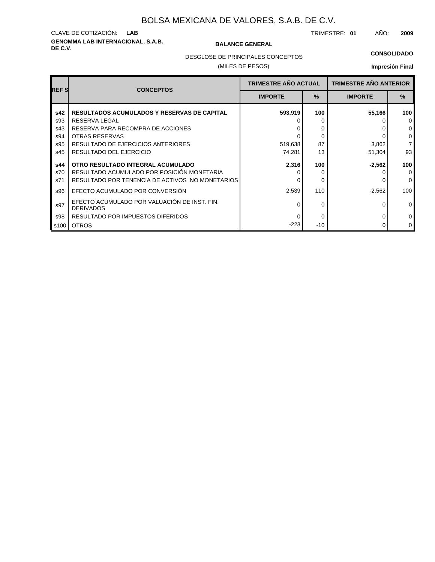# **GENOMMA LAB INTERNACIONAL, S.A.B. DE C.V. BALANCE GENERAL** CLAVE DE COTIZACIÓN: **LAB**

TRIMESTRE: **01** AÑO: **2009**

DESGLOSE DE PRINCIPALES CONCEPTOS

### (MILES DE PESOS)

### **CONSOLIDADO**

**Impresión Final**

| <b>REFS</b> | <b>CONCEPTOS</b>                                                 | <b>TRIMESTRE AÑO ACTUAL</b> |      | <b>TRIMESTRE AÑO ANTERIOR</b> |                |
|-------------|------------------------------------------------------------------|-----------------------------|------|-------------------------------|----------------|
|             |                                                                  | <b>IMPORTE</b>              | $\%$ | <b>IMPORTE</b>                | $\frac{9}{6}$  |
| s42         | <b>RESULTADOS ACUMULADOS Y RESERVAS DE CAPITAL</b>               | 593,919                     | 100  | 55,166                        | 100            |
| s93         | RESERVA LEGAL                                                    |                             | O    |                               | $\Omega$       |
| s43         | RESERVA PARA RECOMPRA DE ACCIONES                                |                             | 0    |                               | 0              |
| s94         | OTRAS RESERVAS                                                   |                             | 0    |                               | 0              |
| s95         | RESULTADO DE EJERCICIOS ANTERIORES                               | 519,638                     | 87   | 3,862                         | $\overline{7}$ |
| s45         | RESULTADO DEL EJERCICIO                                          | 74,281                      | 13   | 51,304                        | 93             |
| s44         | OTRO RESULTADO INTEGRAL ACUMULADO                                | 2,316                       | 100  | $-2,562$                      | 100            |
| s70         | RESULTADO ACUMULADO POR POSICIÓN MONETARIA                       |                             |      |                               | $\Omega$       |
| s71         | RESULTADO POR TENENCIA DE ACTIVOS NO MONETARIOS                  |                             | 0    |                               | $\Omega$       |
| s96         | EFECTO ACUMULADO POR CONVERSIÓN                                  | 2,539                       | 110  | $-2,562$                      | 100            |
| s97         | EFECTO ACUMULADO POR VALUACIÓN DE INST. FIN.<br><b>DERIVADOS</b> |                             | 0    | 0                             | $\Omega$       |
| s98         | RESULTADO POR IMPUESTOS DIFERIDOS                                |                             | 0    | <sup>0</sup>                  | 0              |
| s100        | <b>OTROS</b>                                                     | $-223$                      | -10  | 0                             | $\mathbf 0$    |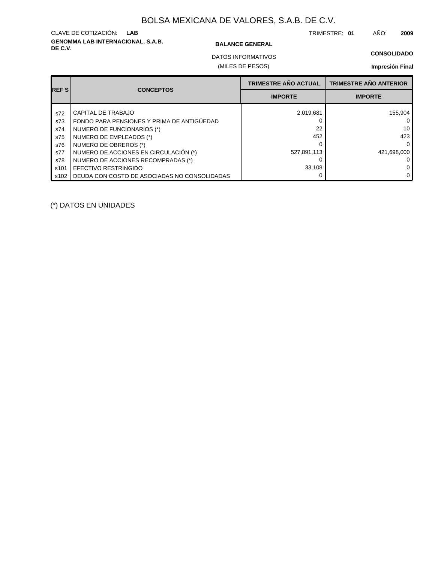# **GENOMMA LAB INTERNACIONAL, S.A.B. DE C.V. BALANCE GENERAL** CLAVE DE COTIZACIÓN: **LAB**

TRIMESTRE: **01** AÑO: **2009**

**CONSOLIDADO**

(MILES DE PESOS) DATOS INFORMATIVOS

### **Impresión Final**

| <b>REFS</b> | <b>CONCEPTOS</b>                             | <b>TRIMESTRE AÑO ACTUAL</b> | <b>TRIMESTRE AÑO ANTERIOR</b> |
|-------------|----------------------------------------------|-----------------------------|-------------------------------|
|             |                                              | <b>IMPORTE</b>              | <b>IMPORTE</b>                |
| s72         | CAPITAL DE TRABAJO                           | 2,019,681                   | 155.904                       |
| s73         | FONDO PARA PENSIONES Y PRIMA DE ANTIGÜEDAD   |                             |                               |
| s74         | NUMERO DE FUNCIONARIOS (*)                   | 22                          | 10                            |
| s75         | NUMERO DE EMPLEADOS (*)                      | 452                         | 423                           |
| s76         | NUMERO DE OBREROS (*)                        |                             | O                             |
| s77         | NUMERO DE ACCIONES EN CIRCULACIÓN (*)        | 527,891,113                 | 421.698.000                   |
| s78         | NUMERO DE ACCIONES RECOMPRADAS (*)           |                             |                               |
| s101        | EFECTIVO RESTRINGIDO                         | 33,108                      |                               |
| s102        | DEUDA CON COSTO DE ASOCIADAS NO CONSOLIDADAS |                             | 0                             |

(\*) DATOS EN UNIDADES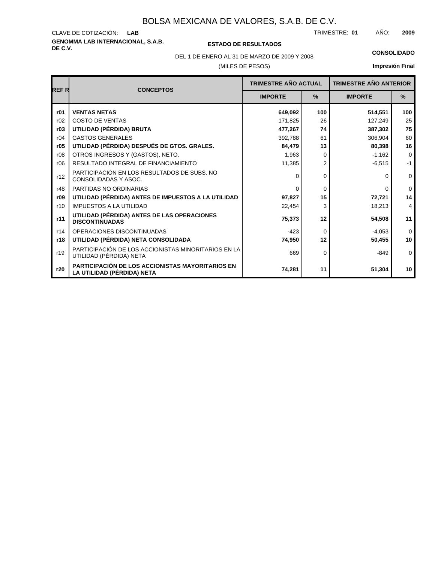# **GENOMMA LAB INTERNACIONAL, S.A.B.** CLAVE DE COTIZACIÓN:

**DE C.V. ESTADO DE RESULTADOS**

TRIMESTRE: AÑO: **LAB 01 2009**

DEL 1 DE ENERO AL 31 DE MARZO DE 2009 Y 2008 **CONSOLIDADO**

(MILES DE PESOS)

# **Impresión Final**

|             |                                                                                       | <b>TRIMESTRE AÑO ACTUAL</b> |                |                | <b>TRIMESTRE AÑO ANTERIOR</b> |  |
|-------------|---------------------------------------------------------------------------------------|-----------------------------|----------------|----------------|-------------------------------|--|
| <b>REFR</b> | <b>CONCEPTOS</b>                                                                      | <b>IMPORTE</b>              | $\frac{9}{6}$  | <b>IMPORTE</b> | $\frac{9}{6}$                 |  |
|             |                                                                                       |                             |                |                |                               |  |
| r01         | <b>VENTAS NETAS</b>                                                                   | 649,092                     | 100            | 514,551        | 100                           |  |
| r02         | <b>COSTO DE VENTAS</b>                                                                | 171,825                     | 26             | 127,249        | 25                            |  |
| r03         | UTILIDAD (PÉRDIDA) BRUTA                                                              | 477,267                     | 74             | 387,302        | 75                            |  |
| r04         | <b>GASTOS GENERALES</b>                                                               | 392.788                     | 61             | 306.904        | 60                            |  |
| r05         | UTILIDAD (PÉRDIDA) DESPUÉS DE GTOS. GRALES.                                           | 84,479                      | 13             | 80,398         | 16                            |  |
| r08         | OTROS INGRESOS Y (GASTOS), NETO.                                                      | 1.963                       | 0              | $-1,162$       | $\mathbf 0$                   |  |
| r06         | RESULTADO INTEGRAL DE FINANCIAMIENTO                                                  | 11,385                      | $\overline{2}$ | $-6,515$       | $-1$                          |  |
| r12         | PARTICIPACIÓN EN LOS RESULTADOS DE SUBS. NO<br>CONSOLIDADAS Y ASOC.                   | $\Omega$                    | 0              | 0              | $\mathbf 0$                   |  |
| r48         | PARTIDAS NO ORDINARIAS                                                                | $\Omega$                    | $\Omega$       | 0              | $\Omega$                      |  |
| r09         | UTILIDAD (PÉRDIDA) ANTES DE IMPUESTOS A LA UTILIDAD                                   | 97,827                      | 15             | 72,721         | 14                            |  |
| r10         | <b>IMPUESTOS A LA UTILIDAD</b>                                                        | 22,454                      | 3              | 18,213         | 4                             |  |
| r11         | UTILIDAD (PÉRDIDA) ANTES DE LAS OPERACIONES<br><b>DISCONTINUADAS</b>                  | 75,373                      | 12             | 54,508         | 11                            |  |
| r14         | OPERACIONES DISCONTINUADAS                                                            | $-423$                      | $\Omega$       | $-4,053$       | $\Omega$                      |  |
| r18         | UTILIDAD (PÉRDIDA) NETA CONSOLIDADA                                                   | 74,950                      | 12             | 50,455         | 10                            |  |
| r19         | PARTICIPACIÓN DE LOS ACCIONISTAS MINORITARIOS EN LA<br>UTILIDAD (PÉRDIDA) NETA        | 669                         | $\Omega$       | $-849$         | $\mathbf 0$                   |  |
| r20         | <b>PARTICIPACIÓN DE LOS ACCIONISTAS MAYORITARIOS EN</b><br>LA UTILIDAD (PÉRDIDA) NETA | 74,281                      | 11             | 51,304         | 10 <sup>1</sup>               |  |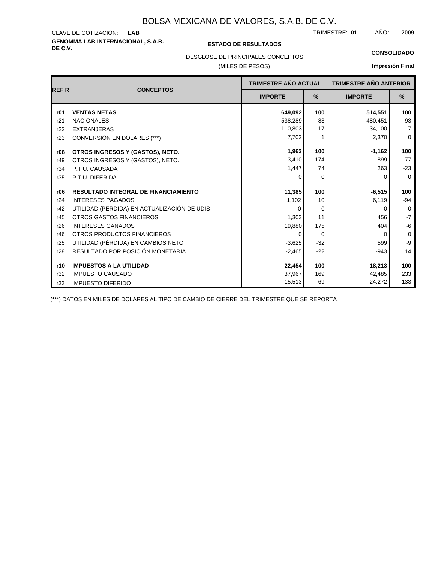# **GENOMMA LAB INTERNACIONAL, S.A.B. DE C.V. ESTADO DE RESULTADOS** CLAVE DE COTIZACIÓN:

TRIMESTRE: AÑO: **LAB 01 2009**

#### **CONSOLIDADO**

DESGLOSE DE PRINCIPALES CONCEPTOS

### (MILES DE PESOS)

### **Impresión Final**

| REF R | <b>CONCEPTOS</b>                            | <b>TRIMESTRE AÑO ACTUAL</b> |          | <b>TRIMESTRE AÑO ANTERIOR</b> |                |
|-------|---------------------------------------------|-----------------------------|----------|-------------------------------|----------------|
|       |                                             | <b>IMPORTE</b>              | %        | <b>IMPORTE</b>                | %              |
| r01   | <b>VENTAS NETAS</b>                         | 649,092                     | 100      | 514,551                       | 100            |
| r21   | <b>NACIONALES</b>                           | 538,289                     | 83       | 480,451                       | 93             |
| r22   | <b>EXTRANJERAS</b>                          | 110,803                     | 17       | 34,100                        | $\overline{7}$ |
| r23   | CONVERSIÓN EN DÓLARES (***)                 | 7,702                       |          | 2,370                         | $\mathbf 0$    |
| r08   | OTROS INGRESOS Y (GASTOS), NETO.            | 1,963                       | 100      | $-1,162$                      | 100            |
| r49   | OTROS INGRESOS Y (GASTOS), NETO.            | 3.410                       | 174      | -899                          | 77             |
| r34   | P.T.U. CAUSADA                              | 1,447                       | 74       | 263                           | $-23$          |
| r35   | P.T.U. DIFERIDA                             | O                           | 0        | 0                             | $\mathbf 0$    |
| r06   | <b>RESULTADO INTEGRAL DE FINANCIAMIENTO</b> | 11,385                      | 100      | $-6,515$                      | 100            |
| r24   | <b>INTERESES PAGADOS</b>                    | 1,102                       | 10       | 6,119                         | $-94$          |
| r42   | UTILIDAD (PÉRDIDA) EN ACTUALIZACIÓN DE UDIS | O                           | $\Omega$ | 0                             | $\mathbf 0$    |
| r45   | <b>OTROS GASTOS FINANCIEROS</b>             | 1,303                       | 11       | 456                           | $-7$           |
| r26   | <b>INTERESES GANADOS</b>                    | 19,880                      | 175      | 404                           | -6             |
| r46   | OTROS PRODUCTOS FINANCIEROS                 | 0                           | $\Omega$ | $\Omega$                      | 0              |
| r25   | UTILIDAD (PÉRDIDA) EN CAMBIOS NETO          | $-3,625$                    | $-32$    | 599                           | $-9$           |
| r28   | RESULTADO POR POSICIÓN MONETARIA            | $-2,465$                    | $-22$    | $-943$                        | 14             |
| r10   | <b>IMPUESTOS A LA UTILIDAD</b>              | 22,454                      | 100      | 18,213                        | 100            |
| r32   | <b>IMPUESTO CAUSADO</b>                     | 37,967                      | 169      | 42,485                        | 233            |
| r33   | <b>IMPUESTO DIFERIDO</b>                    | $-15,513$                   | -69      | $-24,272$                     | $-133$         |

(\*\*\*) DATOS EN MILES DE DOLARES AL TIPO DE CAMBIO DE CIERRE DEL TRIMESTRE QUE SE REPORTA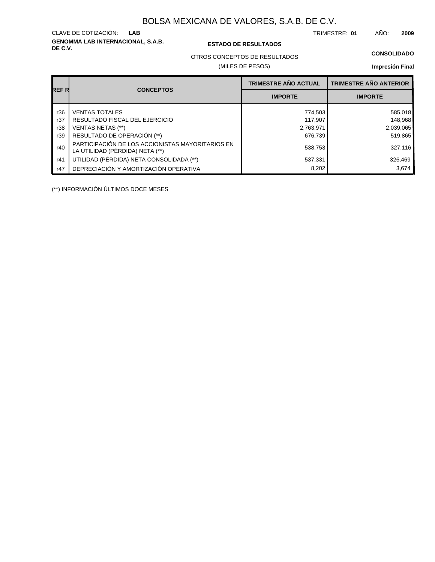**GENOMMA LAB INTERNACIONAL, S.A.B.** CLAVE DE COTIZACIÓN:

### **DE C.V. ESTADO DE RESULTADOS**

TRIMESTRE: AÑO: **LAB 01 2009**

### **CONSOLIDADO**

OTROS CONCEPTOS DE RESULTADOS

### (MILES DE PESOS)

### **Impresión Final**

|       |                                                                                     | <b>TRIMESTRE AÑO ACTUAL</b> | <b>TRIMESTRE AÑO ANTERIOR</b> |
|-------|-------------------------------------------------------------------------------------|-----------------------------|-------------------------------|
| REF R | <b>CONCEPTOS</b>                                                                    | <b>IMPORTE</b>              | <b>IMPORTE</b>                |
| r36   | <b>VENTAS TOTALES</b>                                                               | 774,503                     | 585,018                       |
| r37   | RESULTADO FISCAL DEL EJERCICIO                                                      | 117,907                     | 148,968                       |
| r38   | VENTAS NETAS (**)                                                                   | 2,763,971                   | 2,039,065                     |
| r39   | RESULTADO DE OPERACIÓN (**)                                                         | 676.739                     | 519,865                       |
| r40   | PARTICIPACIÓN DE LOS ACCIONISTAS MAYORITARIOS EN<br>LA UTILIDAD (PÉRDIDA) NETA (**) | 538,753                     | 327,116                       |
| r41   | UTILIDAD (PÉRDIDA) NETA CONSOLIDADA (**)                                            | 537,331                     | 326,469                       |
| r47   | DEPRECIACIÓN Y AMORTIZACIÓN OPERATIVA                                               | 8,202                       | 3.674                         |

(\*\*) INFORMACIÓN ÚLTIMOS DOCE MESES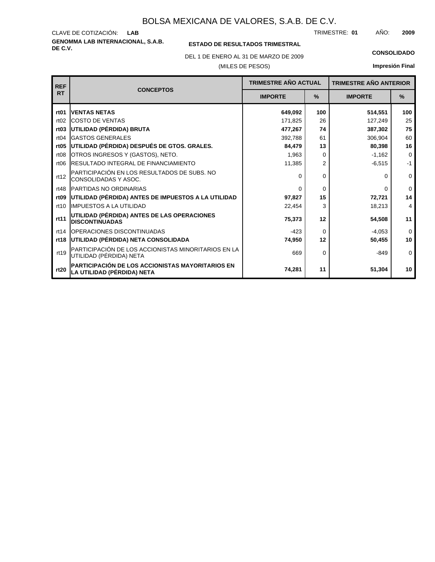**GENOMMA LAB INTERNACIONAL, S.A.B.** CLAVE DE COTIZACIÓN: TRIMESTRE: AÑO: **LAB 01 2009**

### **ESTADO DE RESULTADOS TRIMESTRAL**

DEL 1 DE ENERO AL 31 DE MARZO DE 2009 **CONSOLIDADO**

(MILES DE PESOS)

**Impresión Final**

| <b>REF</b>       | <b>CONCEPTOS</b>                                                               | <b>TRIMESTRE AÑO ACTUAL</b> |                | <b>TRIMESTRE AÑO ANTERIOR</b> |             |
|------------------|--------------------------------------------------------------------------------|-----------------------------|----------------|-------------------------------|-------------|
| <b>RT</b>        |                                                                                | <b>IMPORTE</b>              | $\%$           | <b>IMPORTE</b>                | $\%$        |
| rt <sub>01</sub> | <b>VENTAS NETAS</b>                                                            | 649,092                     | 100            | 514,551                       | 100         |
| rt02             | <b>ICOSTO DE VENTAS</b>                                                        | 171,825                     | 26             | 127,249                       | 25          |
| rt <sub>03</sub> | UTILIDAD (PÉRDIDA) BRUTA                                                       | 477,267                     | 74             | 387,302                       | 75          |
| rt04             | <b>GASTOS GENERALES</b>                                                        | 392,788                     | 61             | 306,904                       | 60          |
| rt <sub>05</sub> | UTILIDAD (PÉRDIDA) DESPUÉS DE GTOS. GRALES.                                    | 84,479                      | 13             | 80,398                        | 16          |
| rt <sub>08</sub> | OTROS INGRESOS Y (GASTOS), NETO.                                               | 1,963                       | 0              | $-1,162$                      | $\mathbf 0$ |
| rt06             | <b>IRESULTADO INTEGRAL DE FINANCIAMIENTO</b>                                   | 11,385                      | $\overline{2}$ | $-6,515$                      | $-1$        |
| rt12             | PARTICIPACIÓN EN LOS RESULTADOS DE SUBS. NO<br>CONSOLIDADAS Y ASOC.            | $\Omega$                    | 0              | O                             | $\mathbf 0$ |
| rt48             | <b>PARTIDAS NO ORDINARIAS</b>                                                  | $\Omega$                    | $\Omega$       | <sup>0</sup>                  | $\Omega$    |
| rt <sub>09</sub> | UTILIDAD (PÉRDIDA) ANTES DE IMPUESTOS A LA UTILIDAD                            | 97,827                      | 15             | 72,721                        | 14          |
| rt10             | <b>IIMPUESTOS A LA UTILIDAD</b>                                                | 22,454                      | 3              | 18,213                        | 4           |
| rt11             | UTILIDAD (PÉRDIDA) ANTES DE LAS OPERACIONES<br><b>DISCONTINUADAS</b>           | 75,373                      | 12             | 54,508                        | 11          |
| rt14             | <b>IOPERACIONES DISCONTINUADAS</b>                                             | $-423$                      | 0              | $-4,053$                      | $\Omega$    |
| rt18             | UTILIDAD (PÉRDIDA) NETA CONSOLIDADA                                            | 74,950                      | 12             | 50,455                        | 10          |
| rt19             | PARTICIPACIÓN DE LOS ACCIONISTAS MINORITARIOS EN LA<br>UTILIDAD (PÉRDIDA) NETA | 669                         | 0              | $-849$                        | $\Omega$    |
| rt20             | PARTICIPACIÓN DE LOS ACCIONISTAS MAYORITARIOS EN<br>LA UTILIDAD (PÉRDIDA) NETA | 74,281                      | 11             | 51,304                        | 10          |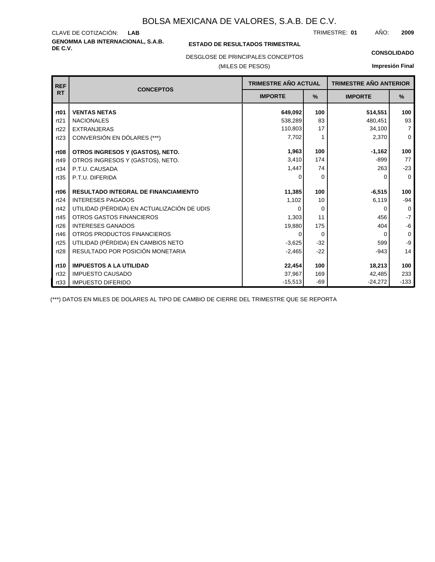**GENOMMA LAB INTERNACIONAL, S.A.B.** CLAVE DE COTIZACIÓN: TRIMESTRE: AÑO: **LAB 01 2009**

### **ESTADO DE RESULTADOS TRIMESTRAL**

DESGLOSE DE PRINCIPALES CONCEPTOS

### (MILES DE PESOS)

#### **CONSOLIDADO**

**Impresión Final**

| <b>REF</b>       | TRIMESTRE AÑO ACTUAL<br><b>CONCEPTOS</b>    |                |          | <b>TRIMESTRE AÑO ANTERIOR</b> |                |
|------------------|---------------------------------------------|----------------|----------|-------------------------------|----------------|
| <b>RT</b>        |                                             | <b>IMPORTE</b> | %        | <b>IMPORTE</b>                | %              |
| rt <sub>01</sub> | <b>VENTAS NETAS</b>                         | 649.092        | 100      | 514,551                       | 100            |
| rt21             | <b>NACIONALES</b>                           | 538,289        | 83       | 480.451                       | 93             |
| rt22             | <b>EXTRANJERAS</b>                          | 110,803        | 17       | 34,100                        | $\overline{7}$ |
| rt23             | CONVERSIÓN EN DÓLARES (***)                 | 7,702          |          | 2,370                         | $\mathbf 0$    |
| rt <sub>08</sub> | OTROS INGRESOS Y (GASTOS), NETO.            | 1,963          | 100      | $-1,162$                      | 100            |
| rt49             | OTROS INGRESOS Y (GASTOS), NETO.            | 3,410          | 174      | $-899$                        | 77             |
| rt34             | P.T.U. CAUSADA                              | 1,447          | 74       | 263                           | $-23$          |
| rt35             | P.T.U. DIFERIDA                             | 0              | 0        | 0                             | $\Omega$       |
| rt <sub>06</sub> | <b>RESULTADO INTEGRAL DE FINANCIAMIENTO</b> | 11,385         | 100      | $-6,515$                      | 100            |
| rt24             | <b>INTERESES PAGADOS</b>                    | 1,102          | 10       | 6,119                         | $-94$          |
| rt42             | UTILIDAD (PÉRDIDA) EN ACTUALIZACIÓN DE UDIS | $\Omega$       | 0        | 0                             | $\mathbf 0$    |
| rt45             | <b>OTROS GASTOS FINANCIEROS</b>             | 1,303          | 11       | 456                           | $-7$           |
| rt26             | <b>INTERESES GANADOS</b>                    | 19,880         | 175      | 404                           | -6             |
| rt46             | OTROS PRODUCTOS FINANCIEROS                 | 0              | $\Omega$ | $\Omega$                      | $\mathbf 0$    |
| rt25             | UTILIDAD (PÉRDIDA) EN CAMBIOS NETO          | $-3,625$       | $-32$    | 599                           | -9             |
| rt28             | RESULTADO POR POSICIÓN MONETARIA            | $-2,465$       | $-22$    | $-943$                        | 14             |
|                  |                                             |                |          |                               |                |
| rt10             | <b>IMPUESTOS A LA UTILIDAD</b>              | 22,454         | 100      | 18,213                        | 100            |
| rt32             | <b>IMPUESTO CAUSADO</b>                     | 37,967         | 169      | 42.485                        | 233            |
| rt33             | <b>IMPUESTO DIFERIDO</b>                    | $-15,513$      | $-69$    | $-24,272$                     | $-133$         |

(\*\*\*) DATOS EN MILES DE DOLARES AL TIPO DE CAMBIO DE CIERRE DEL TRIMESTRE QUE SE REPORTA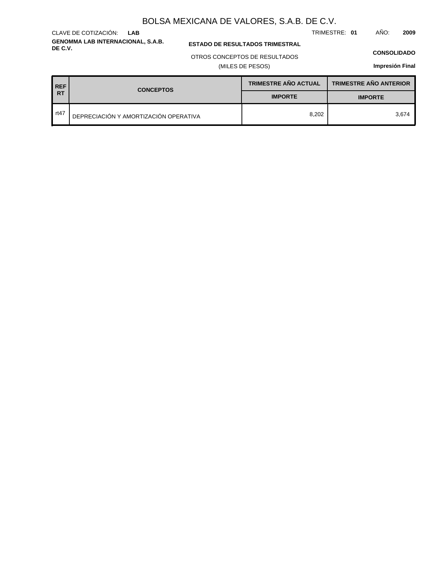**GENOMMA LAB INTERNACIONAL, S.A.B.** CLAVE DE COTIZACIÓN: **LAB**

**ESTADO DE RESULTADOS TRIMESTRAL** 

### OTROS CONCEPTOS DE RESULTADOS

(MILES DE PESOS)

#### **CONSOLIDADO**

TRIMESTRE: **01** AÑO: **2009**

**Impresión Final**

| <b>REF</b> | <b>CONCEPTOS</b>                      | <b>TRIMESTRE AÑO ACTUAL</b> | <b>TRIMESTRE AÑO ANTERIOR</b> |  |
|------------|---------------------------------------|-----------------------------|-------------------------------|--|
| <b>RT</b>  |                                       | <b>IMPORTE</b>              | <b>IMPORTE</b>                |  |
| rt47       | DEPRECIACIÓN Y AMORTIZACIÓN OPERATIVA | 8.202                       | 3.674                         |  |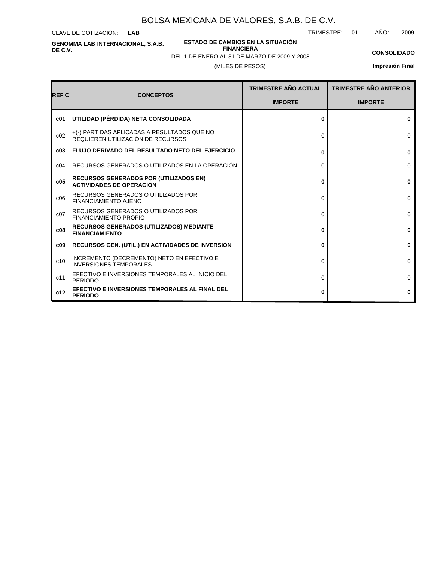CLAVE DE COTIZACIÓN: **LAB**

**GENOMMA LAB INTERNACIONAL, S.A.B. DE C.V.**

**ESTADO DE CAMBIOS EN LA SITUACIÓN FINANCIERA**

TRIMESTRE: **01** AÑO: **2009**

**CONSOLIDADO Impresión Final**

### (MILES DE PESOS) DEL 1 DE ENERO AL 31 DE MARZO DE 2009 Y 2008

| <b>REF C</b> | <b>CONCEPTOS</b>                                                                 | TRIMESTRE AÑO ACTUAL | <b>TRIMESTRE AÑO ANTERIOR</b> |
|--------------|----------------------------------------------------------------------------------|----------------------|-------------------------------|
|              |                                                                                  | <b>IMPORTE</b>       | <b>IMPORTE</b>                |
| c01          | UTILIDAD (PÉRDIDA) NETA CONSOLIDADA                                              | $\Omega$             | $\mathbf{0}$                  |
| c02          | +(-) PARTIDAS APLICADAS A RESULTADOS QUE NO<br>REQUIEREN UTILIZACIÓN DE RECURSOS | $\Omega$             | $\Omega$                      |
| c03          | <b>FLUJO DERIVADO DEL RESULTADO NETO DEL EJERCICIO</b>                           | 0                    | $\bf{0}$                      |
| c04          | RECURSOS GENERADOS O UTILIZADOS EN LA OPERACIÓN                                  | 0                    | $\Omega$                      |
| c05          | <b>RECURSOS GENERADOS POR (UTILIZADOS EN)</b><br><b>ACTIVIDADES DE OPERACIÓN</b> | 0                    | $\bf{0}$                      |
| c06          | RECURSOS GENERADOS O UTILIZADOS POR<br><b>FINANCIAMIENTO AJENO</b>               | 0                    | $\Omega$                      |
| c07          | RECURSOS GENERADOS O UTILIZADOS POR<br><b>FINANCIAMIENTO PROPIO</b>              | 0                    | $\Omega$                      |
| c08          | <b>RECURSOS GENERADOS (UTILIZADOS) MEDIANTE</b><br><b>FINANCIAMIENTO</b>         | 0                    | $\mathbf{0}$                  |
| c09          | <b>RECURSOS GEN. (UTIL.) EN ACTIVIDADES DE INVERSIÓN</b>                         | 0                    | 0                             |
| c10          | INCREMENTO (DECREMENTO) NETO EN EFECTIVO E<br><b>INVERSIONES TEMPORALES</b>      | $\Omega$             | $\Omega$                      |
| c11          | EFECTIVO E INVERSIONES TEMPORALES AL INICIO DEL<br><b>PERIODO</b>                | 0                    | 0                             |
| c12          | EFECTIVO E INVERSIONES TEMPORALES AL FINAL DEL<br><b>PERIODO</b>                 | 0                    | $\bf{0}$                      |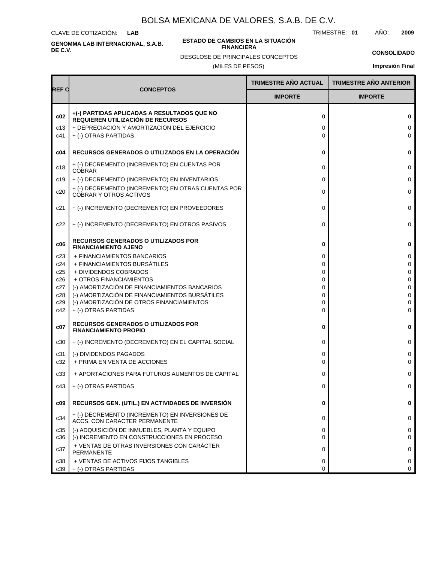CLAVE DE COTIZACIÓN: **LAB**

**GENOMMA LAB INTERNACIONAL, S.A.B. DE C.V.**

#### **ESTADO DE CAMBIOS EN LA SITUACIÓN FINANCIERA**

TRIMESTRE: **01** AÑO: **2009**

**CONSOLIDADO**

(MILES DE PESOS) DESGLOSE DE PRINCIPALES CONCEPTOS

**Impresión Final**

|                   |                                                                                                                                                         | <b>TRIMESTRE AÑO ACTUAL</b> | <b>TRIMESTRE AÑO ANTERIOR</b> |
|-------------------|---------------------------------------------------------------------------------------------------------------------------------------------------------|-----------------------------|-------------------------------|
| REF C             | <b>CONCEPTOS</b>                                                                                                                                        | <b>IMPORTE</b>              | <b>IMPORTE</b>                |
| c02<br>c13<br>c41 | +(-) PARTIDAS APLICADAS A RESULTADOS QUE NO<br>REQUIEREN UTILIZACIÓN DE RECURSOS<br>+ DEPRECIACIÓN Y AMORTIZACIÓN DEL EJERCICIO<br>+ (-) OTRAS PARTIDAS | 0<br>0<br>0                 | $\bf{0}$<br>0<br>$\Omega$     |
| c04               | <b>RECURSOS GENERADOS O UTILIZADOS EN LA OPERACIÓN</b>                                                                                                  | 0                           | $\bf{0}$                      |
| c18               | + (-) DECREMENTO (INCREMENTO) EN CUENTAS POR<br><b>COBRAR</b>                                                                                           | 0                           | $\mathbf 0$                   |
| c19               | + (-) DECREMENTO (INCREMENTO) EN INVENTARIOS                                                                                                            | 0                           | 0                             |
| c20               | + (-) DECREMENTO (INCREMENTO) EN OTRAS CUENTAS POR<br><b>COBRAR Y OTROS ACTIVOS</b>                                                                     | 0                           | 0                             |
| c21               | + (-) INCREMENTO (DECREMENTO) EN PROVEEDORES                                                                                                            | 0                           | $\mathbf 0$                   |
| c22               | + (-) INCREMENTO (DECREMENTO) EN OTROS PASIVOS                                                                                                          | 0                           | 0                             |
| c06               | <b>RECURSOS GENERADOS O UTILIZADOS POR</b><br><b>FINANCIAMIENTO AJENO</b>                                                                               | 0                           | $\bf{0}$                      |
| c23               | + FINANCIAMIENTOS BANCARIOS                                                                                                                             | 0                           | 0                             |
| c24               | + FINANCIAMIENTOS BURSÁTILES                                                                                                                            | 0                           | 0                             |
| c25<br>c26        | + DIVIDENDOS COBRADOS<br>+ OTROS FINANCIAMIENTOS                                                                                                        | 0<br>0                      | 0<br>$\mathbf 0$              |
| c27               | (-) AMORTIZACIÓN DE FINANCIAMIENTOS BANCARIOS                                                                                                           | 0                           | $\Omega$                      |
| c28               | (-) AMORTIZACIÓN DE FINANCIAMIENTOS BURSÁTILES                                                                                                          | 0                           | $\mathbf 0$                   |
| c29               | (-) AMORTIZACIÓN DE OTROS FINANCIAMIENTOS                                                                                                               | 0                           | $\Omega$                      |
| c42               | + (-) OTRAS PARTIDAS                                                                                                                                    | 0                           | 0                             |
| c07               | <b>RECURSOS GENERADOS O UTILIZADOS POR</b><br><b>FINANCIAMIENTO PROPIO</b>                                                                              | 0                           | $\mathbf 0$                   |
| c30               | + (-) INCREMENTO (DECREMENTO) EN EL CAPITAL SOCIAL                                                                                                      | 0                           | 0                             |
| c31               | (-) DIVIDENDOS PAGADOS                                                                                                                                  | 0                           | 0                             |
| c32               | + PRIMA EN VENTA DE ACCIONES                                                                                                                            | 0                           | $\Omega$                      |
| c33               | + APORTACIONES PARA FUTUROS AUMENTOS DE CAPITAL                                                                                                         | 0                           | 0                             |
| c43               | + (-) OTRAS PARTIDAS                                                                                                                                    | 0                           | 0                             |
| c09               | RECURSOS GEN. (UTIL.) EN ACTIVIDADES DE INVERSIÓN                                                                                                       | 0                           | $\bf{0}$                      |
| c34               | + (-) DECREMENTO (INCREMENTO) EN INVERSIONES DE<br>ACCS. CON CARACTER PERMANENTE                                                                        | 0                           | 0                             |
| c35<br>c36        | (-) ADQUISICIÓN DE INMUEBLES, PLANTA Y EQUIPO<br>(-) INCREMENTO EN CONSTRUCCIONES EN PROCESO                                                            | 0<br>0                      | 0<br>$\Omega$                 |
| c37               | + VENTAS DE OTRAS INVERSIONES CON CARÁCTER<br>PERMANENTE                                                                                                | 0                           | $\Omega$                      |
| c38               | + VENTAS DE ACTIVOS FIJOS TANGIBLES                                                                                                                     | 0                           | 0                             |
| c39               | + (-) OTRAS PARTIDAS                                                                                                                                    | 0                           | 0                             |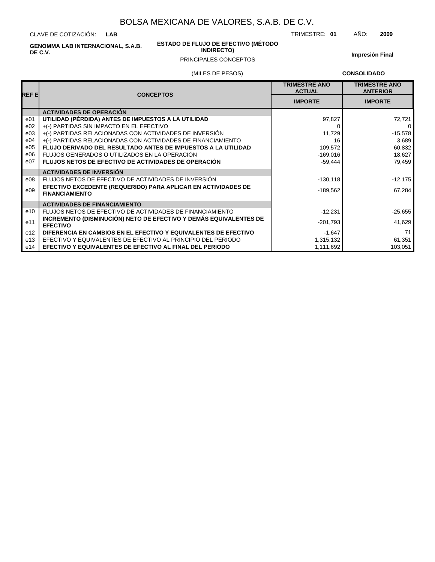CLAVE DE COTIZACIÓN: **LAB**

> **ESTADO DE FLUJO DE EFECTIVO (MÉTODO INDIRECTO)**

TRIMESTRE: **01** AÑO: **2009**

**GENOMMA LAB INTERNACIONAL, S.A.B. DE C.V.**

## PRINCIPALES CONCEPTOS

**Impresión Final**

### (MILES DE PESOS)

**CONSOLIDADO**

| REF EI          | <b>CONCEPTOS</b>                                                                       | <b>TRIMESTRE AÑO</b><br><b>ACTUAL</b> | <b>TRIMESTRE AÑO</b><br><b>ANTERIOR</b> |
|-----------------|----------------------------------------------------------------------------------------|---------------------------------------|-----------------------------------------|
|                 |                                                                                        | <b>IMPORTE</b>                        | <b>IMPORTE</b>                          |
|                 | <b>ACTIVIDADES DE OPERACIÓN</b>                                                        |                                       |                                         |
| e01             | UTILIDAD (PÉRDIDA) ANTES DE IMPUESTOS A LA UTILIDAD                                    | 97,827                                | 72,721                                  |
| e02             | +(-) PARTIDAS SIN IMPACTO EN EL EFECTIVO                                               |                                       | 0                                       |
| e03             | +(-) PARTIDAS RELACIONADAS CON ACTIVIDADES DE INVERSIÓN                                | 11,729                                | $-15,578$                               |
| e04             | +(-) PARTIDAS RELACIONADAS CON ACTIVIDADES DE FINANCIAMIENTO                           | 16                                    | 3,689                                   |
| e05             | FLUJO DERIVADO DEL RESULTADO ANTES DE IMPUESTOS A LA UTILIDAD                          | 109,572                               | 60,832                                  |
| e06             | FLUJOS GENERADOS O UTILIZADOS EN LA OPERACIÓN                                          | $-169,016$                            | 18,627                                  |
| e07             | <b>FLUJOS NETOS DE EFECTIVO DE ACTIVIDADES DE OPERACIÓN</b>                            | $-59.444$                             | 79,459                                  |
|                 | <b>ACTIVIDADES DE INVERSIÓN</b>                                                        |                                       |                                         |
| e08             | FLUJOS NETOS DE EFECTIVO DE ACTIVIDADES DE INVERSIÓN                                   | $-130,118$                            | $-12,175$                               |
| e09             | EFECTIVO EXCEDENTE (REQUERIDO) PARA APLICAR EN ACTIVIDADES DE<br><b>FINANCIAMIENTO</b> | $-189,562$                            | 67,284                                  |
|                 | <b>ACTIVIDADES DE FINANCIAMIENTO</b>                                                   |                                       |                                         |
| e10             | FLUJOS NETOS DE EFECTIVO DE ACTIVIDADES DE FINANCIAMIENTO                              | $-12,231$                             | $-25,655$                               |
| e11             | INCREMENTO (DISMINUCIÓN) NETO DE EFECTIVO Y DEMÁS EQUIVALENTES DE<br><b>EFECTIVO</b>   | $-201,793$                            | 41,629                                  |
| e <sub>12</sub> | DIFERENCIA EN CAMBIOS EN EL EFECTIVO Y EQUIVALENTES DE EFECTIVO                        | $-1,647$                              | 71                                      |
| e13             | EFECTIVO Y EQUIVALENTES DE EFECTIVO AL PRINCIPIO DEL PERIODO                           | 1,315,132                             | 61,351                                  |
| e14             | EFECTIVO Y EQUIVALENTES DE EFECTIVO AL FINAL DEL PERIODO                               | 1,111,692                             | 103,051                                 |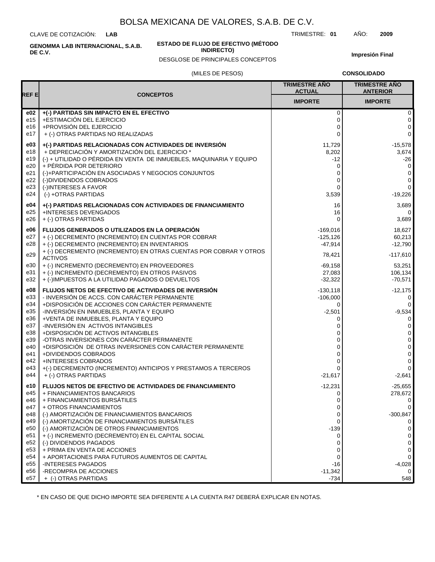CLAVE DE COTIZACIÓN: **LAB**

**DE C.V.**

**GENOMMA LAB INTERNACIONAL, S.A.B.**

**ESTADO DE FLUJO DE EFECTIVO (MÉTODO**

**INDIRECTO)**

TRIMESTRE: **01** AÑO: **2009**

**Impresión Final**

# (MILES DE PESOS) DESGLOSE DE PRINCIPALES CONCEPTOS

**CONSOLIDADO**

|                        |                                                                                                          | <b>TRIMESTRE AÑO</b><br><b>ACTUAL</b> | <b>TRIMESTRE AÑO</b><br><b>ANTERIOR</b> |
|------------------------|----------------------------------------------------------------------------------------------------------|---------------------------------------|-----------------------------------------|
| REF E                  | <b>CONCEPTOS</b>                                                                                         | <b>IMPORTE</b>                        | <b>IMPORTE</b>                          |
| e02<br>e15             | +(-) PARTIDAS SIN IMPACTO EN EL EFECTIVO<br>+ESTIMACIÓN DEL EJERCICIO                                    | $\mathbf 0$<br>0                      | 0<br>0                                  |
| e16                    | +PROVISIÓN DEL EJERCICIO                                                                                 | 0                                     | 0                                       |
| e17                    | + (-) OTRAS PARTIDAS NO REALIZADAS                                                                       | $\Omega$                              | 0                                       |
| e03<br>e18             | +(-) PARTIDAS RELACIONADAS CON ACTIVIDADES DE INVERSIÓN<br>+ DEPRECIACIÓN Y AMORTIZACIÓN DEL EJERCICIO * | 11,729<br>8,202                       | $-15,578$<br>3,674                      |
| e19                    | (-) + UTILIDAD O PÉRDIDA EN VENTA DE INMUEBLES, MAQUINARIA Y EQUIPO                                      | -12                                   | $-26$                                   |
| e20<br>e21             | + PÉRDIDA POR DETERIORO<br>(-)+PARTICIPACIÓN EN ASOCIADAS Y NEGOCIOS CONJUNTOS                           | 0<br>0                                | 0<br>0                                  |
| e22                    | (-)DIVIDENDOS COBRADOS                                                                                   | 0                                     | 0<br>$\mathbf 0$                        |
| e23<br>e24             | (-)INTERESES A FAVOR<br>(-) +OTRAS PARTIDAS                                                              | 0<br>3,539                            | -19,226                                 |
| e04                    | +(-) PARTIDAS RELACIONADAS CON ACTIVIDADES DE FINANCIAMIENTO                                             | 16                                    | 3,689                                   |
| e25<br>e26             | +INTERESES DEVENGADOS<br>+ (-) OTRAS PARTIDAS                                                            | 16<br>$\Omega$                        | 0<br>3,689                              |
| e06                    | FLUJOS GENERADOS O UTILIZADOS EN LA OPERACIÓN                                                            | $-169,016$                            | 18,627                                  |
| e27<br>e28             | + (-) DECREMENTO (INCREMENTO) EN CUENTAS POR COBRAR<br>+ (-) DECREMENTO (INCREMENTO) EN INVENTARIOS      | $-125,126$<br>$-47,914$               | 60,213<br>$-12,790$                     |
| e29                    | + (-) DECREMENTO (INCREMENTO) EN OTRAS CUENTAS POR COBRAR Y OTROS<br><b>ACTIVOS</b>                      | 78,421                                | $-117,610$                              |
| e30                    | + (-) INCREMENTO (DECREMENTO) EN PROVEEDORES                                                             | $-69,158$                             | 53,251                                  |
| e31<br>e32             | + (-) INCREMENTO (DECREMENTO) EN OTROS PASIVOS<br>+ (-)IMPUESTOS A LA UTILIDAD PAGADOS O DEVUELTOS       | 27,083<br>$-32,322$                   | 106,134<br>$-70,571$                    |
| e08                    | FLUJOS NETOS DE EFECTIVO DE ACTIVIDADES DE INVERSIÓN                                                     | $-130,118$                            | $-12,175$                               |
| e33<br>e34             | - INVERSIÓN DE ACCS. CON CARÁCTER PERMANENTE<br>+DISPOSICIÓN DE ACCIONES CON CARÁCTER PERMANENTE         | $-106,000$<br>0                       | 0<br>0                                  |
| e35                    | -INVERSIÓN EN INMUEBLES, PLANTA Y EQUIPO                                                                 | $-2,501$                              | $-9,534$                                |
| e36<br>e37             | +VENTA DE INMUEBLES, PLANTA Y EQUIPO<br>-INVERSIÓN EN ACTIVOS INTANGIBLES                                | 0<br>0                                | 0<br>0                                  |
| e38                    | +DISPOSICIÓN DE ACTIVOS INTANGIBLES<br>-OTRAS INVERSIONES CON CARÁCTER PERMANENTE                        | 0                                     | 0                                       |
| e39<br>e40             | +DISPOSICIÓN DE OTRAS INVERSIONES CON CARÁCTER PERMANENTE                                                | 0<br>$\Omega$                         | 0<br>0                                  |
| e41<br>e42             | +DIVIDENDOS COBRADOS<br><b>+INTERESES COBRADOS</b>                                                       | 0<br>0                                | 0<br>0                                  |
| e43                    | +(-) DECREMENTO (INCREMENTO) ANTICIPOS Y PRESTAMOS A TERCEROS                                            | $\Omega$                              | 0                                       |
| e44                    | + (-) OTRAS PARTIDAS                                                                                     | $-21,617$                             | $-2,641$                                |
| e10<br>e45             | <b>FLUJOS NETOS DE EFECTIVO DE ACTIVIDADES DE FINANCIAMIENTO</b><br>+ FINANCIAMIENTOS BANCARIOS          | $-12,231$<br>0                        | $-25,655$<br>278,672                    |
| e46<br>e47             | + FINANCIAMIENTOS BURSÁTILES<br>+ OTROS FINANCIAMIENTOS                                                  | 0<br>0                                | 0<br>0                                  |
| e48                    | (-) AMORTIZACIÓN DE FINANCIAMIENTOS BANCARIOS                                                            | 0                                     | $-300,847$                              |
| e49<br>e50             | (-) AMORTIZACIÓN DE FINANCIAMIENTOS BURSÁTILES<br>(-) AMORTIZACIÓN DE OTROS FINANCIAMIENTOS              | 0<br>$-139$                           | 0<br>0                                  |
| e51                    | + (-) INCREMENTO (DECREMENTO) EN EL CAPITAL SOCIAL                                                       | 0                                     | 0                                       |
| e52<br>e <sub>53</sub> | (-) DIVIDENDOS PAGADOS<br>+ PRIMA EN VENTA DE ACCIONES                                                   | 0<br>0                                | 0<br>0                                  |
| e54                    | + APORTACIONES PARA FUTUROS AUMENTOS DE CAPITAL                                                          | $\Omega$                              | 0                                       |
| e <sub>55</sub><br>e56 | <b>INTERESES PAGADOS</b><br>-RECOMPRA DE ACCIONES                                                        | -16<br>$-11,342$                      | $-4,028$<br>0                           |
| e57                    | + (-) OTRAS PARTIDAS                                                                                     | $-734$                                | 548                                     |

\* EN CASO DE QUE DICHO IMPORTE SEA DIFERENTE A LA CUENTA R47 DEBERÁ EXPLICAR EN NOTAS.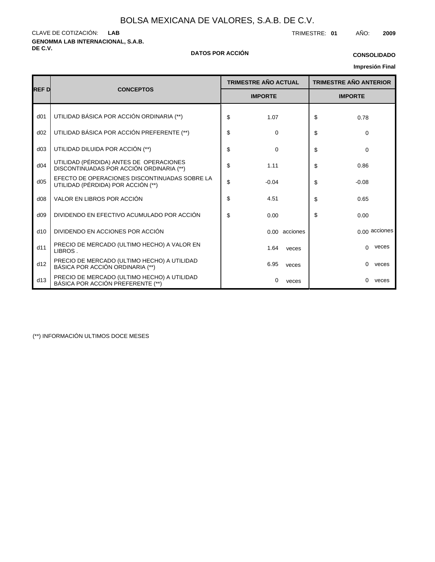**GENOMMA LAB INTERNACIONAL, S.A.B.** CLAVE DE COTIZACIÓN: TRIMESTRE: **01** AÑO: **2009 LAB**

### **DE C.V. DATOS POR ACCIÓN**

### **CONSOLIDADO**

# **Impresión Final**

|                 |                                                                                     |    | <b>TRIMESTRE AÑO ACTUAL</b> | <b>TRIMESTRE AÑO ANTERIOR</b> |
|-----------------|-------------------------------------------------------------------------------------|----|-----------------------------|-------------------------------|
| <b>REF D</b>    | <b>CONCEPTOS</b>                                                                    |    | <b>IMPORTE</b>              | <b>IMPORTE</b>                |
| d <sub>01</sub> | UTILIDAD BÁSICA POR ACCIÓN ORDINARIA (**)                                           | \$ | 1.07                        | \$<br>0.78                    |
| d02             | UTILIDAD BÁSICA POR ACCIÓN PREFERENTE (**)                                          | \$ | $\mathbf 0$                 | \$<br>0                       |
| d03             | UTILIDAD DILUIDA POR ACCIÓN (**)                                                    | \$ | $\mathbf 0$                 | \$<br>$\Omega$                |
| d04             | UTILIDAD (PÉRDIDA) ANTES DE OPERACIONES<br>DISCONTINUADAS POR ACCIÓN ORDINARIA (**) | \$ | 1.11                        | \$<br>0.86                    |
| d05             | EFECTO DE OPERACIONES DISCONTINUADAS SOBRE LA<br>UTILIDAD (PÉRDIDA) POR ACCIÓN (**) | \$ | $-0.04$                     | \$<br>$-0.08$                 |
| d08             | VALOR EN LIBROS POR ACCIÓN                                                          | \$ | 4.51                        | \$<br>0.65                    |
| d09             | DIVIDENDO EN EFECTIVO ACUMULADO POR ACCIÓN                                          | \$ | 0.00                        | \$<br>0.00                    |
| d10             | DIVIDENDO EN ACCIONES POR ACCIÓN                                                    |    | 0.00 acciones               | $0.00$ acciones               |
| d11             | PRECIO DE MERCADO (ULTIMO HECHO) A VALOR EN<br>LIBROS.                              |    | 1.64<br>veces               | veces<br>$\Omega$             |
| d12             | PRECIO DE MERCADO (ULTIMO HECHO) A UTILIDAD<br>BÁSICA POR ACCIÓN ORDINARIA (**)     |    | 6.95<br>veces               | $\Omega$<br>veces             |
| d13             | PRECIO DE MERCADO (ULTIMO HECHO) A UTILIDAD<br>BÁSICA POR ACCIÓN PREFERENTE (**)    |    | 0<br>veces                  | $\Omega$<br>veces             |

(\*\*) INFORMACIÓN ULTIMOS DOCE MESES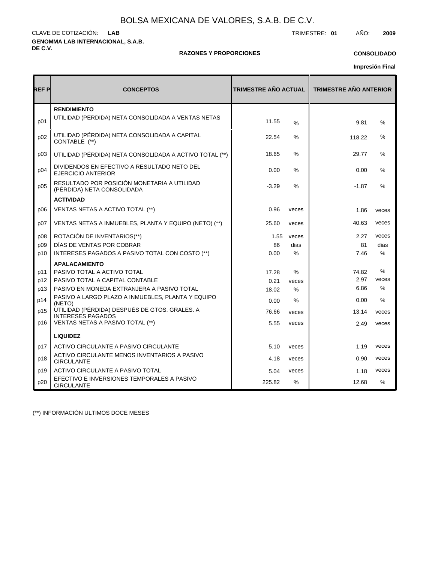**GENOMMA LAB INTERNACIONAL, S.A.B. DE C.V.** CLAVE DE COTIZACIÓN: TRIMESTRE: **01** AÑO: **2009 LAB**

### **RAZONES Y PROPORCIONES**

## **CONSOLIDADO**

**Impresión Final**

| REF P | <b>CONCEPTOS</b>                                                          | <b>TRIMESTRE AÑO ACTUAL</b> |       | <b>TRIMESTRE AÑO ANTERIOR</b> |               |
|-------|---------------------------------------------------------------------------|-----------------------------|-------|-------------------------------|---------------|
| p01   | <b>RENDIMIENTO</b><br>UTILIDAD (PÉRDIDA) NETA CONSOLIDADA A VENTAS NETAS  | 11.55                       | %     | 9.81                          | $\%$          |
| p02   | UTILIDAD (PÉRDIDA) NETA CONSOLIDADA A CAPITAL<br>CONTABLE (**)            | 22.54                       | $\%$  | 118.22                        | $\%$          |
| p03   | UTILIDAD (PÉRDIDA) NETA CONSOLIDADA A ACTIVO TOTAL (**)                   | 18.65                       | $\%$  | 29.77                         | $\%$          |
| p04   | DIVIDENDOS EN EFECTIVO A RESULTADO NETO DEL<br><b>EJERCICIO ANTERIOR</b>  | 0.00                        | %     | 0.00                          | $\frac{0}{0}$ |
| p05   | RESULTADO POR POSICIÓN MONETARIA A UTILIDAD<br>(PÉRDIDA) NETA CONSOLIDADA | $-3.29$                     | %     | $-1.87$                       | $\%$          |
|       | <b>ACTIVIDAD</b>                                                          |                             |       |                               |               |
| p06   | VENTAS NETAS A ACTIVO TOTAL (**)                                          | 0.96                        | veces | 1.86                          | veces         |
| p07   | VENTAS NETAS A INMUEBLES, PLANTA Y EQUIPO (NETO) (**)                     | 25.60                       | veces | 40.63                         | veces         |
| p08   | ROTACIÓN DE INVENTARIOS(**)                                               | 1.55                        | veces | 2.27                          | veces         |
| p09   | DÍAS DE VENTAS POR COBRAR                                                 | 86                          | dias  | 81                            | dias          |
| p10   | INTERESES PAGADOS A PASIVO TOTAL CON COSTO (**)                           | 0.00                        | $\%$  | 7.46                          | $\%$          |
|       | <b>APALACAMIENTO</b>                                                      |                             |       |                               |               |
| p11   | PASIVO TOTAL A ACTIVO TOTAL                                               | 17.28                       | $\%$  | 74.82                         | $\%$          |
| p12   | PASIVO TOTAL A CAPITAL CONTABLE                                           | 0.21                        | veces | 2.97                          | veces         |
| p13   | PASIVO EN MONEDA EXTRANJERA A PASIVO TOTAL                                | 18.02                       | $\%$  | 6.86                          | $\%$          |
| p14   | PASIVO A LARGO PLAZO A INMUEBLES, PLANTA Y EQUIPO<br>(NETO)               | 0.00                        | %     | 0.00                          | $\%$          |
| p15   | UTILIDAD (PÉRDIDA) DESPUÉS DE GTOS. GRALES. A<br><b>INTERESES PAGADOS</b> | 76.66                       | veces | 13.14                         | veces         |
| p16   | VENTAS NETAS A PASIVO TOTAL (**)                                          | 5.55                        | veces | 2.49                          | veces         |
|       | <b>LIQUIDEZ</b>                                                           |                             |       |                               |               |
| p17   | ACTIVO CIRCULANTE A PASIVO CIRCULANTE                                     | 5.10                        | veces | 1.19                          | veces         |
| p18   | ACTIVO CIRCULANTE MENOS INVENTARIOS A PASIVO<br><b>CIRCULANTE</b>         | 4.18                        | veces | 0.90                          | veces         |
| p19   | ACTIVO CIRCULANTE A PASIVO TOTAL                                          | 5.04                        | veces | 1.18                          | veces         |
| p20   | EFECTIVO E INVERSIONES TEMPORALES A PASIVO<br><b>CIRCULANTE</b>           | 225.82                      | $\%$  | 12.68                         | $\frac{0}{0}$ |

(\*\*) INFORMACIÓN ULTIMOS DOCE MESES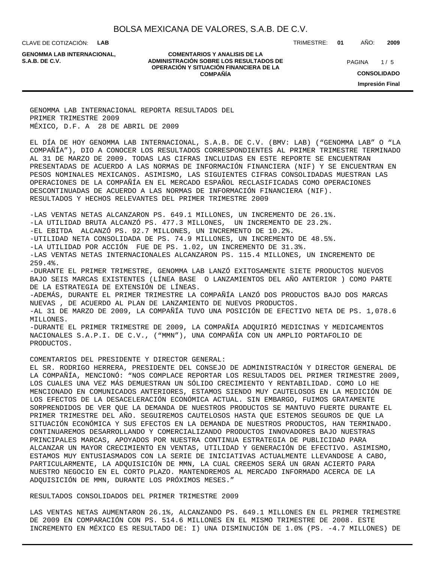CLAVE DE COTIZACIÓN: **LAB**

**GENOMMA LAB INTERNACIONAL,**

**COMENTARIOS Y ANALISIS DE LA ADMINISTRACIÓN SOBRE LOS RESULTADOS DE S.A.B. DE C.V.** PAGINA / 5 **OPERACIÓN Y SITUACIÓN FINANCIERA DE LA COMPAÑÍA**

 $1/5$ **CONSOLIDADO**

TRIMESTRE: **01** AÑO: **2009**

**Impresión Final**

GENOMMA LAB INTERNACIONAL REPORTA RESULTADOS DEL PRIMER TRIMESTRE 2009 MÉXICO, D.F. A 28 DE ABRIL DE 2009

EL DÍA DE HOY GENOMMA LAB INTERNACIONAL, S.A.B. DE C.V. (BMV: LAB) ("GENOMMA LAB" O "LA COMPAÑÍA"), DIO A CONOCER LOS RESULTADOS CORRESPONDIENTES AL PRIMER TRIMESTRE TERMINADO AL 31 DE MARZO DE 2009. TODAS LAS CIFRAS INCLUIDAS EN ESTE REPORTE SE ENCUENTRAN PRESENTADAS DE ACUERDO A LAS NORMAS DE INFORMACIÓN FINANCIERA (NIF) Y SE ENCUENTRAN EN PESOS NOMINALES MEXICANOS. ASIMISMO, LAS SIGUIENTES CIFRAS CONSOLIDADAS MUESTRAN LAS OPERACIONES DE LA COMPAÑÍA EN EL MERCADO ESPAÑOL RECLASIFICADAS COMO OPERACIONES DESCONTINUADAS DE ACUERDO A LAS NORMAS DE INFORMACIÓN FINANCIERA (NIF). RESULTADOS Y HECHOS RELEVANTES DEL PRIMER TRIMESTRE 2009

-LAS VENTAS NETAS ALCANZARON PS. 649.1 MILLONES, UN INCREMENTO DE 26.1%. -LA UTILIDAD BRUTA ALCANZÓ PS. 477.3 MILLONES, UN INCREMENTO DE 23.2%. -EL EBITDA ALCANZÓ PS. 92.7 MILLONES, UN INCREMENTO DE 10.2%. -UTILIDAD NETA CONSOLIDADA DE PS. 74.9 MILLONES, UN INCREMENTO DE 48.5%. -LA UTILIDAD POR ACCIÓN FUE DE PS. 1.02, UN INCREMENTO DE 31.3%. -LAS VENTAS NETAS INTERNACIONALES ALCANZARON PS. 115.4 MILLONES, UN INCREMENTO DE 259.4%. -DURANTE EL PRIMER TRIMESTRE, GENOMMA LAB LANZÓ EXITOSAMENTE SIETE PRODUCTOS NUEVOS BAJO SEIS MARCAS EXISTENTES (LÍNEA BASE O LANZAMIENTOS DEL AÑO ANTERIOR ) COMO PARTE DE LA ESTRATEGIA DE EXTENSIÓN DE LÍNEAS. -ADEMÁS, DURANTE EL PRIMER TRIMESTRE LA COMPAÑÍA LANZÓ DOS PRODUCTOS BAJO DOS MARCAS NUEVAS , DE ACUERDO AL PLAN DE LANZAMIENTO DE NUEVOS PRODUCTOS. -AL 31 DE MARZO DE 2009, LA COMPAÑÍA TUVO UNA POSICIÓN DE EFECTIVO NETA DE PS. 1,078.6 MILLONES. -DURANTE EL PRIMER TRIMESTRE DE 2009, LA COMPAÑÍA ADQUIRIÓ MEDICINAS Y MEDICAMENTOS NACIONALES S.A.P.I. DE C.V., ("MMN"), UNA COMPAÑÍA CON UN AMPLIO PORTAFOLIO DE PRODUCTOS.

#### COMENTARIOS DEL PRESIDENTE Y DIRECTOR GENERAL:

EL SR. RODRIGO HERRERA, PRESIDENTE DEL CONSEJO DE ADMINISTRACIÓN Y DIRECTOR GENERAL DE LA COMPAÑÍA, MENCIONÓ: "NOS COMPLACE REPORTAR LOS RESULTADOS DEL PRIMER TRIMESTRE 2009, LOS CUALES UNA VEZ MÁS DEMUESTRAN UN SÓLIDO CRECIMIENTO Y RENTABILIDAD. COMO LO HE MENCIONADO EN COMUNICADOS ANTERIORES, ESTAMOS SIENDO MUY CAUTELOSOS EN LA MEDICIÓN DE LOS EFECTOS DE LA DESACELERACIÓN ECONÓMICA ACTUAL. SIN EMBARGO, FUIMOS GRATAMENTE SORPRENDIDOS DE VER QUE LA DEMANDA DE NUESTROS PRODUCTOS SE MANTUVO FUERTE DURANTE EL PRIMER TRIMESTRE DEL AÑO. SEGUIREMOS CAUTELOSOS HASTA QUE ESTEMOS SEGUROS DE QUE LA SITUACIÓN ECONÓMICA Y SUS EFECTOS EN LA DEMANDA DE NUESTROS PRODUCTOS, HAN TERMINADO. CONTINUAREMOS DESARROLLANDO Y COMERCIALIZANDO PRODUCTOS INNOVADORES BAJO NUESTRAS PRINCIPALES MARCAS, APOYADOS POR NUESTRA CONTINUA ESTRATEGIA DE PUBLICIDAD PARA ALCANZAR UN MAYOR CRECIMIENTO EN VENTAS, UTILIDAD Y GENERACIÓN DE EFECTIVO. ASIMISMO, ESTAMOS MUY ENTUSIASMADOS CON LA SERIE DE INICIATIVAS ACTUALMENTE LLEVANDOSE A CABO, PARTICULARMENTE, LA ADQUISICIÓN DE MMN, LA CUAL CREEMOS SERÁ UN GRAN ACIERTO PARA NUESTRO NEGOCIO EN EL CORTO PLAZO. MANTENDREMOS AL MERCADO INFORMADO ACERCA DE LA ADQUISICIÓN DE MMN, DURANTE LOS PRÓXIMOS MESES."

### RESULTADOS CONSOLIDADOS DEL PRIMER TRIMESTRE 2009

LAS VENTAS NETAS AUMENTARON 26.1%, ALCANZANDO PS. 649.1 MILLONES EN EL PRIMER TRIMESTRE DE 2009 EN COMPARACIÓN CON PS. 514.6 MILLONES EN EL MISMO TRIMESTRE DE 2008. ESTE INCREMENTO EN MÉXICO ES RESULTADO DE: I) UNA DISMINUCIÓN DE 1.0% (PS. -4.7 MILLONES) DE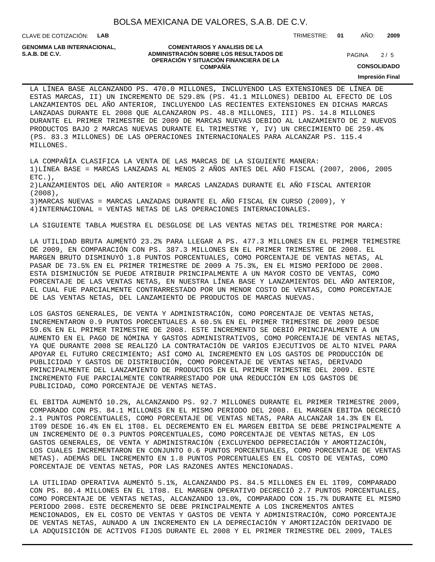CLAVE DE COTIZACIÓN: **LAB**

**GENOMMA LAB INTERNACIONAL,**

#### **COMENTARIOS Y ANALISIS DE LA ADMINISTRACIÓN SOBRE LOS RESULTADOS DE PAGINA 2/5 OPERACIÓN Y SITUACIÓN FINANCIERA DE LA COMPAÑÍA**

 $2/5$ 

TRIMESTRE: **01** AÑO: **2009**

**CONSOLIDADO**

**Impresión Final**

LA LÍNEA BASE ALCANZANDO PS. 470.0 MILLONES, INCLUYENDO LAS EXTENSIONES DE LÍNEA DE ESTAS MARCAS, II) UN INCREMENTO DE 529.8% (PS. 41.1 MILLONES) DEBIDO AL EFECTO DE LOS LANZAMIENTOS DEL AÑO ANTERIOR, INCLUYENDO LAS RECIENTES EXTENSIONES EN DICHAS MARCAS LANZADAS DURANTE EL 2008 QUE ALCANZARON PS. 48.8 MILLONES, III) PS. 14.8 MILLONES DURANTE EL PRIMER TRIMESTRE DE 2009 DE MARCAS NUEVAS DEBIDO AL LANZAMIENTO DE 2 NUEVOS PRODUCTOS BAJO 2 MARCAS NUEVAS DURANTE EL TRIMESTRE Y, IV) UN CRECIMIENTO DE 259.4% (PS. 83.3 MILLONES) DE LAS OPERACIONES INTERNACIONALES PARA ALCANZAR PS. 115.4 MILLONES.

LA COMPAÑÍA CLASIFICA LA VENTA DE LAS MARCAS DE LA SIGUIENTE MANERA: 1)LÍNEA BASE = MARCAS LANZADAS AL MENOS 2 AÑOS ANTES DEL AÑO FISCAL (2007, 2006, 2005  $ETC.$ ), 2)LANZAMIENTOS DEL AÑO ANTERIOR = MARCAS LANZADAS DURANTE EL AÑO FISCAL ANTERIOR (2008), 3)MARCAS NUEVAS = MARCAS LANZADAS DURANTE EL AÑO FISCAL EN CURSO (2009), Y 4)INTERNACIONAL = VENTAS NETAS DE LAS OPERACIONES INTERNACIONALES.

LA SIGUIENTE TABLA MUESTRA EL DESGLOSE DE LAS VENTAS NETAS DEL TRIMESTRE POR MARCA:

LA UTILIDAD BRUTA AUMENTÓ 23.2% PARA LLEGAR A PS. 477.3 MILLONES EN EL PRIMER TRIMESTRE DE 2009, EN COMPARACIÓN CON PS. 387.3 MILLONES EN EL PRIMER TRIMESTRE DE 2008. EL MARGEN BRUTO DISMINUYÓ 1.8 PUNTOS PORCENTUALES, COMO PORCENTAJE DE VENTAS NETAS, AL PASAR DE 73.5% EN EL PRIMER TRIMESTRE DE 2009 A 75.3%, EN EL MISMO PERÍODO DE 2008. ESTA DISMINUCIÓN SE PUEDE ATRIBUIR PRINCIPALMENTE A UN MAYOR COSTO DE VENTAS, COMO PORCENTAJE DE LAS VENTAS NETAS, EN NUESTRA LÍNEA BASE Y LANZAMIENTOS DEL AÑO ANTERIOR, EL CUAL FUE PARCIALMENTE CONTRARRESTADO POR UN MENOR COSTO DE VENTAS, COMO PORCENTAJE DE LAS VENTAS NETAS, DEL LANZAMIENTO DE PRODUCTOS DE MARCAS NUEVAS.

LOS GASTOS GENERALES, DE VENTA Y ADMINISTRACIÓN, COMO PORCENTAJE DE VENTAS NETAS, INCREMENTARON 0.9 PUNTOS PORCENTUALES A 60.5% EN EL PRIMER TRIMESTRE DE 2009 DESDE 59.6% EN EL PRIMER TRIMESTRE DE 2008. ESTE INCREMENTO SE DEBIÓ PRINCIPALMENTE A UN AUMENTO EN EL PAGO DE NÓMINA Y GASTOS ADMINISTRATIVOS, COMO PORCENTAJE DE VENTAS NETAS, YA QUE DURANTE 2008 SE REALIZÓ LA CONTRATACIÓN DE VARIOS EJECUTIVOS DE ALTO NIVEL PARA APOYAR EL FUTURO CRECIMIENTO; ASÍ COMO AL INCREMENTO EN LOS GASTOS DE PRODUCCIÓN DE PUBLICIDAD Y GASTOS DE DISTRIBUCIÓN, COMO PORCENTAJE DE VENTAS NETAS, DERIVADO PRINCIPALMENTE DEL LANZAMIENTO DE PRODUCTOS EN EL PRIMER TRIMESTRE DEL 2009. ESTE INCREMENTO FUE PARCIALMENTE CONTRARRESTADO POR UNA REDUCCIÓN EN LOS GASTOS DE PUBLICIDAD, COMO PORCENTAJE DE VENTAS NETAS.

EL EBITDA AUMENTÓ 10.2%, ALCANZANDO PS. 92.7 MILLONES DURANTE EL PRIMER TRIMESTRE 2009, COMPARADO CON PS. 84.1 MILLONES EN EL MISMO PERIODO DEL 2008. EL MARGEN EBITDA DECRECIÓ 2.1 PUNTOS PORCENTUALES, COMO PORCENTAJE DE VENTAS NETAS, PARA ALCANZAR 14.3% EN EL 1T09 DESDE 16.4% EN EL 1T08. EL DECREMENTO EN EL MARGEN EBITDA SE DEBE PRINCIPALMENTE A UN INCREMENTO DE 0.3 PUNTOS PORCENTUALES, COMO PORCENTAJE DE VENTAS NETAS, EN LOS GASTOS GENERALES, DE VENTA Y ADMINISTRACIÓN (EXCLUYENDO DEPRECIACIÓN Y AMORTIZACIÓN, LOS CUALES INCREMENTARON EN CONJUNTO 0.6 PUNTOS PORCENTUALES, COMO PORCENTAJE DE VENTAS NETAS). ADEMÁS DEL INCREMENTO EN 1.8 PUNTOS PORCENTUALES EN EL COSTO DE VENTAS, COMO PORCENTAJE DE VENTAS NETAS, POR LAS RAZONES ANTES MENCIONADAS.

LA UTILIDAD OPERATIVA AUMENTÓ 5.1%, ALCANZANDO PS. 84.5 MILLONES EN EL 1T09, COMPARADO CON PS. 80.4 MILLONES EN EL 1T08. EL MARGEN OPERATIVO DECRECIÓ 2.7 PUNTOS PORCENTUALES, COMO PORCENTAJE DE VENTAS NETAS, ALCANZANDO 13.0%, COMPARADO CON 15.7% DURANTE EL MISMO PERIODO 2008. ESTE DECREMENTO SE DEBE PRINCIPALMENTE A LOS INCREMENTOS ANTES MENCIONADOS, EN EL COSTO DE VENTAS Y GASTOS DE VENTA Y ADMINISTRACIÓN, COMO PORCENTAJE DE VENTAS NETAS, AUNADO A UN INCREMENTO EN LA DEPRECIACIÓN Y AMORTIZACIÓN DERIVADO DE LA ADQUISICIÓN DE ACTIVOS FIJOS DURANTE EL 2008 Y EL PRIMER TRIMESTRE DEL 2009, TALES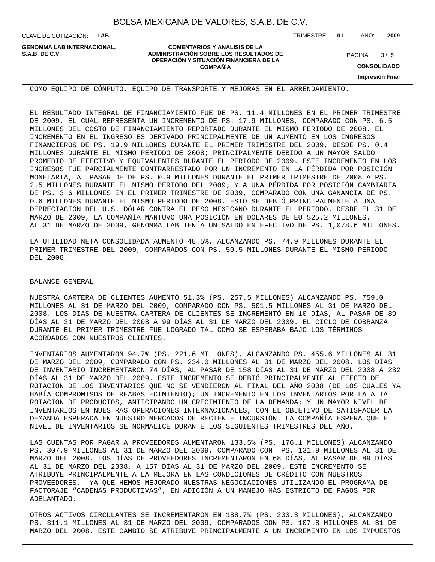CLAVE DE COTIZACIÓN: **LAB**

**GENOMMA LAB INTERNACIONAL,**

**COMENTARIOS Y ANALISIS DE LA ADMINISTRACIÓN SOBRE LOS RESULTADOS DE S.A.B. DE C.V.** PAGINA / 5 **OPERACIÓN Y SITUACIÓN FINANCIERA DE LA COMPAÑÍA**

TRIMESTRE: **01** AÑO: **2009**

 $3/5$ 

**CONSOLIDADO**

**Impresión Final**

COMO EQUIPO DE CÓMPUTO, EQUIPO DE TRANSPORTE Y MEJORAS EN EL ARRENDAMIENTO.

EL RESULTADO INTEGRAL DE FINANCIAMIENTO FUE DE PS. 11.4 MILLONES EN EL PRIMER TRIMESTRE DE 2009, EL CUAL REPRESENTA UN INCREMENTO DE PS. 17.9 MILLONES, COMPARADO CON PS. 6.5 MILLONES DEL COSTO DE FINANCIAMIENTO REPORTADO DURANTE EL MISMO PERIODO DE 2008. EL INCREMENTO EN EL INGRESO ES DERIVADO PRINCIPALMENTE DE UN AUMENTO EN LOS INGRESOS FINANCIEROS DE PS. 19.9 MILLONES DURANTE EL PRIMER TRIMESTRE DEL 2009, DESDE PS. 0.4 MILLONES DURANTE EL MISMO PERIODO DE 2008; PRINCIPALMENTE DEBIDO A UN MAYOR SALDO PROMEDIO DE EFECTIVO Y EQUIVALENTES DURANTE EL PERIODO DE 2009. ESTE INCREMENTO EN LOS INGRESOS FUE PARCIALMENTE CONTRARRESTADO POR UN INCREMENTO EN LA PÉRDIDA POR POSICIÓN MONETARIA, AL PASAR DE DE PS. 0.9 MILLONES DURANTE EL PRIMER TRIMESTRE DE 2008 A PS. 2.5 MILLONES DURANTE EL MISMO PERIODO DEL 2009; Y A UNA PÉRDIDA POR POSICIÓN CAMBIARIA DE PS. 3.6 MILLONES EN EL PRIMER TRIMESTRE DE 2009, COMPARADO CON UNA GANANCIA DE PS. 0.6 MILLONES DURANTE EL MISMO PERIODO DE 2008. ESTO SE DEBIÓ PRINCIPALMENTE A UNA DEPRECIACIÓN DEL U.S. DÓLAR CONTRA EL PESO MEXICANO DURANTE EL PERIODO. DESDE EL 31 DE MARZO DE 2009, LA COMPAÑÍA MANTUVO UNA POSICIÓN EN DÓLARES DE EU \$25.2 MILLONES. AL 31 DE MARZO DE 2009, GENOMMA LAB TENÍA UN SALDO EN EFECTIVO DE PS. 1,078.6 MILLONES.

LA UTILIDAD NETA CONSOLIDADA AUMENTÓ 48.5%, ALCANZANDO PS. 74.9 MILLONES DURANTE EL PRIMER TRIMESTRE DEL 2009, COMPARADOS CON PS. 50.5 MILLONES DURANTE EL MISMO PERIODO DEL 2008.

#### BALANCE GENERAL

NUESTRA CARTERA DE CLIENTES AUMENTÓ 51.3% (PS. 257.5 MILLONES) ALCANZANDO PS. 759.0 MILLONES AL 31 DE MARZO DEL 2009, COMPARADO CON PS. 501.5 MILLONES AL 31 DE MARZO DEL 2008. LOS DÍAS DE NUESTRA CARTERA DE CLIENTES SE INCREMENTÓ EN 10 DÍAS, AL PASAR DE 89 DÍAS AL 31 DE MARZO DEL 2008 A 99 DÍAS AL 31 DE MARZO DEL 2009. EL CICLO DE COBRANZA DURANTE EL PRIMER TRIMESTRE FUE LOGRADO TAL COMO SE ESPERABA BAJO LOS TÉRMINOS ACORDADOS CON NUESTROS CLIENTES.

INVENTARIOS AUMENTARON 94.7% (PS. 221.6 MILLONES), ALCANZANDO PS. 455.6 MILLONES AL 31 DE MARZO DEL 2009, COMPARADO CON PS. 234.0 MILLONES AL 31 DE MARZO DEL 2008. LOS DÍAS DE INVENTARIO INCREMENTARON 74 DÍAS, AL PASAR DE 158 DÍAS AL 31 DE MARZO DEL 2008 A 232 DÍAS AL 31 DE MARZO DEL 2009. ESTE INCREMENTO SE DEBIÓ PRINCIPALMENTE AL EFECTO DE ROTACIÓN DE LOS INVENTARIOS QUE NO SE VENDIERON AL FINAL DEL AÑO 2008 (DE LOS CUALES YA HABÍA COMPROMISOS DE REABASTECIMIENTO); UN INCREMENTO EN LOS INVENTARIOS POR LA ALTA ROTACIÓN DE PRODUCTOS, ANTICIPANDO UN CRECIMIENTO DE LA DEMANDA; Y UN MAYOR NIVEL DE INVENTARIOS EN NUESTRAS OPERACIONES INTERNACIONALES, CON EL OBJETIVO DE SATISFACER LA DEMANDA ESPERADA EN NUESTRO MERCADOS DE RECIENTE INCURSIÓN. LA COMPAÑÍA ESPERA QUE EL NIVEL DE INVENTARIOS SE NORMALICE DURANTE LOS SIGUIENTES TRIMESTRES DEL AÑO.

LAS CUENTAS POR PAGAR A PROVEEDORES AUMENTARON 133.5% (PS. 176.1 MILLONES) ALCANZANDO PS. 307.9 MILLONES AL 31 DE MARZO DEL 2009, COMPARADO CON PS. 131.9 MILLONES AL 31 DE MARZO DEL 2008. LOS DÍAS DE PROVEEDORES INCREMENTARON EN 68 DÍAS, AL PASAR DE 89 DÍAS AL 31 DE MARZO DEL 2008, A 157 DÍAS AL 31 DE MARZO DEL 2009. ESTE INCREMENTO SE ATRIBUYE PRINCIPALMENTE A LA MEJORA EN LAS CONDICIONES DE CRÉDITO CON NUESTROS PROVEEDORES, YA QUE HEMOS MEJORADO NUESTRAS NEGOCIACIONES UTILIZANDO EL PROGRAMA DE FACTORAJE "CADENAS PRODUCTIVAS", EN ADICIÓN A UN MANEJO MÁS ESTRICTO DE PAGOS POR ADELANTADO.

OTROS ACTIVOS CIRCULANTES SE INCREMENTARON EN 188.7% (PS. 203.3 MILLONES), ALCANZANDO PS. 311.1 MILLONES AL 31 DE MARZO DEL 2009, COMPARADOS CON PS. 107.8 MILLONES AL 31 DE MARZO DEL 2008. ESTE CAMBIO SE ATRIBUYE PRINCIPALMENTE A UN INCREMENTO EN LOS IMPUESTOS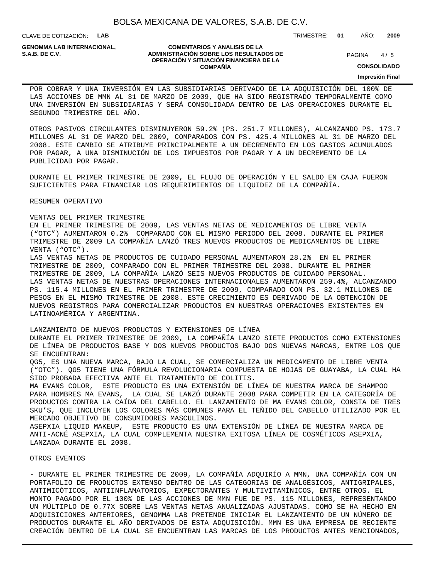CLAVE DE COTIZACIÓN: **LAB**

**GENOMMA LAB INTERNACIONAL,**

#### **COMENTARIOS Y ANALISIS DE LA ADMINISTRACIÓN SOBRE LOS RESULTADOS DE PAGINA 1/5 OPERACIÓN Y SITUACIÓN FINANCIERA DE LA COMPAÑÍA**

 $4/5$ 

TRIMESTRE: **01** AÑO: **2009**

**CONSOLIDADO**

#### **Impresión Final**

POR COBRAR Y UNA INVERSIÓN EN LAS SUBSIDIARIAS DERIVADO DE LA ADQUISICIÓN DEL 100% DE LAS ACCIONES DE MMN AL 31 DE MARZO DE 2009, QUE HA SIDO REGISTRADO TEMPORALMENTE COMO UNA INVERSIÓN EN SUBSIDIARIAS Y SERÁ CONSOLIDADA DENTRO DE LAS OPERACIONES DURANTE EL SEGUNDO TRIMESTRE DEL AÑO.

OTROS PASIVOS CIRCULANTES DISMINUYERON 59.2% (PS. 251.7 MILLONES), ALCANZANDO PS. 173.7 MILLONES AL 31 DE MARZO DEL 2009, COMPARADOS CON PS. 425.4 MILLONES AL 31 DE MARZO DEL 2008. ESTE CAMBIO SE ATRIBUYE PRINCIPALMENTE A UN DECREMENTO EN LOS GASTOS ACUMULADOS POR PAGAR, A UNA DISMINUCIÓN DE LOS IMPUESTOS POR PAGAR Y A UN DECREMENTO DE LA PUBLICIDAD POR PAGAR.

DURANTE EL PRIMER TRIMESTRE DE 2009, EL FLUJO DE OPERACIÓN Y EL SALDO EN CAJA FUERON SUFICIENTES PARA FINANCIAR LOS REQUERIMIENTOS DE LIQUIDEZ DE LA COMPAÑÍA.

RESUMEN OPERATIVO

#### VENTAS DEL PRIMER TRIMESTRE

EN EL PRIMER TRIMESTRE DE 2009, LAS VENTAS NETAS DE MEDICAMENTOS DE LIBRE VENTA ("OTC") AUMENTARON 0.2% COMPARADO CON EL MISMO PERIODO DEL 2008. DURANTE EL PRIMER TRIMESTRE DE 2009 LA COMPAÑÍA LANZÓ TRES NUEVOS PRODUCTOS DE MEDICAMENTOS DE LIBRE VENTA ("OTC").

LAS VENTAS NETAS DE PRODUCTOS DE CUIDADO PERSONAL AUMENTARON 28.2% EN EL PRIMER TRIMESTRE DE 2009, COMPARADO CON EL PRIMER TRIMESTRE DEL 2008. DURANTE EL PRIMER TRIMESTRE DE 2009, LA COMPAÑÍA LANZÓ SEIS NUEVOS PRODUCTOS DE CUIDADO PERSONAL. LAS VENTAS NETAS DE NUESTRAS OPERACIONES INTERNACIONALES AUMENTARON 259.4%, ALCANZANDO PS. 115.4 MILLONES EN EL PRIMER TRIMESTRE DE 2009, COMPARADO CON PS. 32.1 MILLONES DE PESOS EN EL MISMO TRIMESTRE DE 2008. ESTE CRECIMIENTO ES DERIVADO DE LA OBTENCIÓN DE NUEVOS REGISTROS PARA COMERCIALIZAR PRODUCTOS EN NUESTRAS OPERACIONES EXISTENTES EN LATINOAMÉRICA Y ARGENTINA.

#### LANZAMIENTO DE NUEVOS PRODUCTOS Y EXTENSIONES DE LÍNEA

DURANTE EL PRIMER TRIMESTRE DE 2009, LA COMPAÑÍA LANZO SIETE PRODUCTOS COMO EXTENSIONES DE LÍNEA DE PRODUCTOS BASE Y DOS NUEVOS PRODUCTOS BAJO DOS NUEVAS MARCAS, ENTRE LOS QUE SE ENCUENTRAN:

QG5, ES UNA NUEVA MARCA, BAJO LA CUAL, SE COMERCIALIZA UN MEDICAMENTO DE LIBRE VENTA ("OTC"). QG5 TIENE UNA FÓRMULA REVOLUCIONARIA COMPUESTA DE HOJAS DE GUAYABA, LA CUAL HA SIDO PROBADA EFECTIVA ANTE EL TRATAMIENTO DE COLITIS.

MA EVANS COLOR, ESTE PRODUCTO ES UNA EXTENSIÓN DE LÍNEA DE NUESTRA MARCA DE SHAMPOO PARA HOMBRES MA EVANS, LA CUAL SE LANZÓ DURANTE 2008 PARA COMPETIR EN LA CATEGORÍA DE PRODUCTOS CONTRA LA CAÍDA DEL CABELLO. EL LANZAMIENTO DE MA EVANS COLOR, CONSTA DE TRES SKU'S, QUE INCLUYEN LOS COLORES MÁS COMUNES PARA EL TEÑIDO DEL CABELLO UTILIZADO POR EL MERCADO OBJETIVO DE CONSUMIDORES MASCULINOS.

ASEPXIA LIQUID MAKEUP, ESTE PRODUCTO ES UNA EXTENSIÓN DE LÍNEA DE NUESTRA MARCA DE ANTI-ACNÉ ASEPXIA, LA CUAL COMPLEMENTA NUESTRA EXITOSA LÍNEA DE COSMÉTICOS ASEPXIA, LANZADA DURANTE EL 2008.

#### OTROS EVENTOS

- DURANTE EL PRIMER TRIMESTRE DE 2009, LA COMPAÑÍA ADQUIRÍO A MMN, UNA COMPAÑÍA CON UN PORTAFOLIO DE PRODUCTOS EXTENSO DENTRO DE LAS CATEGORIAS DE ANALGÉSICOS, ANTIGRIPALES, ANTIMICÓTICOS, ANTIINFLAMATORIOS, EXPECTORANTES Y MULTIVITAMÍNICOS, ENTRE OTROS. EL MONTO PAGADO POR EL 100% DE LAS ACCIONES DE MMN FUE DE PS. 115 MILLONES, REPRESENTANDO UN MÚLTIPLO DE 0.77X SOBRE LAS VENTAS NETAS ANUALIZADAS AJUSTADAS. COMO SE HA HECHO EN ADQUISICIONES ANTERIORES, GENOMMA LAB PRETENDE INICIAR EL LANZAMIENTO DE UN NÚMERO DE PRODUCTOS DURANTE EL AÑO DERIVADOS DE ESTA ADQUISICIÓN. MMN ES UNA EMPRESA DE RECIENTE CREACIÓN DENTRO DE LA CUAL SE ENCUENTRAN LAS MARCAS DE LOS PRODUCTOS ANTES MENCIONADOS,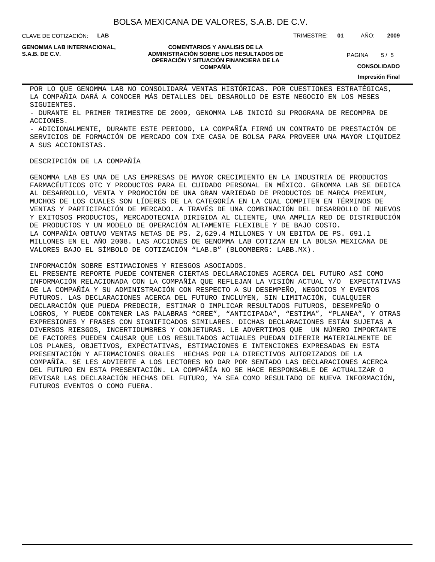CLAVE DE COTIZACIÓN: **LAB**

**GENOMMA LAB INTERNACIONAL,**

#### **COMENTARIOS Y ANALISIS DE LA ADMINISTRACIÓN SOBRE LOS RESULTADOS DE S.A.B. DE C.V.** PAGINA / 5 **OPERACIÓN Y SITUACIÓN FINANCIERA DE LA COMPAÑÍA**

 $5/5$ 

**CONSOLIDADO**

**Impresión Final**

POR LO QUE GENOMMA LAB NO CONSOLIDARÁ VENTAS HISTÓRICAS. POR CUESTIONES ESTRATÉGICAS, LA COMPAÑIA DARÁ A CONOCER MÁS DETALLES DEL DESAROLLO DE ESTE NEGOCIO EN LOS MESES SIGUIENTES.

- DURANTE EL PRIMER TRIMESTRE DE 2009, GENOMMA LAB INICIÓ SU PROGRAMA DE RECOMPRA DE ACCIONES.

- ADICIONALMENTE, DURANTE ESTE PERIODO, LA COMPAÑÍA FIRMÓ UN CONTRATO DE PRESTACIÓN DE SERVICIOS DE FORMACIÓN DE MERCADO CON IXE CASA DE BOLSA PARA PROVEER UNA MAYOR LIQUIDEZ A SUS ACCIONISTAS.

### DESCRIPCIÓN DE LA COMPAÑÍA

GENOMMA LAB ES UNA DE LAS EMPRESAS DE MAYOR CRECIMIENTO EN LA INDUSTRIA DE PRODUCTOS FARMACÉUTICOS OTC Y PRODUCTOS PARA EL CUIDADO PERSONAL EN MÉXICO. GENOMMA LAB SE DEDICA AL DESARROLLO, VENTA Y PROMOCIÓN DE UNA GRAN VARIEDAD DE PRODUCTOS DE MARCA PREMIUM, MUCHOS DE LOS CUALES SON LÍDERES DE LA CATEGORÍA EN LA CUAL COMPITEN EN TÉRMINOS DE VENTAS Y PARTICIPACIÓN DE MERCADO. A TRAVÉS DE UNA COMBINACIÓN DEL DESARROLLO DE NUEVOS Y EXITOSOS PRODUCTOS, MERCADOTECNIA DIRIGIDA AL CLIENTE, UNA AMPLIA RED DE DISTRIBUCIÓN DE PRODUCTOS Y UN MODELO DE OPERACIÓN ALTAMENTE FLEXIBLE Y DE BAJO COSTO. LA COMPAÑÍA OBTUVO VENTAS NETAS DE PS. 2,629.4 MILLONES Y UN EBITDA DE PS. 691.1 MILLONES EN EL AÑO 2008. LAS ACCIONES DE GENOMMA LAB COTIZAN EN LA BOLSA MEXICANA DE VALORES BAJO EL SÍMBOLO DE COTIZACIÓN "LAB.B" (BLOOMBERG: LABB.MX).

INFORMACIÓN SOBRE ESTIMACIONES Y RIESGOS ASOCIADOS.

EL PRESENTE REPORTE PUEDE CONTENER CIERTAS DECLARACIONES ACERCA DEL FUTURO ASÍ COMO INFORMACIÓN RELACIONADA CON LA COMPAÑÍA QUE REFLEJAN LA VISIÓN ACTUAL Y/O EXPECTATIVAS DE LA COMPAÑÍA Y SU ADMINISTRACIÓN CON RESPECTO A SU DESEMPEÑO, NEGOCIOS Y EVENTOS FUTUROS. LAS DECLARACIONES ACERCA DEL FUTURO INCLUYEN, SIN LIMITACIÓN, CUALQUIER DECLARACIÓN QUE PUEDA PREDECIR, ESTIMAR O IMPLICAR RESULTADOS FUTUROS, DESEMPEÑO O LOGROS, Y PUEDE CONTENER LAS PALABRAS "CREE", "ANTICIPADA", "ESTIMA", "PLANEA", Y OTRAS EXPRESIONES Y FRASES CON SIGNIFICADOS SIMILARES. DICHAS DECLARACIONES ESTÁN SUJETAS A DIVERSOS RIESGOS, INCERTIDUMBRES Y CONJETURAS. LE ADVERTIMOS QUE UN NÚMERO IMPORTANTE DE FACTORES PUEDEN CAUSAR QUE LOS RESULTADOS ACTUALES PUEDAN DIFERIR MATERIALMENTE DE LOS PLANES, OBJETIVOS, EXPECTATIVAS, ESTIMACIONES E INTENCIONES EXPRESADAS EN ESTA PRESENTACIÓN Y AFIRMACIONES ORALES HECHAS POR LA DIRECTIVOS AUTORIZADOS DE LA COMPAÑÍA. SE LES ADVIERTE A LOS LECTORES NO DAR POR SENTADO LAS DECLARACIONES ACERCA DEL FUTURO EN ESTA PRESENTACIÓN. LA COMPAÑÍA NO SE HACE RESPONSABLE DE ACTUALIZAR O REVISAR LAS DECLARACIÓN HECHAS DEL FUTURO, YA SEA COMO RESULTADO DE NUEVA INFORMACIÓN, FUTUROS EVENTOS O COMO FUERA.

TRIMESTRE: **01** AÑO: **2009**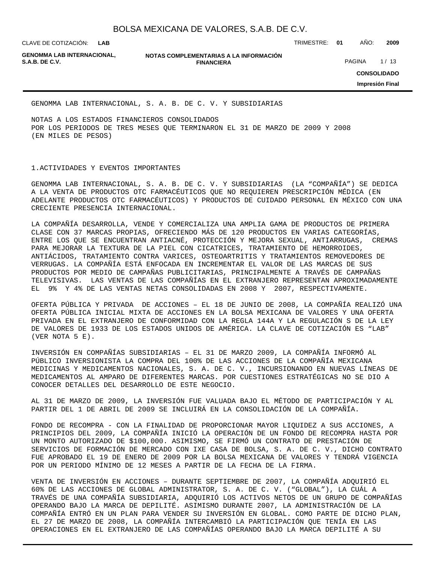CLAVE DE COTIZACIÓN: TRIMESTRE: **01** AÑO: **2009**

**GENOMMA LAB INTERNACIONAL,**

**NOTAS COMPLEMENTARIAS A LA INFORMACIÓN FINANCIERA S.A.B. DE C.V.** PAGINA 1/13

**CONSOLIDADO**

**Impresión Final**

GENOMMA LAB INTERNACIONAL, S. A. B. DE C. V. Y SUBSIDIARIAS

NOTAS A LOS ESTADOS FINANCIEROS CONSOLIDADOS POR LOS PERIODOS DE TRES MESES QUE TERMINARON EL 31 DE MARZO DE 2009 Y 2008 (EN MILES DE PESOS)

#### 1. ACTIVIDADES Y EVENTOS IMPORTANTES

GENOMMA LAB INTERNACIONAL, S. A. B. DE C. V. Y SUBSIDIARIAS (LA "COMPAÑÍA") SE DEDICA A LA VENTA DE PRODUCTOS OTC FARMACÉUTICOS QUE NO REQUIEREN PRESCRIPCIÓN MÉDICA (EN ADELANTE PRODUCTOS OTC FARMACÉUTICOS) Y PRODUCTOS DE CUIDADO PERSONAL EN MÉXICO CON UNA CRECIENTE PRESENCIA INTERNACIONAL.

LA COMPAÑÍA DESARROLLA, VENDE Y COMERCIALIZA UNA AMPLIA GAMA DE PRODUCTOS DE PRIMERA CLASE CON 37 MARCAS PROPIAS, OFRECIENDO MÁS DE 120 PRODUCTOS EN VARIAS CATEGORÍAS, ENTRE LOS QUE SE ENCUENTRAN ANTIACNÉ, PROTECCIÓN Y MEJORA SEXUAL, ANTIARRUGAS, CREMAS PARA MEJORAR LA TEXTURA DE LA PIEL CON CICATRICES, TRATAMIENTO DE HEMORROIDES, ANTIÁCIDOS, TRATAMIENTO CONTRA VARICES, OSTEOARTRITIS Y TRATAMIENTOS REMOVEDORES DE VERRUGAS. LA COMPAÑÍA ESTÁ ENFOCADA EN INCREMENTAR EL VALOR DE LAS MARCAS DE SUS PRODUCTOS POR MEDIO DE CAMPAÑAS PUBLICITARIAS, PRINCIPALMENTE A TRAVÉS DE CAMPAÑAS TELEVISIVAS. LAS VENTAS DE LAS COMPAÑÍAS EN EL EXTRANJERO REPRESENTAN APROXIMADAMENTE EL 9% Y 4% DE LAS VENTAS NETAS CONSOLIDADAS EN 2008 Y 2007, RESPECTIVAMENTE.

OFERTA PÚBLICA Y PRIVADA DE ACCIONES – EL 18 DE JUNIO DE 2008, LA COMPAÑÍA REALIZÓ UNA OFERTA PÚBLICA INICIAL MIXTA DE ACCIONES EN LA BOLSA MEXICANA DE VALORES Y UNA OFERTA PRIVADA EN EL EXTRANJERO DE CONFORMIDAD CON LA REGLA 144A Y LA REGULACIÓN S DE LA LEY DE VALORES DE 1933 DE LOS ESTADOS UNIDOS DE AMÉRICA. LA CLAVE DE COTIZACIÓN ES "LAB" (VER NOTA 5 E).

INVERSIÓN EN COMPAÑÍAS SUBSIDIARIAS – EL 31 DE MARZO 2009, LA COMPAÑÍA INFORMÓ AL PÚBLICO INVERSIONISTA LA COMPRA DEL 100% DE LAS ACCIONES DE LA COMPAÑÍA MEXICANA MEDICINAS Y MEDICAMENTOS NACIONALES, S. A. DE C. V., INCURSIONANDO EN NUEVAS LÍNEAS DE MEDICAMENTOS AL AMPARO DE DIFERENTES MARCAS. POR CUESTIONES ESTRATÉGICAS NO SE DIO A CONOCER DETALLES DEL DESARROLLO DE ESTE NEGOCIO.

AL 31 DE MARZO DE 2009, LA INVERSIÓN FUE VALUADA BAJO EL MÉTODO DE PARTICIPACIÓN Y AL PARTIR DEL 1 DE ABRIL DE 2009 SE INCLUIRÁ EN LA CONSOLIDACIÓN DE LA COMPAÑÍA.

FONDO DE RECOMPRA - CON LA FINALIDAD DE PROPORCIONAR MAYOR LIQUIDEZ A SUS ACCIONES, A PRINCIPIOS DEL 2009, LA COMPAÑÍA INICIÓ LA OPERACIÓN DE UN FONDO DE RECOMPRA HASTA POR UN MONTO AUTORIZADO DE \$100,000. ASIMISMO, SE FIRMÓ UN CONTRATO DE PRESTACIÓN DE SERVICIOS DE FORMACIÓN DE MERCADO CON IXE CASA DE BOLSA, S. A. DE C. V., DICHO CONTRATO FUE APROBADO EL 19 DE ENERO DE 2009 POR LA BOLSA MEXICANA DE VALORES Y TENDRÁ VIGENCIA POR UN PERIODO MÍNIMO DE 12 MESES A PARTIR DE LA FECHA DE LA FIRMA.

VENTA DE INVERSIÓN EN ACCIONES – DURANTE SEPTIEMBRE DE 2007, LA COMPAÑÍA ADQUIRIÓ EL 60% DE LAS ACCIONES DE GLOBAL ADMINISTRATOR, S. A. DE C. V. ("GLOBAL"), LA CUÁL A TRAVÉS DE UNA COMPAÑÍA SUBSIDIARIA, ADQUIRIÓ LOS ACTIVOS NETOS DE UN GRUPO DE COMPAÑÍAS OPERANDO BAJO LA MARCA DE DEPILITÉ. ASIMISMO DURANTE 2007, LA ADMINISTRACIÓN DE LA COMPAÑÍA ENTRÓ EN UN PLAN PARA VENDER SU INVERSIÓN EN GLOBAL. COMO PARTE DE DICHO PLAN, EL 27 DE MARZO DE 2008, LA COMPAÑÍA INTERCAMBIÓ LA PARTICIPACIÓN QUE TENÍA EN LAS OPERACIONES EN EL EXTRANJERO DE LAS COMPAÑÍAS OPERANDO BAJO LA MARCA DEPILITÉ A SU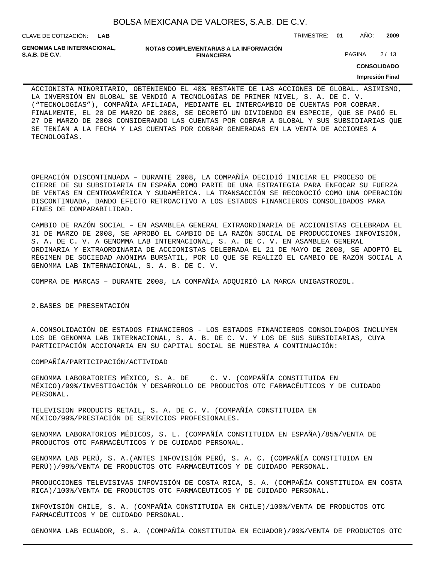CLAVE DE COTIZACIÓN: TRIMESTRE: **01** AÑO: **2009**

**GENOMMA LAB INTERNACIONAL,**

**NOTAS COMPLEMENTARIAS A LA INFORMACIÓN FINANCIERA S.A.B. DE C.V.** PAGINA 2 / 13

**CONSOLIDADO**

**Impresión Final**

ACCIONISTA MINORITARIO, OBTENIENDO EL 40% RESTANTE DE LAS ACCIONES DE GLOBAL. ASIMISMO, LA INVERSIÓN EN GLOBAL SE VENDIÓ A TECNOLOGÍAS DE PRIMER NIVEL, S. A. DE C. V. ("TECNOLOGÍAS"), COMPAÑÍA AFILIADA, MEDIANTE EL INTERCAMBIO DE CUENTAS POR COBRAR. FINALMENTE, EL 20 DE MARZO DE 2008, SE DECRETÓ UN DIVIDENDO EN ESPECIE, QUE SE PAGÓ EL 27 DE MARZO DE 2008 CONSIDERANDO LAS CUENTAS POR COBRAR A GLOBAL Y SUS SUBSIDIARIAS QUE SE TENÍAN A LA FECHA Y LAS CUENTAS POR COBRAR GENERADAS EN LA VENTA DE ACCIONES A TECNOLOGÍAS.

OPERACIÓN DISCONTINUADA – DURANTE 2008, LA COMPAÑÍA DECIDIÓ INICIAR EL PROCESO DE CIERRE DE SU SUBSIDIARIA EN ESPAÑA COMO PARTE DE UNA ESTRATEGIA PARA ENFOCAR SU FUERZA DE VENTAS EN CENTROAMÉRICA Y SUDAMÉRICA. LA TRANSACCIÓN SE RECONOCIÓ COMO UNA OPERACIÓN DISCONTINUADA, DANDO EFECTO RETROACTIVO A LOS ESTADOS FINANCIEROS CONSOLIDADOS PARA FINES DE COMPARABILIDAD.

CAMBIO DE RAZÓN SOCIAL – EN ASAMBLEA GENERAL EXTRAORDINARIA DE ACCIONISTAS CELEBRADA EL 31 DE MARZO DE 2008, SE APROBÓ EL CAMBIO DE LA RAZÓN SOCIAL DE PRODUCCIONES INFOVISIÓN, S. A. DE C. V. A GENOMMA LAB INTERNACIONAL, S. A. DE C. V. EN ASAMBLEA GENERAL ORDINARIA Y EXTRAORDINARIA DE ACCIONISTAS CELEBRADA EL 21 DE MAYO DE 2008, SE ADOPTÓ EL RÉGIMEN DE SOCIEDAD ANÓNIMA BURSÁTIL, POR LO QUE SE REALIZÓ EL CAMBIO DE RAZÓN SOCIAL A GENOMMA LAB INTERNACIONAL, S. A. B. DE C. V.

COMPRA DE MARCAS – DURANTE 2008, LA COMPAÑÍA ADQUIRIÓ LA MARCA UNIGASTROZOL.

2. BASES DE PRESENTACIÓN

A. CONSOLIDACIÓN DE ESTADOS FINANCIEROS - LOS ESTADOS FINANCIEROS CONSOLIDADOS INCLUYEN LOS DE GENOMMA LAB INTERNACIONAL, S. A. B. DE C. V. Y LOS DE SUS SUBSIDIARIAS, CUYA PARTICIPACIÓN ACCIONARIA EN SU CAPITAL SOCIAL SE MUESTRA A CONTINUACIÓN:

COMPAÑÍA/PARTICIPACIÓN/ACTIVIDAD

GENOMMA LABORATORIES MÉXICO, S. A. DE C. V. (COMPAÑÍA CONSTITUIDA EN MÉXICO)/99%/INVESTIGACIÓN Y DESARROLLO DE PRODUCTOS OTC FARMACÉUTICOS Y DE CUIDADO PERSONAL.

TELEVISION PRODUCTS RETAIL, S. A. DE C. V. (COMPAÑÍA CONSTITUIDA EN MÉXICO/99%/PRESTACIÓN DE SERVICIOS PROFESIONALES.

GENOMMA LABORATORIOS MÉDICOS, S. L. (COMPAÑÍA CONSTITUIDA EN ESPAÑA)/85%/VENTA DE PRODUCTOS OTC FARMACÉUTICOS Y DE CUIDADO PERSONAL.

GENOMMA LAB PERÚ, S. A.(ANTES INFOVISIÓN PERÚ, S. A. C. (COMPAÑÍA CONSTITUIDA EN PERÚ))/99%/VENTA DE PRODUCTOS OTC FARMACÉUTICOS Y DE CUIDADO PERSONAL.

PRODUCCIONES TELEVISIVAS INFOVISIÓN DE COSTA RICA, S. A. (COMPAÑÍA CONSTITUIDA EN COSTA RICA)/100%/VENTA DE PRODUCTOS OTC FARMACÉUTICOS Y DE CUIDADO PERSONAL.

INFOVISIÓN CHILE, S. A. (COMPAÑÍA CONSTITUIDA EN CHILE)/100%/VENTA DE PRODUCTOS OTC FARMACÉUTICOS Y DE CUIDADO PERSONAL.

GENOMMA LAB ECUADOR, S. A. (COMPAÑÍA CONSTITUIDA EN ECUADOR)/99%/VENTA DE PRODUCTOS OTC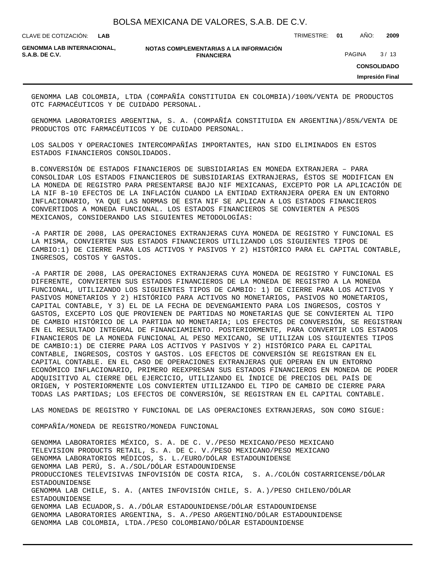**LAB**

CLAVE DE COTIZACIÓN: TRIMESTRE: **01** AÑO: **2009**

**GENOMMA LAB INTERNACIONAL,**

#### **NOTAS COMPLEMENTARIAS A LA INFORMACIÓN FINANCIERA S.A.B. DE C.V.** PAGINA 8 / 13

**CONSOLIDADO**

**Impresión Final**

GENOMMA LAB COLOMBIA, LTDA (COMPAÑÍA CONSTITUIDA EN COLOMBIA)/100%/VENTA DE PRODUCTOS OTC FARMACÉUTICOS Y DE CUIDADO PERSONAL.

GENOMMA LABORATORIES ARGENTINA, S. A. (COMPAÑÍA CONSTITUIDA EN ARGENTINA)/85%/VENTA DE PRODUCTOS OTC FARMACÉUTICOS Y DE CUIDADO PERSONAL.

LOS SALDOS Y OPERACIONES INTERCOMPAÑÍAS IMPORTANTES, HAN SIDO ELIMINADOS EN ESTOS ESTADOS FINANCIEROS CONSOLIDADOS.

B. CONVERSIÓN DE ESTADOS FINANCIEROS DE SUBSIDIARIAS EN MONEDA EXTRANJERA – PARA CONSOLIDAR LOS ESTADOS FINANCIEROS DE SUBSIDIARIAS EXTRANJERAS, ÉSTOS SE MODIFICAN EN LA MONEDA DE REGISTRO PARA PRESENTARSE BAJO NIF MEXICANAS, EXCEPTO POR LA APLICACIÓN DE LA NIF B-10 EFECTOS DE LA INFLACIÓN CUANDO LA ENTIDAD EXTRANJERA OPERA EN UN ENTORNO INFLACIONARIO, YA QUE LAS NORMAS DE ESTA NIF SE APLICAN A LOS ESTADOS FINANCIEROS CONVERTIDOS A MONEDA FUNCIONAL. LOS ESTADOS FINANCIEROS SE CONVIERTEN A PESOS MEXICANOS, CONSIDERANDO LAS SIGUIENTES METODOLOGÍAS:

- A PARTIR DE 2008, LAS OPERACIONES EXTRANJERAS CUYA MONEDA DE REGISTRO Y FUNCIONAL ES LA MISMA, CONVIERTEN SUS ESTADOS FINANCIEROS UTILIZANDO LOS SIGUIENTES TIPOS DE CAMBIO:1) DE CIERRE PARA LOS ACTIVOS Y PASIVOS Y 2) HISTÓRICO PARA EL CAPITAL CONTABLE, INGRESOS, COSTOS Y GASTOS.

- A PARTIR DE 2008, LAS OPERACIONES EXTRANJERAS CUYA MONEDA DE REGISTRO Y FUNCIONAL ES DIFERENTE, CONVIERTEN SUS ESTADOS FINANCIEROS DE LA MONEDA DE REGISTRO A LA MONEDA FUNCIONAL, UTILIZANDO LOS SIGUIENTES TIPOS DE CAMBIO: 1) DE CIERRE PARA LOS ACTIVOS Y PASIVOS MONETARIOS Y 2) HISTÓRICO PARA ACTIVOS NO MONETARIOS, PASIVOS NO MONETARIOS, CAPITAL CONTABLE, Y 3) EL DE LA FECHA DE DEVENGAMIENTO PARA LOS INGRESOS, COSTOS Y GASTOS, EXCEPTO LOS QUE PROVIENEN DE PARTIDAS NO MONETARIAS QUE SE CONVIERTEN AL TIPO DE CAMBIO HISTÓRICO DE LA PARTIDA NO MONETARIA; LOS EFECTOS DE CONVERSIÓN, SE REGISTRAN EN EL RESULTADO INTEGRAL DE FINANCIAMIENTO. POSTERIORMENTE, PARA CONVERTIR LOS ESTADOS FINANCIEROS DE LA MONEDA FUNCIONAL AL PESO MEXICANO, SE UTILIZAN LOS SIGUIENTES TIPOS DE CAMBIO:1) DE CIERRE PARA LOS ACTIVOS Y PASIVOS Y 2) HISTÓRICO PARA EL CAPITAL CONTABLE, INGRESOS, COSTOS Y GASTOS. LOS EFECTOS DE CONVERSIÓN SE REGISTRAN EN EL CAPITAL CONTABLE. EN EL CASO DE OPERACIONES EXTRANJERAS QUE OPERAN EN UN ENTORNO ECONÓMICO INFLACIONARIO, PRIMERO REEXPRESAN SUS ESTADOS FINANCIEROS EN MONEDA DE PODER ADQUISITIVO AL CIERRE DEL EJERCICIO, UTILIZANDO EL ÍNDICE DE PRECIOS DEL PAÍS DE ORIGEN, Y POSTERIORMENTE LOS CONVIERTEN UTILIZANDO EL TIPO DE CAMBIO DE CIERRE PARA TODAS LAS PARTIDAS; LOS EFECTOS DE CONVERSIÓN, SE REGISTRAN EN EL CAPITAL CONTABLE.

LAS MONEDAS DE REGISTRO Y FUNCIONAL DE LAS OPERACIONES EXTRANJERAS, SON COMO SIGUE:

COMPAÑÍA/MONEDA DE REGISTRO/MONEDA FUNCIONAL

GENOMMA LABORATORIES MÉXICO, S. A. DE C. V./PESO MEXICANO/PESO MEXICANO TELEVISION PRODUCTS RETAIL, S. A. DE C. V./PESO MEXICANO/PESO MEXICANO GENOMMA LABORATORIOS MÉDICOS, S. L./EURO/DÓLAR ESTADOUNIDENSE GENOMMA LAB PERÚ, S. A./SOL/DÓLAR ESTADOUNIDENSE PRODUCCIONES TELEVISIVAS INFOVISIÓN DE COSTA RICA, S. A./COLÓN COSTARRICENSE/DÓLAR ESTADOUNIDENSE GENOMMA LAB CHILE, S. A. (ANTES INFOVISIÓN CHILE, S. A.)/PESO CHILENO/DÓLAR ESTADOUNIDENSE GENOMMA LAB ECUADOR,S. A./DÓLAR ESTADOUNIDENSE/DÓLAR ESTADOUNIDENSE GENOMMA LABORATORIES ARGENTINA, S. A./PESO ARGENTINO/DÓLAR ESTADOUNIDENSE GENOMMA LAB COLOMBIA, LTDA./PESO COLOMBIANO/DÓLAR ESTADOUNIDENSE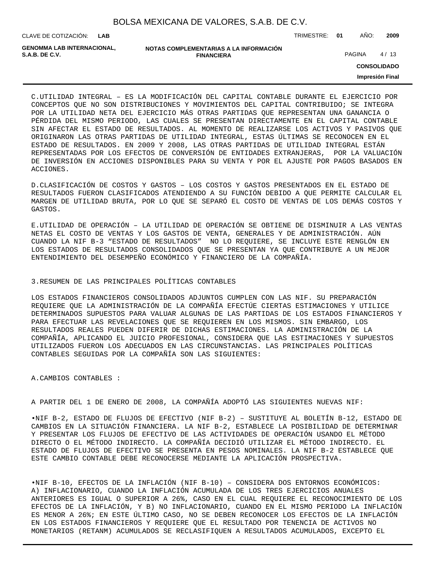| BOLSA MEXICANA DE VALORES, S.A.B. DE C.V. |  |  |
|-------------------------------------------|--|--|
|-------------------------------------------|--|--|

CLAVE DE COTIZACIÓN: TRIMESTRE: **01** AÑO: **2009**

| GENOMMA LAB INTERNACIONAL. | NOTAS COMPLEMENTARIAS A LA INFORMACIÓN |               |      |
|----------------------------|----------------------------------------|---------------|------|
| S.A.B. DE C.V.             | <b>FINANCIERA</b>                      | <b>PAGINA</b> | 4/13 |

**CONSOLIDADO**

**Impresión Final**

C. UTILIDAD INTEGRAL – ES LA MODIFICACIÓN DEL CAPITAL CONTABLE DURANTE EL EJERCICIO POR CONCEPTOS QUE NO SON DISTRIBUCIONES Y MOVIMIENTOS DEL CAPITAL CONTRIBUIDO; SE INTEGRA POR LA UTILIDAD NETA DEL EJERCICIO MÁS OTRAS PARTIDAS QUE REPRESENTAN UNA GANANCIA O PÉRDIDA DEL MISMO PERIODO, LAS CUALES SE PRESENTAN DIRECTAMENTE EN EL CAPITAL CONTABLE SIN AFECTAR EL ESTADO DE RESULTADOS. AL MOMENTO DE REALIZARSE LOS ACTIVOS Y PASIVOS QUE ORIGINARON LAS OTRAS PARTIDAS DE UTILIDAD INTEGRAL, ESTAS ÚLTIMAS SE RECONOCEN EN EL ESTADO DE RESULTADOS. EN 2009 Y 2008, LAS OTRAS PARTIDAS DE UTILIDAD INTEGRAL ESTÁN REPRESENTADAS POR LOS EFECTOS DE CONVERSIÓN DE ENTIDADES EXTRANJERAS, POR LA VALUACIÓN DE INVERSIÓN EN ACCIONES DISPONIBLES PARA SU VENTA Y POR EL AJUSTE POR PAGOS BASADOS EN ACCIONES.

D. CLASIFICACIÓN DE COSTOS Y GASTOS – LOS COSTOS Y GASTOS PRESENTADOS EN EL ESTADO DE RESULTADOS FUERON CLASIFICADOS ATENDIENDO A SU FUNCIÓN DEBIDO A QUE PERMITE CALCULAR EL MARGEN DE UTILIDAD BRUTA, POR LO QUE SE SEPARÓ EL COSTO DE VENTAS DE LOS DEMÁS COSTOS Y GASTOS.

E. UTILIDAD DE OPERACIÓN – LA UTILIDAD DE OPERACIÓN SE OBTIENE DE DISMINUIR A LAS VENTAS NETAS EL COSTO DE VENTAS Y LOS GASTOS DE VENTA, GENERALES Y DE ADMINISTRACIÓN. AÚN CUANDO LA NIF B-3 "ESTADO DE RESULTADOS" NO LO REQUIERE, SE INCLUYE ESTE RENGLÓN EN LOS ESTADOS DE RESULTADOS CONSOLIDADOS QUE SE PRESENTAN YA QUE CONTRIBUYE A UN MEJOR ENTENDIMIENTO DEL DESEMPEÑO ECONÓMICO Y FINANCIERO DE LA COMPAÑÍA.

### 3. RESUMEN DE LAS PRINCIPALES POLÍTICAS CONTABLES

LOS ESTADOS FINANCIEROS CONSOLIDADOS ADJUNTOS CUMPLEN CON LAS NIF. SU PREPARACIÓN REQUIERE QUE LA ADMINISTRACIÓN DE LA COMPAÑÍA EFECTÚE CIERTAS ESTIMACIONES Y UTILICE DETERMINADOS SUPUESTOS PARA VALUAR ALGUNAS DE LAS PARTIDAS DE LOS ESTADOS FINANCIEROS Y PARA EFECTUAR LAS REVELACIONES QUE SE REQUIEREN EN LOS MISMOS. SIN EMBARGO, LOS RESULTADOS REALES PUEDEN DIFERIR DE DICHAS ESTIMACIONES. LA ADMINISTRACIÓN DE LA COMPAÑÍA, APLICANDO EL JUICIO PROFESIONAL, CONSIDERA QUE LAS ESTIMACIONES Y SUPUESTOS UTILIZADOS FUERON LOS ADECUADOS EN LAS CIRCUNSTANCIAS. LAS PRINCIPALES POLÍTICAS CONTABLES SEGUIDAS POR LA COMPAÑÍA SON LAS SIGUIENTES:

A. CAMBIOS CONTABLES :

A PARTIR DEL 1 DE ENERO DE 2008, LA COMPAÑÍA ADOPTÓ LAS SIGUIENTES NUEVAS NIF:

• NIF B-2, ESTADO DE FLUJOS DE EFECTIVO (NIF B-2) – SUSTITUYE AL BOLETÍN B-12, ESTADO DE CAMBIOS EN LA SITUACIÓN FINANCIERA. LA NIF B-2, ESTABLECE LA POSIBILIDAD DE DETERMINAR Y PRESENTAR LOS FLUJOS DE EFECTIVO DE LAS ACTIVIDADES DE OPERACIÓN USANDO EL MÉTODO DIRECTO O EL MÉTODO INDIRECTO. LA COMPAÑÍA DECIDIÓ UTILIZAR EL MÉTODO INDIRECTO. EL ESTADO DE FLUJOS DE EFECTIVO SE PRESENTA EN PESOS NOMINALES. LA NIF B-2 ESTABLECE QUE ESTE CAMBIO CONTABLE DEBE RECONOCERSE MEDIANTE LA APLICACIÓN PROSPECTIVA.

• NIF B-10, EFECTOS DE LA INFLACIÓN (NIF B-10) – CONSIDERA DOS ENTORNOS ECONÓMICOS: A) INFLACIONARIO, CUANDO LA INFLACIÓN ACUMULADA DE LOS TRES EJERCICIOS ANUALES ANTERIORES ES IGUAL O SUPERIOR A 26%, CASO EN EL CUAL REQUIERE EL RECONOCIMIENTO DE LOS EFECTOS DE LA INFLACIÓN, Y B) NO INFLACIONARIO, CUANDO EN EL MISMO PERIODO LA INFLACIÓN ES MENOR A 26%; EN ESTE ÚLTIMO CASO, NO SE DEBEN RECONOCER LOS EFECTOS DE LA INFLACIÓN EN LOS ESTADOS FINANCIEROS Y REQUIERE QUE EL RESULTADO POR TENENCIA DE ACTIVOS NO MONETARIOS (RETANM) ACUMULADOS SE RECLASIFIQUEN A RESULTADOS ACUMULADOS, EXCEPTO EL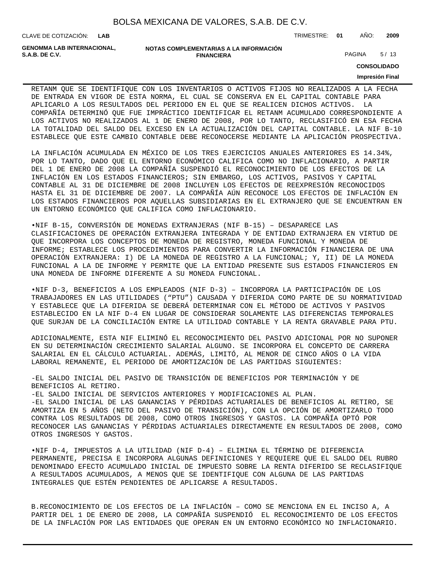| BOLSA MEXICANA DE VALORES, S.A.B. DE C.V. |  |  |  |  |  |
|-------------------------------------------|--|--|--|--|--|
|-------------------------------------------|--|--|--|--|--|

CLAVE DE COTIZACIÓN: TRIMESTRE: **01** AÑO: **2009**

**GENOMMA LAB INTERNACIONAL,**

```
NOTAS COMPLEMENTARIAS A LA INFORMACIÓN
                       FINANCIERA
S.A.B. DE C.V. PAGINA 5/13
```
**CONSOLIDADO**

#### **Impresión Final**

RETANM QUE SE IDENTIFIQUE CON LOS INVENTARIOS O ACTIVOS FIJOS NO REALIZADOS A LA FECHA DE ENTRADA EN VIGOR DE ESTA NORMA, EL CUAL SE CONSERVA EN EL CAPITAL CONTABLE PARA APLICARLO A LOS RESULTADOS DEL PERIODO EN EL QUE SE REALICEN DICHOS ACTIVOS. LA COMPAÑÍA DETERMINÓ QUE FUE IMPRÁCTICO IDENTIFICAR EL RETANM ACUMULADO CORRESPONDIENTE A LOS ACTIVOS NO REALIZADOS AL 1 DE ENERO DE 2008, POR LO TANTO, RECLASIFICÓ EN ESA FECHA LA TOTALIDAD DEL SALDO DEL EXCESO EN LA ACTUALIZACIÓN DEL CAPITAL CONTABLE. LA NIF B-10 ESTABLECE QUE ESTE CAMBIO CONTABLE DEBE RECONOCERSE MEDIANTE LA APLICACIÓN PROSPECTIVA.

LA INFLACIÓN ACUMULADA EN MÉXICO DE LOS TRES EJERCICIOS ANUALES ANTERIORES ES 14.34%, POR LO TANTO, DADO QUE EL ENTORNO ECONÓMICO CALIFICA COMO NO INFLACIONARIO, A PARTIR DEL 1 DE ENERO DE 2008 LA COMPAÑÍA SUSPENDIÓ EL RECONOCIMIENTO DE LOS EFECTOS DE LA INFLACIÓN EN LOS ESTADOS FINANCIEROS; SIN EMBARGO, LOS ACTIVOS, PASIVOS Y CAPITAL CONTABLE AL 31 DE DICIEMBRE DE 2008 INCLUYEN LOS EFECTOS DE REEXPRESIÓN RECONOCIDOS HASTA EL 31 DE DICIEMBRE DE 2007. LA COMPAÑÍA AÚN RECONOCE LOS EFECTOS DE INFLACIÓN EN LOS ESTADOS FINANCIEROS POR AQUELLAS SUBSIDIARIAS EN EL EXTRANJERO QUE SE ENCUENTRAN EN UN ENTORNO ECONÓMICO QUE CALIFICA COMO INFLACIONARIO.

• NIF B-15, CONVERSIÓN DE MONEDAS EXTRANJERAS (NIF B-15) – DESAPARECE LAS CLASIFICACIONES DE OPERACIÓN EXTRANJERA INTEGRADA Y DE ENTIDAD EXTRANJERA EN VIRTUD DE QUE INCORPORA LOS CONCEPTOS DE MONEDA DE REGISTRO, MONEDA FUNCIONAL Y MONEDA DE INFORME; ESTABLECE LOS PROCEDIMIENTOS PARA CONVERTIR LA INFORMACIÓN FINANCIERA DE UNA OPERACIÓN EXTRANJERA: I) DE LA MONEDA DE REGISTRO A LA FUNCIONAL; Y, II) DE LA MONEDA FUNCIONAL A LA DE INFORME Y PERMITE QUE LA ENTIDAD PRESENTE SUS ESTADOS FINANCIEROS EN UNA MONEDA DE INFORME DIFERENTE A SU MONEDA FUNCIONAL.

• NIF D-3, BENEFICIOS A LOS EMPLEADOS (NIF D-3) – INCORPORA LA PARTICIPACIÓN DE LOS TRABAJADORES EN LAS UTILIDADES ("PTU") CAUSADA Y DIFERIDA COMO PARTE DE SU NORMATIVIDAD Y ESTABLECE QUE LA DIFERIDA SE DEBERÁ DETERMINAR CON EL MÉTODO DE ACTIVOS Y PASIVOS ESTABLECIDO EN LA NIF D-4 EN LUGAR DE CONSIDERAR SOLAMENTE LAS DIFERENCIAS TEMPORALES QUE SURJAN DE LA CONCILIACIÓN ENTRE LA UTILIDAD CONTABLE Y LA RENTA GRAVABLE PARA PTU.

ADICIONALMENTE, ESTA NIF ELIMINÓ EL RECONOCIMIENTO DEL PASIVO ADICIONAL POR NO SUPONER EN SU DETERMINACIÓN CRECIMIENTO SALARIAL ALGUNO. SE INCORPORA EL CONCEPTO DE CARRERA SALARIAL EN EL CÁLCULO ACTUARIAL. ADEMÁS, LIMITÓ, AL MENOR DE CINCO AÑOS O LA VIDA LABORAL REMANENTE, EL PERIODO DE AMORTIZACIÓN DE LAS PARTIDAS SIGUIENTES:

- EL SALDO INICIAL DEL PASIVO DE TRANSICIÓN DE BENEFICIOS POR TERMINACIÓN Y DE BENEFICIOS AL RETIRO.

- EL SALDO INICIAL DE SERVICIOS ANTERIORES Y MODIFICACIONES AL PLAN.

- EL SALDO INICIAL DE LAS GANANCIAS Y PÉRDIDAS ACTUARIALES DE BENEFICIOS AL RETIRO, SE AMORTIZA EN 5 AÑOS (NETO DEL PASIVO DE TRANSICIÓN), CON LA OPCIÓN DE AMORTIZARLO TODO CONTRA LOS RESULTADOS DE 2008, COMO OTROS INGRESOS Y GASTOS. LA COMPAÑÍA OPTÓ POR RECONOCER LAS GANANCIAS Y PÉRDIDAS ACTUARIALES DIRECTAMENTE EN RESULTADOS DE 2008, COMO OTROS INGRESOS Y GASTOS.

• NIF D-4, IMPUESTOS A LA UTILIDAD (NIF D-4) – ELIMINA EL TÉRMINO DE DIFERENCIA PERMANENTE, PRECISA E INCORPORA ALGUNAS DEFINICIONES Y REQUIERE QUE EL SALDO DEL RUBRO DENOMINADO EFECTO ACUMULADO INICIAL DE IMPUESTO SOBRE LA RENTA DIFERIDO SE RECLASIFIQUE A RESULTADOS ACUMULADOS, A MENOS QUE SE IDENTIFIQUE CON ALGUNA DE LAS PARTIDAS INTEGRALES QUE ESTÉN PENDIENTES DE APLICARSE A RESULTADOS.

B. RECONOCIMIENTO DE LOS EFECTOS DE LA INFLACIÓN – COMO SE MENCIONA EN EL INCISO A, A PARTIR DEL 1 DE ENERO DE 2008, LA COMPAÑÍA SUSPENDIÓ EL RECONOCIMIENTO DE LOS EFECTOS DE LA INFLACIÓN POR LAS ENTIDADES QUE OPERAN EN UN ENTORNO ECONÓMICO NO INFLACIONARIO.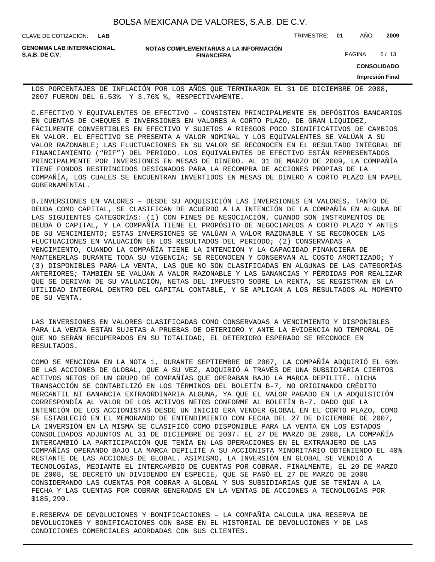| BOLSA MEXICANA DE VALORES, S.A.B. DE C.V. |  |  |  |
|-------------------------------------------|--|--|--|
|-------------------------------------------|--|--|--|

CLAVE DE COTIZACIÓN: TRIMESTRE: **01** AÑO: **2009**

**GENOMMA LAB INTERNACIONAL,**

**NOTAS COMPLEMENTARIAS A LA INFORMACIÓN FINANCIERA S.A.B. DE C.V.** PAGINA 6/13

**CONSOLIDADO**

**Impresión Final**

LOS PORCENTAJES DE INFLACIÓN POR LOS AÑOS QUE TERMINARON EL 31 DE DICIEMBRE DE 2008, 2007 FUERON DEL 6.53% Y 3.76% %, RESPECTIVAMENTE.

C. EFECTIVO Y EQUIVALENTES DE EFECTIVO – CONSISTEN PRINCIPALMENTE EN DEPÓSITOS BANCARIOS EN CUENTAS DE CHEQUES E INVERSIONES EN VALORES A CORTO PLAZO, DE GRAN LIQUIDEZ, FÁCILMENTE CONVERTIBLES EN EFECTIVO Y SUJETOS A RIESGOS POCO SIGNIFICATIVOS DE CAMBIOS EN VALOR. EL EFECTIVO SE PRESENTA A VALOR NOMINAL Y LOS EQUIVALENTES SE VALÚAN A SU VALOR RAZONABLE; LAS FLUCTUACIONES EN SU VALOR SE RECONOCEN EN EL RESULTADO INTEGRAL DE FINANCIAMIENTO ("RIF") DEL PERIODO. LOS EQUIVALENTES DE EFECTIVO ESTÁN REPRESENTADOS PRINCIPALMENTE POR INVERSIONES EN MESAS DE DINERO. AL 31 DE MARZO DE 2009, LA COMPAÑÍA TIENE FONDOS RESTRINGIDOS DESIGNADOS PARA LA RECOMPRA DE ACCIONES PROPIAS DE LA COMPAÑÍA, LOS CUALES SE ENCUENTRAN INVERTIDOS EN MESAS DE DINERO A CORTO PLAZO EN PAPEL GUBERNAMENTAL.

D. INVERSIONES EN VALORES – DESDE SU ADQUISICIÓN LAS INVERSIONES EN VALORES, TANTO DE DEUDA COMO CAPITAL, SE CLASIFICAN DE ACUERDO A LA INTENCIÓN DE LA COMPAÑÍA EN ALGUNA DE LAS SIGUIENTES CATEGORÍAS: (1) CON FINES DE NEGOCIACIÓN, CUANDO SON INSTRUMENTOS DE DEUDA O CAPITAL, Y LA COMPAÑÍA TIENE EL PROPÓSITO DE NEGOCIARLOS A CORTO PLAZO Y ANTES DE SU VENCIMIENTO; ESTAS INVERSIONES SE VALÚAN A VALOR RAZONABLE Y SE RECONOCEN LAS FLUCTUACIONES EN VALUACIÓN EN LOS RESULTADOS DEL PERIODO; (2) CONSERVADAS A VENCIMIENTO, CUANDO LA COMPAÑÍA TIENE LA INTENCIÓN Y LA CAPACIDAD FINANCIERA DE MANTENERLAS DURANTE TODA SU VIGENCIA; SE RECONOCEN Y CONSERVAN AL COSTO AMORTIZADO; Y (3) DISPONIBLES PARA LA VENTA, LAS QUE NO SON CLASIFICADAS EN ALGUNAS DE LAS CATEGORÍAS ANTERIORES; TAMBIÉN SE VALÚAN A VALOR RAZONABLE Y LAS GANANCIAS Y PÉRDIDAS POR REALIZAR QUE SE DERIVAN DE SU VALUACIÓN, NETAS DEL IMPUESTO SOBRE LA RENTA, SE REGISTRAN EN LA UTILIDAD INTEGRAL DENTRO DEL CAPITAL CONTABLE, Y SE APLICAN A LOS RESULTADOS AL MOMENTO DE SU VENTA.

LAS INVERSIONES EN VALORES CLASIFICADAS COMO CONSERVADAS A VENCIMIENTO Y DISPONIBLES PARA LA VENTA ESTÁN SUJETAS A PRUEBAS DE DETERIORO Y ANTE LA EVIDENCIA NO TEMPORAL DE QUE NO SERÁN RECUPERADOS EN SU TOTALIDAD, EL DETERIORO ESPERADO SE RECONOCE EN RESULTADOS.

COMO SE MENCIONA EN LA NOTA 1, DURANTE SEPTIEMBRE DE 2007, LA COMPAÑÍA ADQUIRIÓ EL 60% DE LAS ACCIONES DE GLOBAL, QUE A SU VEZ, ADQUIRIÓ A TRAVÉS DE UNA SUBSIDIARIA CIERTOS ACTIVOS NETOS DE UN GRUPO DE COMPAÑÍAS QUE OPERABAN BAJO LA MARCA DEPILITÉ. DICHA TRANSACCIÓN SE CONTABILIZÓ EN LOS TÉRMINOS DEL BOLETÍN B-7, NO ORIGINANDO CRÉDITO MERCANTIL NI GANANCIA EXTRAORDINARIA ALGUNA, YA QUE EL VALOR PAGADO EN LA ADQUISICIÓN CORRESPONDÍA AL VALOR DE LOS ACTIVOS NETOS CONFORME AL BOLETÍN B-7. DADO QUE LA INTENCIÓN DE LOS ACCIONISTAS DESDE UN INICIO ERA VENDER GLOBAL EN EL CORTO PLAZO, COMO SE ESTABLECIÓ EN EL MEMORANDO DE ENTENDIMIENTO CON FECHA DEL 27 DE DICIEMBRE DE 2007, LA INVERSIÓN EN LA MISMA SE CLASIFICÓ COMO DISPONIBLE PARA LA VENTA EN LOS ESTADOS CONSOLIDADOS ADJUNTOS AL 31 DE DICIEMBRE DE 2007. EL 27 DE MARZO DE 2008, LA COMPAÑÍA INTERCAMBIÓ LA PARTICIPACIÓN QUE TENÍA EN LAS OPERACIONES EN EL EXTRANJERO DE LAS COMPAÑÍAS OPERANDO BAJO LA MARCA DEPILITÉ A SU ACCIONISTA MINORITARIO OBTENIENDO EL 40% RESTANTE DE LAS ACCIONES DE GLOBAL. ASIMISMO, LA INVERSIÓN EN GLOBAL SE VENDIÓ A TECNOLOGÍAS, MEDIANTE EL INTERCAMBIO DE CUENTAS POR COBRAR. FINALMENTE, EL 20 DE MARZO DE 2008, SE DECRETÓ UN DIVIDENDO EN ESPECIE, QUE SE PAGÓ EL 27 DE MARZO DE 2008 CONSIDERANDO LAS CUENTAS POR COBRAR A GLOBAL Y SUS SUBSIDIARIAS QUE SE TENÍAN A LA FECHA Y LAS CUENTAS POR COBRAR GENERADAS EN LA VENTAS DE ACCIONES A TECNOLOGÍAS POR \$185,290.

E. RESERVA DE DEVOLUCIONES Y BONIFICACIONES – LA COMPAÑÍA CALCULA UNA RESERVA DE DEVOLUCIONES Y BONIFICACIONES CON BASE EN EL HISTORIAL DE DEVOLUCIONES Y DE LAS CONDICIONES COMERCIALES ACORDADAS CON SUS CLIENTES.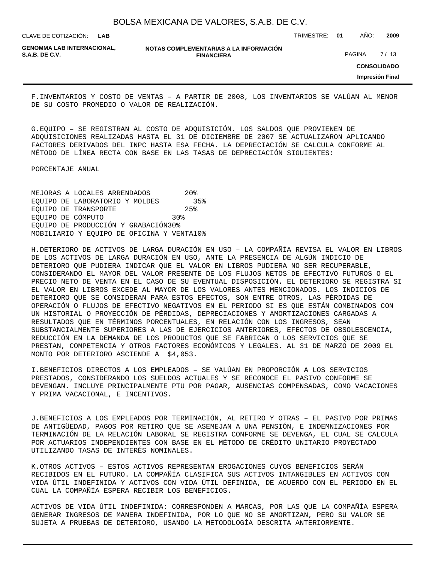**LAB**

CLAVE DE COTIZACIÓN: TRIMESTRE: **01** AÑO: **2009**

**GENOMMA LAB INTERNACIONAL,**

**NOTAS COMPLEMENTARIAS A LA INFORMACIÓN FINANCIERA S.A.B. DE C.V.** PAGINA 27 / 13

**CONSOLIDADO**

**Impresión Final**

F. INVENTARIOS Y COSTO DE VENTAS - A PARTIR DE 2008, LOS INVENTARIOS SE VALÚAN AL MENOR DE SU COSTO PROMEDIO O VALOR DE REALIZACIÓN.

G. EQUIPO – SE REGISTRAN AL COSTO DE ADQUISICIÓN. LOS SALDOS QUE PROVIENEN DE ADQUISICIONES REALIZADAS HASTA EL 31 DE DICIEMBRE DE 2007 SE ACTUALIZARON APLICANDO FACTORES DERIVADOS DEL INPC HASTA ESA FECHA. LA DEPRECIACIÓN SE CALCULA CONFORME AL MÉTODO DE LÍNEA RECTA CON BASE EN LAS TASAS DE DEPRECIACIÓN SIGUIENTES:

 PORCENTAJE ANUAL

MEJORAS A LOCALES ARRENDADOS 20% EQUIPO DE LABORATORIO Y MOLDES 35% EQUIPO DE TRANSPORTE 25% EQUIPO DE CÓMPUTO  $30\%$ EQUIPO DE PRODUCCIÓN Y GRABACIÓN 30% MOBILIARIO Y EQUIPO DE OFICINA Y VENTA 10%

H. DETERIORO DE ACTIVOS DE LARGA DURACIÓN EN USO – LA COMPAÑÍA REVISA EL VALOR EN LIBROS DE LOS ACTIVOS DE LARGA DURACIÓN EN USO, ANTE LA PRESENCIA DE ALGÚN INDICIO DE DETERIORO QUE PUDIERA INDICAR QUE EL VALOR EN LIBROS PUDIERA NO SER RECUPERABLE, CONSIDERANDO EL MAYOR DEL VALOR PRESENTE DE LOS FLUJOS NETOS DE EFECTIVO FUTUROS O EL PRECIO NETO DE VENTA EN EL CASO DE SU EVENTUAL DISPOSICIÓN. EL DETERIORO SE REGISTRA SI EL VALOR EN LIBROS EXCEDE AL MAYOR DE LOS VALORES ANTES MENCIONADOS. LOS INDICIOS DE DETERIORO QUE SE CONSIDERAN PARA ESTOS EFECTOS, SON ENTRE OTROS, LAS PÉRDIDAS DE OPERACIÓN O FLUJOS DE EFECTIVO NEGATIVOS EN EL PERIODO SI ES QUE ESTÁN COMBINADOS CON UN HISTORIAL O PROYECCIÓN DE PÉRDIDAS, DEPRECIACIONES Y AMORTIZACIONES CARGADAS A RESULTADOS QUE EN TÉRMINOS PORCENTUALES, EN RELACIÓN CON LOS INGRESOS, SEAN SUBSTANCIALMENTE SUPERIORES A LAS DE EJERCICIOS ANTERIORES, EFECTOS DE OBSOLESCENCIA, REDUCCIÓN EN LA DEMANDA DE LOS PRODUCTOS QUE SE FABRICAN O LOS SERVICIOS QUE SE PRESTAN, COMPETENCIA Y OTROS FACTORES ECONÓMICOS Y LEGALES. AL 31 DE MARZO DE 2009 EL MONTO POR DETERIORO ASCIENDE A \$4,053.

I. BENEFICIOS DIRECTOS A LOS EMPLEADOS - SE VALÚAN EN PROPORCIÓN A LOS SERVICIOS PRESTADOS, CONSIDERANDO LOS SUELDOS ACTUALES Y SE RECONOCE EL PASIVO CONFORME SE DEVENGAN. INCLUYE PRINCIPALMENTE PTU POR PAGAR, AUSENCIAS COMPENSADAS, COMO VACACIONES Y PRIMA VACACIONAL, E INCENTIVOS.

J. BENEFICIOS A LOS EMPLEADOS POR TERMINACIÓN, AL RETIRO Y OTRAS – EL PASIVO POR PRIMAS DE ANTIGÜEDAD, PAGOS POR RETIRO QUE SE ASEMEJAN A UNA PENSIÓN, E INDEMNIZACIONES POR TERMINACIÓN DE LA RELACIÓN LABORAL SE REGISTRA CONFORME SE DEVENGA, EL CUAL SE CALCULA POR ACTUARIOS INDEPENDIENTES CON BASE EN EL MÉTODO DE CRÉDITO UNITARIO PROYECTADO UTILIZANDO TASAS DE INTERÉS NOMINALES.

K. OTROS ACTIVOS – ESTOS ACTIVOS REPRESENTAN EROGACIONES CUYOS BENEFICIOS SERÁN RECIBIDOS EN EL FUTURO. LA COMPAÑÍA CLASIFICA SUS ACTIVOS INTANGIBLES EN ACTIVOS CON VIDA ÚTIL INDEFINIDA Y ACTIVOS CON VIDA ÚTIL DEFINIDA, DE ACUERDO CON EL PERIODO EN EL CUAL LA COMPAÑÍA ESPERA RECIBIR LOS BENEFICIOS.

ACTIVOS DE VIDA ÚTIL INDEFINIDA: CORRESPONDEN A MARCAS, POR LAS QUE LA COMPAÑÍA ESPERA GENERAR INGRESOS DE MANERA INDEFINIDA, POR LO QUE NO SE AMORTIZAN, PERO SU VALOR SE SUJETA A PRUEBAS DE DETERIORO, USANDO LA METODOLOGÍA DESCRITA ANTERIORMENTE.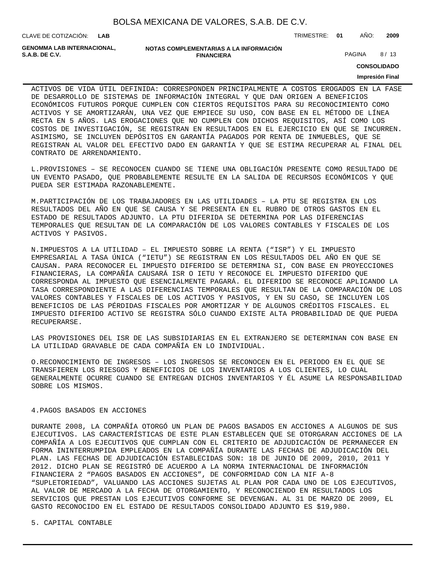| BOLSA MEXICANA DE VALORES, S.A.B. DE C.V. |  |  |  |
|-------------------------------------------|--|--|--|
|-------------------------------------------|--|--|--|

CLAVE DE COTIZACIÓN: TRIMESTRE: **01** AÑO: **2009**

**GENOMMA LAB INTERNACIONAL,**

| GENOMMA LAB INTERNACIONAL. | NOTAS COMPLEMENTARIAS A LA INFORMACIÓN |               |      |
|----------------------------|----------------------------------------|---------------|------|
| S.A.B. DE C.V.             | <b>FINANCIERA</b>                      | <b>PAGINA</b> | 8/13 |

**CONSOLIDADO**

#### **Impresión Final**

ACTIVOS DE VIDA ÚTIL DEFINIDA: CORRESPONDEN PRINCIPALMENTE A COSTOS EROGADOS EN LA FASE DE DESARROLLO DE SISTEMAS DE INFORMACIÓN INTEGRAL Y QUE DAN ORIGEN A BENEFICIOS ECONÓMICOS FUTUROS PORQUE CUMPLEN CON CIERTOS REQUISITOS PARA SU RECONOCIMIENTO COMO ACTIVOS Y SE AMORTIZARÁN, UNA VEZ QUE EMPIECE SU USO, CON BASE EN EL MÉTODO DE LÍNEA RECTA EN 5 AÑOS. LAS EROGACIONES QUE NO CUMPLEN CON DICHOS REQUISITOS, ASÍ COMO LOS COSTOS DE INVESTIGACIÓN, SE REGISTRAN EN RESULTADOS EN EL EJERCICIO EN QUE SE INCURREN. ASIMISMO, SE INCLUYEN DEPÓSITOS EN GARANTÍA PAGADOS POR RENTA DE INMUEBLES, QUE SE REGISTRAN AL VALOR DEL EFECTIVO DADO EN GARANTÍA Y QUE SE ESTIMA RECUPERAR AL FINAL DEL CONTRATO DE ARRENDAMIENTO.

L. PROVISIONES – SE RECONOCEN CUANDO SE TIENE UNA OBLIGACIÓN PRESENTE COMO RESULTADO DE UN EVENTO PASADO, QUE PROBABLEMENTE RESULTE EN LA SALIDA DE RECURSOS ECONÓMICOS Y QUE PUEDA SER ESTIMADA RAZONABLEMENTE.

M. PARTICIPACIÓN DE LOS TRABAJADORES EN LAS UTILIDADES – LA PTU SE REGISTRA EN LOS RESULTADOS DEL AÑO EN QUE SE CAUSA Y SE PRESENTA EN EL RUBRO DE OTROS GASTOS EN EL ESTADO DE RESULTADOS ADJUNTO. LA PTU DIFERIDA SE DETERMINA POR LAS DIFERENCIAS TEMPORALES QUE RESULTAN DE LA COMPARACIÓN DE LOS VALORES CONTABLES Y FISCALES DE LOS ACTIVOS Y PASIVOS.

N. IMPUESTOS A LA UTILIDAD – EL IMPUESTO SOBRE LA RENTA ("ISR") Y EL IMPUESTO EMPRESARIAL A TASA ÚNICA ("IETU") SE REGISTRAN EN LOS RESULTADOS DEL AÑO EN QUE SE CAUSAN. PARA RECONOCER EL IMPUESTO DIFERIDO SE DETERMINA SI, CON BASE EN PROYECCIONES FINANCIERAS, LA COMPAÑÍA CAUSARÁ ISR O IETU Y RECONOCE EL IMPUESTO DIFERIDO QUE CORRESPONDA AL IMPUESTO QUE ESENCIALMENTE PAGARÁ. EL DIFERIDO SE RECONOCE APLICANDO LA TASA CORRESPONDIENTE A LAS DIFERENCIAS TEMPORALES QUE RESULTAN DE LA COMPARACIÓN DE LOS VALORES CONTABLES Y FISCALES DE LOS ACTIVOS Y PASIVOS, Y EN SU CASO, SE INCLUYEN LOS BENEFICIOS DE LAS PÉRDIDAS FISCALES POR AMORTIZAR Y DE ALGUNOS CRÉDITOS FISCALES. EL IMPUESTO DIFERIDO ACTIVO SE REGISTRA SÓLO CUANDO EXISTE ALTA PROBABILIDAD DE QUE PUEDA RECUPERARSE.

LAS PROVISIONES DEL ISR DE LAS SUBSIDIARIAS EN EL EXTRANJERO SE DETERMINAN CON BASE EN LA UTILIDAD GRAVABLE DE CADA COMPAÑÍA EN LO INDIVIDUAL.

O. RECONOCIMIENTO DE INGRESOS – LOS INGRESOS SE RECONOCEN EN EL PERIODO EN EL QUE SE TRANSFIEREN LOS RIESGOS Y BENEFICIOS DE LOS INVENTARIOS A LOS CLIENTES, LO CUAL GENERALMENTE OCURRE CUANDO SE ENTREGAN DICHOS INVENTARIOS Y ÉL ASUME LA RESPONSABILIDAD SOBRE LOS MISMOS.

#### 4. PAGOS BASADOS EN ACCIONES

DURANTE 2008, LA COMPAÑÍA OTORGÓ UN PLAN DE PAGOS BASADOS EN ACCIONES A ALGUNOS DE SUS EJECUTIVOS. LAS CARACTERÍSTICAS DE ESTE PLAN ESTABLECEN QUE SE OTORGARAN ACCIONES DE LA COMPAÑÍA A LOS EJECUTIVOS QUE CUMPLAN CON EL CRITERIO DE ADJUDICACIÓN DE PERMANECER EN FORMA ININTERRUMPIDA EMPLEADOS EN LA COMPAÑÍA DURANTE LAS FECHAS DE ADJUDICACIÓN DEL PLAN. LAS FECHAS DE ADJUDICACIÓN ESTABLECIDAS SON: 18 DE JUNIO DE 2009, 2010, 2011 Y 2012. DICHO PLAN SE REGISTRÓ DE ACUERDO A LA NORMA INTERNACIONAL DE INFORMACIÓN FINANCIERA 2 "PAGOS BASADOS EN ACCIONES", DE CONFORMIDAD CON LA NIF A-8 "SUPLETORIEDAD", VALUANDO LAS ACCIONES SUJETAS AL PLAN POR CADA UNO DE LOS EJECUTIVOS, AL VALOR DE MERCADO A LA FECHA DE OTORGAMIENTO, Y RECONOCIENDO EN RESULTADOS LOS SERVICIOS QUE PRESTAN LOS EJECUTIVOS CONFORME SE DEVENGAN. AL 31 DE MARZO DE 2009, EL GASTO RECONOCIDO EN EL ESTADO DE RESULTADOS CONSOLIDADO ADJUNTO ES \$19,980.

5. CAPITAL CONTABLE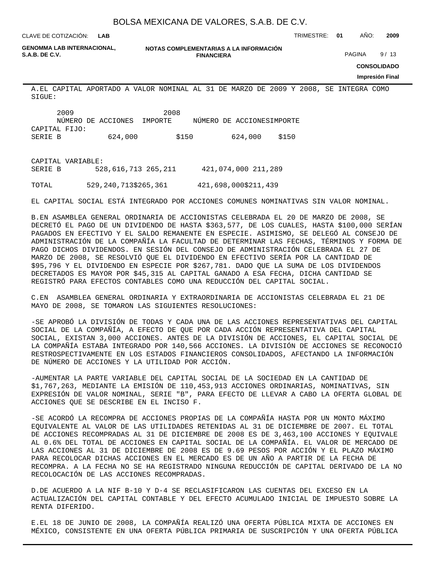**LAB**

CLAVE DE COTIZACIÓN: TRIMESTRE: **01** AÑO: **2009**

**GENOMMA LAB INTERNACIONAL,**

**NOTAS COMPLEMENTARIAS A LA INFORMACIÓN FINANCIERA S.A.B. DE C.V.** PAGINA 9/13

**CONSOLIDADO**

#### **Impresión Final**

A. EL CAPITAL APORTADO A VALOR NOMINAL AL 31 DE MARZO DE 2009 Y 2008, SE INTEGRA COMO SIGUE:

|               | 2009 | 2008                       |       |                            |       |
|---------------|------|----------------------------|-------|----------------------------|-------|
|               |      | NÚMERO DE ACCIONES IMPORTE |       | NÚMERO DE ACCIONES IMPORTE |       |
| CAPITAL FIJO: |      |                            |       |                            |       |
| SERIE B       |      | 624,000                    | \$150 | 624,000                    | \$150 |
|               |      |                            |       |                            |       |

CAPITAL VARIABLE: SERIE B 528,616,713 265,211 421,074,000 211,289 TOTAL 529,240,713 \$265,361 421,698,000 \$211,439

EL CAPITAL SOCIAL ESTÁ INTEGRADO POR ACCIONES COMUNES NOMINATIVAS SIN VALOR NOMINAL.

B. EN ASAMBLEA GENERAL ORDINARIA DE ACCIONISTAS CELEBRADA EL 20 DE MARZO DE 2008, SE DECRETÓ EL PAGO DE UN DIVIDENDO DE HASTA \$363,577, DE LOS CUALES, HASTA \$100,000 SERÍAN PAGADOS EN EFECTIVO Y EL SALDO REMANENTE EN ESPECIE. ASIMISMO, SE DELEGÓ AL CONSEJO DE ADMINISTRACIÓN DE LA COMPAÑÍA LA FACULTAD DE DETERMINAR LAS FECHAS, TÉRMINOS Y FORMA DE PAGO DICHOS DIVIDENDOS. EN SESIÓN DEL CONSEJO DE ADMINISTRACIÓN CELEBRADA EL 27 DE MARZO DE 2008, SE RESOLVIÓ QUE EL DIVIDENDO EN EFECTIVO SERÍA POR LA CANTIDAD DE \$95,796 Y EL DIVIDENDO EN ESPECIE POR \$267,781. DADO QUE LA SUMA DE LOS DIVIDENDOS DECRETADOS ES MAYOR POR \$45,315 AL CAPITAL GANADO A ESA FECHA, DICHA CANTIDAD SE REGISTRÓ PARA EFECTOS CONTABLES COMO UNA REDUCCIÓN DEL CAPITAL SOCIAL.

C. EN ASAMBLEA GENERAL ORDINARIA Y EXTRAORDINARIA DE ACCIONISTAS CELEBRADA EL 21 DE MAYO DE 2008, SE TOMARON LAS SIGUIENTES RESOLUCIONES:

- SE APROBÓ LA DIVISIÓN DE TODAS Y CADA UNA DE LAS ACCIONES REPRESENTATIVAS DEL CAPITAL SOCIAL DE LA COMPAÑÍA, A EFECTO DE QUE POR CADA ACCIÓN REPRESENTATIVA DEL CAPITAL SOCIAL, EXISTAN 3,000 ACCIONES. ANTES DE LA DIVISIÓN DE ACCIONES, EL CAPITAL SOCIAL DE LA COMPAÑÍA ESTABA INTEGRADO POR 140,566 ACCIONES. LA DIVISIÓN DE ACCIONES SE RECONOCIÓ RESTROSPECTIVAMENTE EN LOS ESTADOS FINANCIEROS CONSOLIDADOS, AFECTANDO LA INFORMACIÓN DE NÚMERO DE ACCIONES Y LA UTILIDAD POR ACCIÓN.

- AUMENTAR LA PARTE VARIABLE DEL CAPITAL SOCIAL DE LA SOCIEDAD EN LA CANTIDAD DE \$1,767,263, MEDIANTE LA EMISIÓN DE 110,453,913 ACCIONES ORDINARIAS, NOMINATIVAS, SIN EXPRESIÓN DE VALOR NOMINAL, SERIE "B", PARA EFECTO DE LLEVAR A CABO LA OFERTA GLOBAL DE ACCIONES QUE SE DESCRIBE EN EL INCISO F.

- SE ACORDÓ LA RECOMPRA DE ACCIONES PROPIAS DE LA COMPAÑÍA HASTA POR UN MONTO MÁXIMO EQUIVALENTE AL VALOR DE LAS UTILIDADES RETENIDAS AL 31 DE DICIEMBRE DE 2007. EL TOTAL DE ACCIONES RECOMPRADAS AL 31 DE DICIEMBRE DE 2008 ES DE 3,463,100 ACCIONES Y EQUIVALE AL 0.6% DEL TOTAL DE ACCIONES EN CAPITAL SOCIAL DE LA COMPAÑÍA. EL VALOR DE MERCADO DE LAS ACCIONES AL 31 DE DICIEMBRE DE 2008 ES DE 9.69 PESOS POR ACCIÓN Y EL PLAZO MÁXIMO PARA RECOLOCAR DICHAS ACCIONES EN EL MERCADO ES DE UN AÑO A PARTIR DE LA FECHA DE RECOMPRA. A LA FECHA NO SE HA REGISTRADO NINGUNA REDUCCIÓN DE CAPITAL DERIVADO DE LA NO RECOLOCACIÓN DE LAS ACCIONES RECOMPRADAS.

D. DE ACUERDO A LA NIF B-10 Y D-4 SE RECLASIFICARON LAS CUENTAS DEL EXCESO EN LA ACTUALIZACIÓN DEL CAPITAL CONTABLE Y DEL EFECTO ACUMULADO INICIAL DE IMPUESTO SOBRE LA RENTA DIFERIDO.

E. EL 18 DE JUNIO DE 2008, LA COMPAÑÍA REALIZÓ UNA OFERTA PÚBLICA MIXTA DE ACCIONES EN MÉXICO, CONSISTENTE EN UNA OFERTA PÚBLICA PRIMARIA DE SUSCRIPCIÓN Y UNA OFERTA PÚBLICA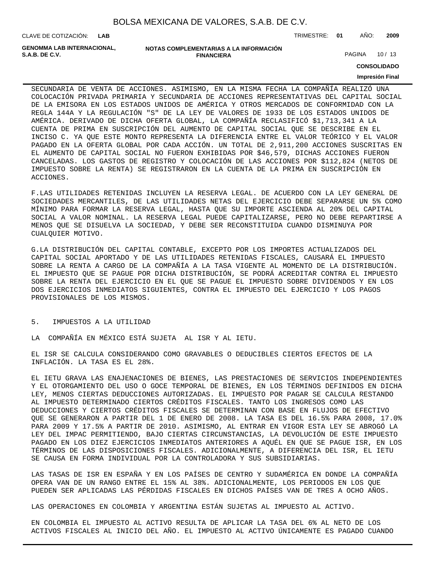| BOLSA MEXICANA DE VALORES, S.A.B. DE C.V. |  |  |  |  |  |
|-------------------------------------------|--|--|--|--|--|
|-------------------------------------------|--|--|--|--|--|

CLAVE DE COTIZACIÓN: TRIMESTRE: **01** AÑO: **2009**

**GENOMMA LAB INTERNACIONAL,**

**NOTAS COMPLEMENTARIAS A LA INFORMACIÓN FINANCIERA**

PAGINA 10 / 13

**CONSOLIDADO**

#### **Impresión Final**

SECUNDARIA DE VENTA DE ACCIONES. ASIMISMO, EN LA MISMA FECHA LA COMPAÑÍA REALIZÓ UNA COLOCACIÓN PRIVADA PRIMARIA Y SECUNDARIA DE ACCIONES REPRESENTATIVAS DEL CAPITAL SOCIAL DE LA EMISORA EN LOS ESTADOS UNIDOS DE AMÉRICA Y OTROS MERCADOS DE CONFORMIDAD CON LA REGLA 144A Y LA REGULACIÓN "S" DE LA LEY DE VALORES DE 1933 DE LOS ESTADOS UNIDOS DE AMÉRICA. DERIVADO DE DICHA OFERTA GLOBAL, LA COMPAÑÍA RECLASIFICÓ \$1,713,341 A LA CUENTA DE PRIMA EN SUSCRIPCIÓN DEL AUMENTO DE CAPITAL SOCIAL QUE SE DESCRIBE EN EL INCISO C. YA QUE ESTE MONTO REPRESENTA LA DIFERENCIA ENTRE EL VALOR TEÓRICO Y EL VALOR PAGADO EN LA OFERTA GLOBAL POR CADA ACCIÓN. UN TOTAL DE 2,911,200 ACCIONES SUSCRITAS EN EL AUMENTO DE CAPITAL SOCIAL NO FUERON EXHIBIDAS POR \$46,579, DICHAS ACCIONES FUERON CANCELADAS. LOS GASTOS DE REGISTRO Y COLOCACIÓN DE LAS ACCIONES POR \$112,824 (NETOS DE IMPUESTO SOBRE LA RENTA) SE REGISTRARON EN LA CUENTA DE LA PRIMA EN SUSCRIPCIÓN EN ACCIONES.

F. LAS UTILIDADES RETENIDAS INCLUYEN LA RESERVA LEGAL. DE ACUERDO CON LA LEY GENERAL DE SOCIEDADES MERCANTILES, DE LAS UTILIDADES NETAS DEL EJERCICIO DEBE SEPARARSE UN 5% COMO MÍNIMO PARA FORMAR LA RESERVA LEGAL, HASTA QUE SU IMPORTE ASCIENDA AL 20% DEL CAPITAL SOCIAL A VALOR NOMINAL. LA RESERVA LEGAL PUEDE CAPITALIZARSE, PERO NO DEBE REPARTIRSE A MENOS QUE SE DISUELVA LA SOCIEDAD, Y DEBE SER RECONSTITUIDA CUANDO DISMINUYA POR CUALQUIER MOTIVO.

G. LA DISTRIBUCIÓN DEL CAPITAL CONTABLE, EXCEPTO POR LOS IMPORTES ACTUALIZADOS DEL CAPITAL SOCIAL APORTADO Y DE LAS UTILIDADES RETENIDAS FISCALES, CAUSARÁ EL IMPUESTO SOBRE LA RENTA A CARGO DE LA COMPAÑÍA A LA TASA VIGENTE AL MOMENTO DE LA DISTRIBUCIÓN. EL IMPUESTO QUE SE PAGUE POR DICHA DISTRIBUCIÓN, SE PODRÁ ACREDITAR CONTRA EL IMPUESTO SOBRE LA RENTA DEL EJERCICIO EN EL QUE SE PAGUE EL IMPUESTO SOBRE DIVIDENDOS Y EN LOS DOS EJERCICIOS INMEDIATOS SIGUIENTES, CONTRA EL IMPUESTO DEL EJERCICIO Y LOS PAGOS PROVISIONALES DE LOS MISMOS.

#### 5. IMPUESTOS A LA UTILIDAD

LA COMPAÑÍA EN MÉXICO ESTÁ SUJETA AL ISR Y AL IETU.

EL ISR SE CALCULA CONSIDERANDO COMO GRAVABLES O DEDUCIBLES CIERTOS EFECTOS DE LA INFLACIÓN. LA TASA ES EL 28%.

EL IETU GRAVA LAS ENAJENACIONES DE BIENES, LAS PRESTACIONES DE SERVICIOS INDEPENDIENTES Y EL OTORGAMIENTO DEL USO O GOCE TEMPORAL DE BIENES, EN LOS TÉRMINOS DEFINIDOS EN DICHA LEY, MENOS CIERTAS DEDUCCIONES AUTORIZADAS. EL IMPUESTO POR PAGAR SE CALCULA RESTANDO AL IMPUESTO DETERMINADO CIERTOS CRÉDITOS FISCALES. TANTO LOS INGRESOS COMO LAS DEDUCCIONES Y CIERTOS CRÉDITOS FISCALES SE DETERMINAN CON BASE EN FLUJOS DE EFECTIVO QUE SE GENERARON A PARTIR DEL 1 DE ENERO DE 2008. LA TASA ES DEL 16.5% PARA 2008, 17.0% PARA 2009 Y 17.5% A PARTIR DE 2010. ASIMISMO, AL ENTRAR EN VIGOR ESTA LEY SE ABROGÓ LA LEY DEL IMPAC PERMITIENDO, BAJO CIERTAS CIRCUNSTANCIAS, LA DEVOLUCIÓN DE ESTE IMPUESTO PAGADO EN LOS DIEZ EJERCICIOS INMEDIATOS ANTERIORES A AQUÉL EN QUE SE PAGUE ISR, EN LOS TÉRMINOS DE LAS DISPOSICIONES FISCALES. ADICIONALMENTE, A DIFERENCIA DEL ISR, EL IETU SE CAUSA EN FORMA INDIVIDUAL POR LA CONTROLADORA Y SUS SUBSIDIARIAS.

LAS TASAS DE ISR EN ESPAÑA Y EN LOS PAÍSES DE CENTRO Y SUDAMÉRICA EN DONDE LA COMPAÑÍA OPERA VAN DE UN RANGO ENTRE EL 15% AL 38%. ADICIONALMENTE, LOS PERIODOS EN LOS QUE PUEDEN SER APLICADAS LAS PÉRDIDAS FISCALES EN DICHOS PAÍSES VAN DE TRES A OCHO AÑOS.

LAS OPERACIONES EN COLOMBIA Y ARGENTINA ESTÁN SUJETAS AL IMPUESTO AL ACTIVO.

EN COLOMBIA EL IMPUESTO AL ACTIVO RESULTA DE APLICAR LA TASA DEL 6% AL NETO DE LOS ACTIVOS FISCALES AL INICIO DEL AÑO. EL IMPUESTO AL ACTIVO ÚNICAMENTE ES PAGADO CUANDO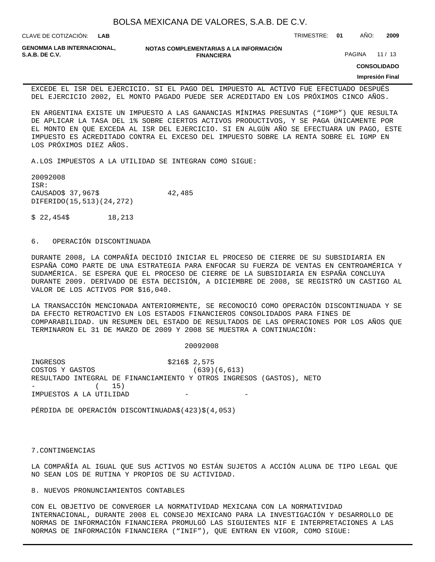CLAVE DE COTIZACIÓN: TRIMESTRE: **01** AÑO: **2009 LAB**

**GENOMMA LAB INTERNACIONAL,**

**NOTAS COMPLEMENTARIAS A LA INFORMACIÓN FINANCIERA**

PAGINA 11 / 13

**CONSOLIDADO**

#### **Impresión Final**

EXCEDE EL ISR DEL EJERCICIO. SI EL PAGO DEL IMPUESTO AL ACTIVO FUE EFECTUADO DESPUÉS DEL EJERCICIO 2002, EL MONTO PAGADO PUEDE SER ACREDITADO EN LOS PRÓXIMOS CINCO AÑOS.

EN ARGENTINA EXISTE UN IMPUESTO A LAS GANANCIAS MÍNIMAS PRESUNTAS ("IGMP") QUE RESULTA DE APLICAR LA TASA DEL 1% SOBRE CIERTOS ACTIVOS PRODUCTIVOS, Y SE PAGA ÚNICAMENTE POR EL MONTO EN QUE EXCEDA AL ISR DEL EJERCICIO. SI EN ALGÚN AÑO SE EFECTUARA UN PAGO, ESTE IMPUESTO ES ACREDITADO CONTRA EL EXCESO DEL IMPUESTO SOBRE LA RENTA SOBRE EL IGMP EN LOS PRÓXIMOS DIEZ AÑOS.

A. LOS IMPUESTOS A LA UTILIDAD SE INTEGRAN COMO SIGUE:

 2009 2008 ISR: CAUSADO \$ 37,967 \$ 42,485 DIFERIDO (15,513) (24,272)

 $$22,454$  \$ 18,213

#### 6. OPERACIÓN DISCONTINUADA

DURANTE 2008, LA COMPAÑÍA DECIDIÓ INICIAR EL PROCESO DE CIERRE DE SU SUBSIDIARIA EN ESPAÑA COMO PARTE DE UNA ESTRATEGIA PARA ENFOCAR SU FUERZA DE VENTAS EN CENTROAMÉRICA Y SUDAMÉRICA. SE ESPERA QUE EL PROCESO DE CIERRE DE LA SUBSIDIARIA EN ESPAÑA CONCLUYA DURANTE 2009. DERIVADO DE ESTA DECISIÓN, A DICIEMBRE DE 2008, SE REGISTRÓ UN CASTIGO AL VALOR DE LOS ACTIVOS POR \$16,040.

LA TRANSACCIÓN MENCIONADA ANTERIORMENTE, SE RECONOCIÓ COMO OPERACIÓN DISCONTINUADA Y SE DA EFECTO RETROACTIVO EN LOS ESTADOS FINANCIEROS CONSOLIDADOS PARA FINES DE COMPARABILIDAD. UN RESUMEN DEL ESTADO DE RESULTADOS DE LAS OPERACIONES POR LOS AÑOS QUE TERMINARON EL 31 DE MARZO DE 2009 Y 2008 SE MUESTRA A CONTINUACIÓN:

 2009 2008

INGRESOS \$ 216 \$ 2,575 COSTOS Y GASTOS (639) (6,613) RESULTADO INTEGRAL DE FINANCIAMIENTO Y OTROS INGRESOS (GASTOS), NETO  $( 15)$ IMPUESTOS A LA UTILIDAD

PÉRDIDA DE OPERACIÓN DISCONTINUADA \$ (423) \$ (4,053)

7. CONTINGENCIAS

LA COMPAÑÍA AL IGUAL QUE SUS ACTIVOS NO ESTÁN SUJETOS A ACCIÓN ALUNA DE TIPO LEGAL QUE NO SEAN LOS DE RUTINA Y PROPIOS DE SU ACTIVIDAD.

8. NUEVOS PRONUNCIAMIENTOS CONTABLES

CON EL OBJETIVO DE CONVERGER LA NORMATIVIDAD MEXICANA CON LA NORMATIVIDAD INTERNACIONAL, DURANTE 2008 EL CONSEJO MEXICANO PARA LA INVESTIGACIÓN Y DESARROLLO DE NORMAS DE INFORMACIÓN FINANCIERA PROMULGÓ LAS SIGUIENTES NIF E INTERPRETACIONES A LAS NORMAS DE INFORMACIÓN FINANCIERA ("INIF"), QUE ENTRAN EN VIGOR, COMO SIGUE: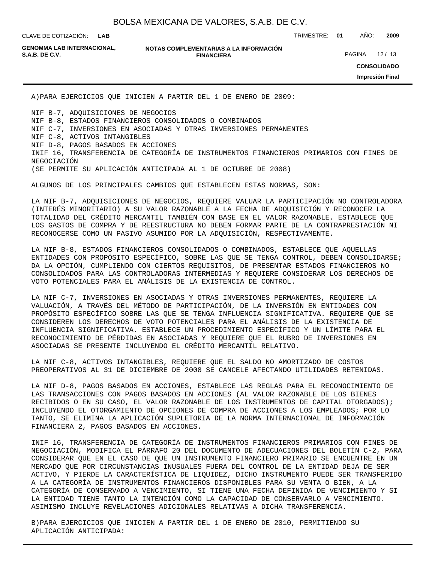**LAB**

CLAVE DE COTIZACIÓN: TRIMESTRE: **01** AÑO: **2009**

**GENOMMA LAB INTERNACIONAL,**

#### **NOTAS COMPLEMENTARIAS A LA INFORMACIÓN FINANCIERA**

PAGINA 12 / 13

**CONSOLIDADO**

**Impresión Final**

A) PARA EJERCICIOS QUE INICIEN A PARTIR DEL 1 DE ENERO DE 2009:

NIF B-7, ADQUISICIONES DE NEGOCIOS NIF B-8, ESTADOS FINANCIEROS CONSOLIDADOS O COMBINADOS NIF C-7, INVERSIONES EN ASOCIADAS Y OTRAS INVERSIONES PERMANENTES NIF C-8, ACTIVOS INTANGIBLES NIF D-8, PAGOS BASADOS EN ACCIONES INIF 16, TRANSFERENCIA DE CATEGORÍA DE INSTRUMENTOS FINANCIEROS PRIMARIOS CON FINES DE NEGOCIACIÓN (SE PERMITE SU APLICACIÓN ANTICIPADA AL 1 DE OCTUBRE DE 2008)

ALGUNOS DE LOS PRINCIPALES CAMBIOS QUE ESTABLECEN ESTAS NORMAS, SON:

LA NIF B-7, ADQUISICIONES DE NEGOCIOS, REQUIERE VALUAR LA PARTICIPACIÓN NO CONTROLADORA (INTERÉS MINORITARIO) A SU VALOR RAZONABLE A LA FECHA DE ADQUISICIÓN Y RECONOCER LA TOTALIDAD DEL CRÉDITO MERCANTIL TAMBIÉN CON BASE EN EL VALOR RAZONABLE. ESTABLECE QUE LOS GASTOS DE COMPRA Y DE REESTRUCTURA NO DEBEN FORMAR PARTE DE LA CONTRAPRESTACIÓN NI RECONOCERSE COMO UN PASIVO ASUMIDO POR LA ADQUISICIÓN, RESPECTIVAMENTE.

LA NIF B-8, ESTADOS FINANCIEROS CONSOLIDADOS O COMBINADOS, ESTABLECE QUE AQUELLAS ENTIDADES CON PROPÓSITO ESPECÍFICO, SOBRE LAS QUE SE TENGA CONTROL, DEBEN CONSOLIDARSE; DA LA OPCIÓN, CUMPLIENDO CON CIERTOS REQUISITOS, DE PRESENTAR ESTADOS FINANCIEROS NO CONSOLIDADOS PARA LAS CONTROLADORAS INTERMEDIAS Y REQUIERE CONSIDERAR LOS DERECHOS DE VOTO POTENCIALES PARA EL ANÁLISIS DE LA EXISTENCIA DE CONTROL.

LA NIF C-7, INVERSIONES EN ASOCIADAS Y OTRAS INVERSIONES PERMANENTES, REQUIERE LA VALUACIÓN, A TRAVÉS DEL MÉTODO DE PARTICIPACIÓN, DE LA INVERSIÓN EN ENTIDADES CON PROPÓSITO ESPECÍFICO SOBRE LAS QUE SE TENGA INFLUENCIA SIGNIFICATIVA. REQUIERE QUE SE CONSIDEREN LOS DERECHOS DE VOTO POTENCIALES PARA EL ANÁLISIS DE LA EXISTENCIA DE INFLUENCIA SIGNIFICATIVA. ESTABLECE UN PROCEDIMIENTO ESPECÍFICO Y UN LÍMITE PARA EL RECONOCIMIENTO DE PÉRDIDAS EN ASOCIADAS Y REQUIERE QUE EL RUBRO DE INVERSIONES EN ASOCIADAS SE PRESENTE INCLUYENDO EL CRÉDITO MERCANTIL RELATIVO.

LA NIF C-8, ACTIVOS INTANGIBLES, REQUIERE QUE EL SALDO NO AMORTIZADO DE COSTOS PREOPERATIVOS AL 31 DE DICIEMBRE DE 2008 SE CANCELE AFECTANDO UTILIDADES RETENIDAS.

LA NIF D-8, PAGOS BASADOS EN ACCIONES, ESTABLECE LAS REGLAS PARA EL RECONOCIMIENTO DE LAS TRANSACCIONES CON PAGOS BASADOS EN ACCIONES (AL VALOR RAZONABLE DE LOS BIENES RECIBIDOS O EN SU CASO, EL VALOR RAZONABLE DE LOS INSTRUMENTOS DE CAPITAL OTORGADOS); INCLUYENDO EL OTORGAMIENTO DE OPCIONES DE COMPRA DE ACCIONES A LOS EMPLEADOS; POR LO TANTO, SE ELIMINA LA APLICACIÓN SUPLETORIA DE LA NORMA INTERNACIONAL DE INFORMACIÓN FINANCIERA 2, PAGOS BASADOS EN ACCIONES.

INIF 16, TRANSFERENCIA DE CATEGORÍA DE INSTRUMENTOS FINANCIEROS PRIMARIOS CON FINES DE NEGOCIACIÓN, MODIFICA EL PÁRRAFO 20 DEL DOCUMENTO DE ADECUACIONES DEL BOLETÍN C-2, PARA CONSIDERAR QUE EN EL CASO DE QUE UN INSTRUMENTO FINANCIERO PRIMARIO SE ENCUENTRE EN UN MERCADO QUE POR CIRCUNSTANCIAS INUSUALES FUERA DEL CONTROL DE LA ENTIDAD DEJA DE SER ACTIVO, Y PIERDE LA CARACTERÍSTICA DE LIQUIDEZ, DICHO INSTRUMENTO PUEDE SER TRANSFERIDO A LA CATEGORÍA DE INSTRUMENTOS FINANCIEROS DISPONIBLES PARA SU VENTA O BIEN, A LA CATEGORÍA DE CONSERVADO A VENCIMIENTO, SI TIENE UNA FECHA DEFINIDA DE VENCIMIENTO Y SI LA ENTIDAD TIENE TANTO LA INTENCIÓN COMO LA CAPACIDAD DE CONSERVARLO A VENCIMIENTO. ASIMISMO INCLUYE REVELACIONES ADICIONALES RELATIVAS A DICHA TRANSFERENCIA.

B) PARA EJERCICIOS QUE INICIEN A PARTIR DEL 1 DE ENERO DE 2010, PERMITIENDO SU APLICACIÓN ANTICIPADA: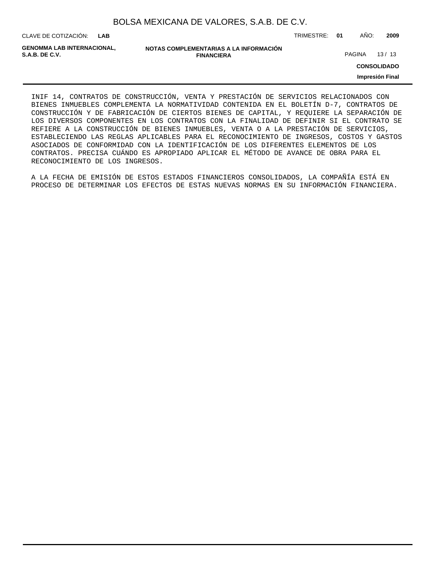| BOLSA MEXICANA DE VALORES, S.A.B. DE C.V. |  |  |
|-------------------------------------------|--|--|
|-------------------------------------------|--|--|

CLAVE DE COTIZACIÓN: TRIMESTRE: **01** AÑO: **2009**

**GENOMMA LAB INTERNACIONAL,**

**NOTAS COMPLEMENTARIAS A LA INFORMACIÓN FINANCIERA**

PAGINA 13/13

**CONSOLIDADO**

**Impresión Final**

INIF 14, CONTRATOS DE CONSTRUCCIÓN, VENTA Y PRESTACIÓN DE SERVICIOS RELACIONADOS CON BIENES INMUEBLES COMPLEMENTA LA NORMATIVIDAD CONTENIDA EN EL BOLETÍN D-7, CONTRATOS DE CONSTRUCCIÓN Y DE FABRICACIÓN DE CIERTOS BIENES DE CAPITAL, Y REQUIERE LA SEPARACIÓN DE LOS DIVERSOS COMPONENTES EN LOS CONTRATOS CON LA FINALIDAD DE DEFINIR SI EL CONTRATO SE REFIERE A LA CONSTRUCCIÓN DE BIENES INMUEBLES, VENTA O A LA PRESTACIÓN DE SERVICIOS, ESTABLECIENDO LAS REGLAS APLICABLES PARA EL RECONOCIMIENTO DE INGRESOS, COSTOS Y GASTOS ASOCIADOS DE CONFORMIDAD CON LA IDENTIFICACIÓN DE LOS DIFERENTES ELEMENTOS DE LOS CONTRATOS. PRECISA CUÁNDO ES APROPIADO APLICAR EL MÉTODO DE AVANCE DE OBRA PARA EL RECONOCIMIENTO DE LOS INGRESOS.

A LA FECHA DE EMISIÓN DE ESTOS ESTADOS FINANCIEROS CONSOLIDADOS, LA COMPAÑÍA ESTÁ EN PROCESO DE DETERMINAR LOS EFECTOS DE ESTAS NUEVAS NORMAS EN SU INFORMACIÓN FINANCIERA.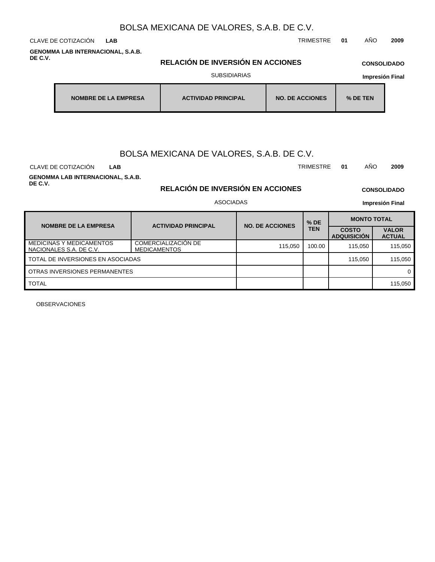**GENOMMA LAB INTERNACIONAL, S.A.B. DE C.V.**

**RELACIÓN DE INVERSIÓN EN ACCIONES** SUBSIDIARIAS

# **CONSOLIDADO**

| <b>Impresión Final</b> |  |
|------------------------|--|
|                        |  |

| NOMBRE DE LA EMPRESA | <b>ACTIVIDAD PRINCIPAL</b> | <b>NO. DE ACCIONES</b> | $%$ DE TEN |
|----------------------|----------------------------|------------------------|------------|
|----------------------|----------------------------|------------------------|------------|

# BOLSA MEXICANA DE VALORES, S.A.B. DE C.V.

CLAVE DE COTIZACIÓN TRIMESTRE **01** AÑO **2009 LAB**

**GENOMMA LAB INTERNACIONAL, S.A.B. DE C.V.**

**RELACIÓN DE INVERSIÓN EN ACCIONES** ASOCIADAS

**CONSOLIDADO Impresión Final**

| <b>NOMBRE DE LA EMPRESA</b>                                | <b>ACTIVIDAD PRINCIPAL</b>                 | <b>NO. DE ACCIONES</b> | $%$ DE | <b>MONTO TOTAL</b>                 |                               |  |  |
|------------------------------------------------------------|--------------------------------------------|------------------------|--------|------------------------------------|-------------------------------|--|--|
|                                                            |                                            |                        | TEN    | <b>COSTO</b><br><b>ADQUISICIÓN</b> | <b>VALOR</b><br><b>ACTUAL</b> |  |  |
| <b>MEDICINAS Y MEDICAMENTOS</b><br>NACIONALES S.A. DE C.V. | COMERCIALIZACIÓN DE<br><b>MEDICAMENTOS</b> | 115.050                | 100.00 | 115.050                            | 115.050                       |  |  |
| TOTAL DE INVERSIONES EN ASOCIADAS                          |                                            |                        |        | 115.050                            | 115,050                       |  |  |
| OTRAS INVERSIONES PERMANENTES                              |                                            |                        |        |                                    |                               |  |  |
| <b>TOTAL</b>                                               |                                            |                        |        |                                    | 115,050                       |  |  |

OBSERVACIONES

CLAVE DE COTIZACIÓN TRIMESTRE **01** AÑO **2009 LAB**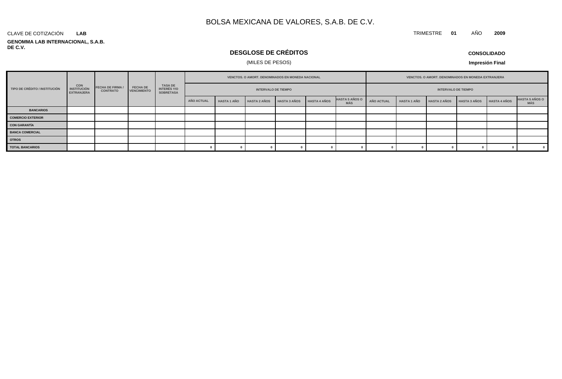#### **GENOMMA LAB INTERNACIONAL, S.A.B. DE C.V.** CLAVE DE COTIZACIÓN **LAB**

# **DESGLOSE DE CRÉDITOS**

### (MILES DE PESOS)

**CONSOLIDADO**

**Impresión Final**

| TIPO DE CRÉDITO / INSTITUCIÓN |                                                       |                                            |                                       |                                            | <b>VENCTOS, O AMORT, DENOMINADOS EN MONEDA NACIONAL</b><br><b>INTERVALO DE TIEMPO</b> |                           |  |                     |                                     |                   |                    | <b>VENCTOS, O AMORT, DENOMINADOS EN MONEDA EXTRANJERA</b> |                            |              |                              |  |  |
|-------------------------------|-------------------------------------------------------|--------------------------------------------|---------------------------------------|--------------------------------------------|---------------------------------------------------------------------------------------|---------------------------|--|---------------------|-------------------------------------|-------------------|--------------------|-----------------------------------------------------------|----------------------------|--------------|------------------------------|--|--|
|                               | <b>CON</b><br><b>INSTITUCIÓN</b><br><b>EXTRANJERA</b> | <b>FECHA DE FIRMA /</b><br><b>CONTRATO</b> | <b>FECHA DE</b><br><b>VENCIMIENTO</b> | TASA DE<br>INTERÉS Y/O<br><b>SOBRETASA</b> |                                                                                       |                           |  |                     |                                     |                   |                    |                                                           | <b>INTERVALO DE TIEMPO</b> |              |                              |  |  |
|                               |                                                       |                                            |                                       | AÑO ACTUAL                                 | <b>HASTA 1 AÑO</b>                                                                    | HASTA 2 AÑOS HASTA 3 AÑOS |  | <b>HASTA 4 AÑOS</b> | <b>HASTA 5 AÑOS O</b><br><b>MÁS</b> | <b>AÑO ACTUAL</b> | <b>HASTA 1 AÑO</b> | <b>HASTA 2 AÑOS</b>                                       | <b>HASTA 3 AÑOS</b>        | HASTA 4 AÑOS | <b>HASTA 5 AÑOS O</b><br>MÁS |  |  |
| <b>BANCARIOS</b>              |                                                       |                                            |                                       |                                            |                                                                                       |                           |  |                     |                                     |                   |                    |                                                           |                            |              |                              |  |  |
| <b>COMERCIO EXTERIOR</b>      |                                                       |                                            |                                       |                                            |                                                                                       |                           |  |                     |                                     |                   |                    |                                                           |                            |              |                              |  |  |
| <b>CON GARANTÍA</b>           |                                                       |                                            |                                       |                                            |                                                                                       |                           |  |                     |                                     |                   |                    |                                                           |                            |              |                              |  |  |
| <b>BANCA COMERCIAL</b>        |                                                       |                                            |                                       |                                            |                                                                                       |                           |  |                     |                                     |                   |                    |                                                           |                            |              |                              |  |  |
| <b>OTROS</b>                  |                                                       |                                            |                                       |                                            |                                                                                       |                           |  |                     |                                     |                   |                    |                                                           |                            |              |                              |  |  |
| <b>TOTAL BANCARIOS</b>        |                                                       |                                            |                                       |                                            |                                                                                       |                           |  |                     |                                     |                   |                    |                                                           |                            |              |                              |  |  |

TRIMESTRE **01** AÑO **2009**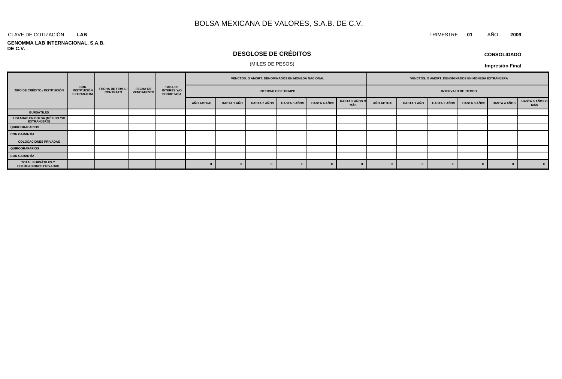#### CLAVE DE COTIZACIÓN TRIMESTRE **01** AÑO **2009 LAB**

#### **GENOMMA LAB INTERNACIONAL, S.A.B. DE C.V.**

# **DESGLOSE DE CRÉDITOS**

### (MILES DE PESOS)

| <b>CONSOLIDADO</b> |  |
|--------------------|--|
|--------------------|--|

**Impresión Final**

| TIPO DE CRÉDITO / INSTITUCIÓN                       |                                                 |                                            | <b>FECHA DE</b><br><b>VENCIMIENTO</b> |  | VENCTOS. O AMORT. DENOMINADOS EN MONEDA NACIONAL |                    |                     |                     |                            |                              |            |                    | VENCTOS. O AMORT. DENOMINADOS EN MONEDA EXTRANJERA |                            |                     |                               |
|-----------------------------------------------------|-------------------------------------------------|--------------------------------------------|---------------------------------------|--|--------------------------------------------------|--------------------|---------------------|---------------------|----------------------------|------------------------------|------------|--------------------|----------------------------------------------------|----------------------------|---------------------|-------------------------------|
|                                                     | <b>CON<br/>INSTITUCIÓN</b><br><b>EXTRANJERA</b> | <b>FECHA DE FIRMA /</b><br><b>CONTRATO</b> |                                       |  | TASA DE<br>INTERÉS Y/O<br><b>SOBRETASA</b>       |                    |                     |                     | <b>INTERVALO DE TIEMPO</b> |                              |            |                    |                                                    | <b>INTERVALO DE TIEMPO</b> |                     |                               |
|                                                     |                                                 |                                            |                                       |  | <b>AÑO ACTUAL</b>                                | <b>HASTA 1 AÑO</b> | <b>HASTA 2 AÑOS</b> | <b>HASTA 3 AÑOS</b> | <b>HASTA 4 AÑOS</b>        | <b>HASTA 5 AÑOS O</b><br>MÁS | AÑO ACTUAL | <b>HASTA 1 AÑO</b> | <b>HASTA 2 AÑOS</b>                                | <b>HASTA 3 AÑOS</b>        | <b>HASTA 4 AÑOS</b> | <b>HASTA 5 AÑOS O<br/>MÁS</b> |
| <b>BURSÁTILES</b>                                   |                                                 |                                            |                                       |  |                                                  |                    |                     |                     |                            |                              |            |                    |                                                    |                            |                     |                               |
| <b>LISTADAS EN BOLSA (MÉXICO Y/O</b><br>EXTRANJERO) |                                                 |                                            |                                       |  |                                                  |                    |                     |                     |                            |                              |            |                    |                                                    |                            |                     |                               |
| <b>QUIROGRAFARIOS</b>                               |                                                 |                                            |                                       |  |                                                  |                    |                     |                     |                            |                              |            |                    |                                                    |                            |                     |                               |
| <b>CON GARANTÍA</b>                                 |                                                 |                                            |                                       |  |                                                  |                    |                     |                     |                            |                              |            |                    |                                                    |                            |                     |                               |
| <b>COLOCACIONES PRIVADAS</b>                        |                                                 |                                            |                                       |  |                                                  |                    |                     |                     |                            |                              |            |                    |                                                    |                            |                     |                               |
| QUIROGRAFARIOS                                      |                                                 |                                            |                                       |  |                                                  |                    |                     |                     |                            |                              |            |                    |                                                    |                            |                     |                               |
| <b>CON GARANTÍA</b>                                 |                                                 |                                            |                                       |  |                                                  |                    |                     |                     |                            |                              |            |                    |                                                    |                            |                     |                               |
| TOTAL BURSÁTILES Y<br><b>COLOCACIONES PRIVADAS</b>  |                                                 |                                            |                                       |  |                                                  |                    |                     |                     |                            |                              |            |                    |                                                    |                            |                     | $\mathbf{0}$                  |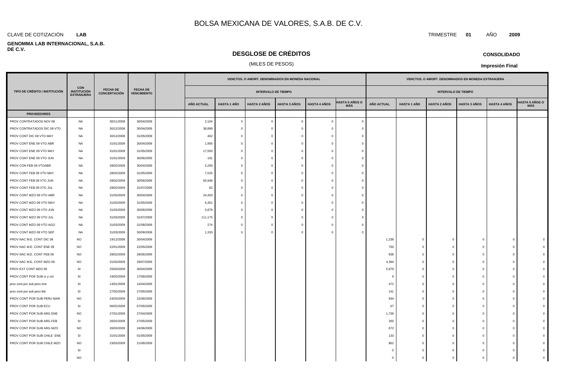#### **LAB**

#### **GENOMMA LAB INTERNACIONAL, S.A.B. DE C.V.**

## **DESGLOSE DE CRÉDITOS**

### (MILES DE PESOS)

|                               |                                                       |                                        |                                       |                   |                    | VENCTOS. O AMORT. DENOMINADOS EN MONEDA NACIONAL |                     |                     |                              |                            |                    | VENCTOS. O AMORT. DENOMINADOS EN MONEDA EXTRANJERA |                     |                     |                              |  |  |  |
|-------------------------------|-------------------------------------------------------|----------------------------------------|---------------------------------------|-------------------|--------------------|--------------------------------------------------|---------------------|---------------------|------------------------------|----------------------------|--------------------|----------------------------------------------------|---------------------|---------------------|------------------------------|--|--|--|
| TIPO DE CRÉDITO / INSTITUCIÓN | <b>CON</b><br><b>INSTITUCIÓN</b><br><b>EXTRANJERA</b> | <b>FECHA DE</b><br><b>CONCERTACIÓN</b> | <b>FECHA DE</b><br><b>VENCIMIENTO</b> |                   |                    | <b>INTERVALO DE TIEMPO</b>                       |                     |                     |                              | <b>INTERVALO DE TIEMPO</b> |                    |                                                    |                     |                     |                              |  |  |  |
|                               |                                                       |                                        |                                       | <b>AÑO ACTUAL</b> | <b>HASTA 1 AÑO</b> | <b>HASTA 2 AÑOS</b>                              | <b>HASTA 3 AÑOS</b> | <b>HASTA 4 AÑOS</b> | <b>HASTA 5 AÑOS O</b><br>MÁS | <b>AÑO ACTUAL</b>          | <b>HASTA 1 AÑO</b> | <b>HASTA 2 AÑOS</b>                                | <b>HASTA 3 AÑOS</b> | <b>HASTA 4 AÑOS</b> | <b>IASTA 5 AÑOS O</b><br>MÁS |  |  |  |
| <b>PROVEEDORES</b>            |                                                       |                                        |                                       |                   |                    |                                                  |                     |                     |                              |                            |                    |                                                    |                     |                     |                              |  |  |  |
| PROV CONTRATADOS NOV 08       | <b>NA</b>                                             | 30/11/2008                             | 30/04/2009                            | 2,104             | $\overline{0}$     | $\overline{0}$                                   | $\Omega$            | $\mathbf{0}$        | $\Omega$                     |                            |                    |                                                    |                     |                     |                              |  |  |  |
| PROV CONTRATADOS DIC 08 VTO   | NA                                                    | 30/12/2008                             | 30/04/2009                            | 38,899            |                    | $\overline{0}$                                   |                     | $\mathbf{0}$        |                              |                            |                    |                                                    |                     |                     |                              |  |  |  |
| PROV CONT DIC 08 VTO MAY      | NA                                                    | 30/12/2008                             | 31/05/2009                            | 462               | $\Omega$           | $\overline{0}$                                   |                     | $\Omega$            |                              |                            |                    |                                                    |                     |                     |                              |  |  |  |
| PROV CONT ENE 09 VTO ABR      | NA                                                    | 31/01/2009                             | 30/04/2009                            | 1,950             | $\Omega$           | $\overline{0}$                                   | $\Omega$            | $\mathbf 0$         |                              |                            |                    |                                                    |                     |                     |                              |  |  |  |
| PROV CONT ENE 09 VTO MAY      | NA                                                    | 31/01/2009                             | 31/05/2009                            | 17,593            | $\bigcap$          | $\overline{0}$                                   | $\Omega$            | $\mathbf{0}$        |                              |                            |                    |                                                    |                     |                     |                              |  |  |  |
| PROV CONT ENE 09 VTO JUN      | NA                                                    | 31/01/2009                             | 30/06/2009                            | 191               | $\Omega$           | $\overline{0}$                                   | $\Omega$            | $\mathbf{0}$        |                              |                            |                    |                                                    |                     |                     |                              |  |  |  |
| PROV CON FEB 09 VTOABR        | NA                                                    | 28/02/2009                             | 30/04/2009                            | 5,293             | $\bigcap$          | $\overline{0}$                                   | $\sqrt{ }$          | $\Omega$            |                              |                            |                    |                                                    |                     |                     |                              |  |  |  |
| PROV CONT FEB 09 VTO MAY      | NA                                                    | 28/02/2009                             | 31/05/2009                            | 7,525             | $\Omega$           | $\overline{0}$                                   | $\Omega$            | $\overline{0}$      |                              |                            |                    |                                                    |                     |                     |                              |  |  |  |
| PROV CONT FEB 09 VTO JUN      | NA                                                    | 28/02/2009                             | 30/06/2009                            | 65,948            |                    | $\overline{0}$                                   | $\Omega$            | $\Omega$            |                              |                            |                    |                                                    |                     |                     |                              |  |  |  |
| PROV CONT FEB 09 VTO JUL      | NA                                                    | 28/02/2009                             | 31/07/2009                            | 62                |                    | $\overline{0}$                                   |                     | $\Omega$            |                              |                            |                    |                                                    |                     |                     |                              |  |  |  |
| PROV CONT MZO 09 VTO ABR      | NA                                                    | 31/03/2009                             | 30/04/2009                            | 24,453            | $\Omega$           | $\overline{0}$                                   | $\Omega$            | $\Omega$            |                              |                            |                    |                                                    |                     |                     |                              |  |  |  |
| PROV CONT MZO 09 VTO MAY      | NA                                                    | 31/03/2009                             | 31/05/2009                            | 6,301             | $\Omega$           | $\overline{0}$                                   | $\Omega$            | $\mathbf{0}$        |                              |                            |                    |                                                    |                     |                     |                              |  |  |  |
| PROV CONT MZO 09 VTO JUN      | <b>NA</b>                                             | 31/03/2009                             | 30/06/2009                            | 5,879             | $\Omega$           | $\overline{0}$                                   | $\Omega$            | $\overline{0}$      |                              |                            |                    |                                                    |                     |                     |                              |  |  |  |
| PROV CONT MZO 09 VTO JUL      | NA                                                    | 31/03/2009                             | 31/07/2009                            | 111,175           | $\Omega$           | $\overline{0}$                                   | $\Omega$            | $\overline{0}$      |                              |                            |                    |                                                    |                     |                     |                              |  |  |  |
| PROV CONT MZO 09 VTO AGO      | NA                                                    | 31/03/2009                             | 31/08/2009                            | 274               | $\Omega$           | $\overline{0}$                                   | $\Omega$            | $\overline{0}$      |                              |                            |                    |                                                    |                     |                     |                              |  |  |  |
| PROV CONT MZO 09 VTO SEP      | NA                                                    | 31/03/2009                             | 30/09/2009                            | 1,333             |                    | $\overline{0}$                                   | $\Omega$            | $\overline{0}$      |                              |                            |                    |                                                    |                     |                     |                              |  |  |  |
| PROV NAC M.E. CONT DIC 08     | <b>NO</b>                                             | 19/12/2008                             | 30/04/2009                            |                   |                    |                                                  |                     |                     |                              | 1,238                      | $^{\circ}$         | $\mathbf 0$                                        | $\sqrt{a}$          | $\mathbf 0$         |                              |  |  |  |
| PROV NAC M.E. CONT ENE 09     | <b>NO</b>                                             | 22/01/2009                             | 22/05/2009                            |                   |                    |                                                  |                     |                     |                              | 750                        | $^{\circ}$         | $\mathbf{0}$                                       | $\Omega$            | $\mathbf 0$         |                              |  |  |  |
| PROV NAC M.E. CONT FEB 09     | <b>NO</b>                                             | 28/02/2009                             | 28/06/2009                            |                   |                    |                                                  |                     |                     |                              | 938                        | $^{\circ}$         | $\mathbf 0$                                        | $\mathbf 0$         | $\mathbf 0$         |                              |  |  |  |
| PROV NAC M.E. CONT MZO 09     | <b>NO</b>                                             | 31/03/2009                             | 29/07/2009                            |                   |                    |                                                  |                     |                     |                              | 4,394                      | $^{\circ}$         | $\mathbf{0}$                                       | $\Omega$            | $\Omega$            |                              |  |  |  |
| PROV EXT CONT MZO 09          | SI                                                    | 25/03/2009                             | 30/04/2009                            |                   |                    |                                                  |                     |                     |                              | 5,879                      | - 0                | $\mathbf{0}$                                       | $\Omega$            | $^{\circ}$          |                              |  |  |  |
| PROV CONT POR SUB cr y col    | SI                                                    | 19/03/2009                             | 17/06/2009                            |                   |                    |                                                  |                     |                     |                              | -9                         | $\Omega$           | $\mathbf{0}$                                       | $\Omega$            | $\Omega$            |                              |  |  |  |
| prov cont por sub peru ene    | <b>SI</b>                                             | 14/01/2009                             | 14/04/2009                            |                   |                    |                                                  |                     |                     |                              | 472                        | $\Omega$           | $\mathbf{0}$                                       | $\Omega$            | $\Omega$            |                              |  |  |  |
| prov cont por sub peru feb    | SI                                                    | 27/02/2009                             | 27/05/2009                            |                   |                    |                                                  |                     |                     |                              | 141                        | $\Omega$           | $\mathbf{0}$                                       | $\Omega$            | $\Omega$            |                              |  |  |  |
| PROV CONT POR SUB PERU MAR    | <b>NO</b>                                             | 24/03/2009                             | 22/06/2009                            |                   |                    |                                                  |                     |                     |                              | 934                        | $^{\circ}$         | $\mathbf{0}$                                       |                     | $\mathbf 0$         |                              |  |  |  |
| PROV CONT POR SUB ECU         | SI                                                    | 06/02/2009                             | 07/05/2009                            |                   |                    |                                                  |                     |                     |                              | 67                         | $\Omega$           | $\mathbf{0}$                                       | $\sqrt{ }$          | $\mathbf 0$         |                              |  |  |  |
| PROV CONT POR SUB ARG ENE     | <b>NO</b>                                             | 27/01/2009                             | 27/04/2009                            |                   |                    |                                                  |                     |                     |                              | 1,739                      | $^{\circ}$         | $\mathbf 0$                                        |                     | $^{\circ}$          |                              |  |  |  |
| PROV CONT POR SUB ARG FEB     | SI                                                    | 26/02/2009                             | 27/05/2009                            |                   |                    |                                                  |                     |                     |                              | 260                        | $\Omega$           | $\mathbf{0}$                                       |                     | $\Omega$            |                              |  |  |  |
| PROV CONT POR SUB ARG MZO     | <b>NO</b>                                             | 26/03/2009                             | 24/06/2009                            |                   |                    |                                                  |                     |                     |                              | 672                        | $\Omega$           | $^{\circ}$                                         |                     | $^{\circ}$          |                              |  |  |  |
| PROV CONT POR SUB CHILE ENE   | SI                                                    | 31/01/2009                             | 01/05/2009                            |                   |                    |                                                  |                     |                     |                              | 133                        | ſ                  | $\Omega$                                           |                     | $\Omega$            |                              |  |  |  |
| PROV CONT POR SUB CHILE MZO   | <b>NO</b>                                             | 23/03/2009                             | 21/06/2009                            |                   |                    |                                                  |                     |                     |                              | 862                        | $\Omega$           | $\mathbf{0}$                                       |                     | $\Omega$            |                              |  |  |  |
|                               | SI                                                    |                                        |                                       |                   |                    |                                                  |                     |                     |                              | $\Omega$                   | $\sqrt{ }$         | $\Omega$                                           |                     | $\Omega$            |                              |  |  |  |

NO 0 0 0 0 0 0

CLAVE DE COTIZACIÓN TRIMESTRE **01** AÑO **2009**

**CONSOLIDADO**

**Impresión Final**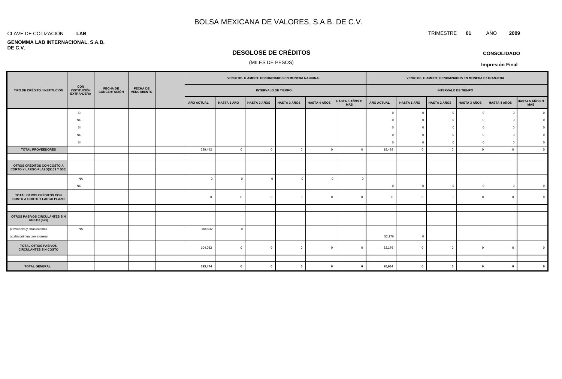### **LAB**

#### **GENOMMA LAB INTERNACIONAL, S.A.B. DE C.V.**

# **DESGLOSE DE CRÉDITOS**

### (MILES DE PESOS)

|                                                                       |                                                |                                 |                                       | VENCTOS. O AMORT. DENOMINADOS EN MONEDA NACIONAL         |                   |                    |                     |                     |                     | VENCTOS. O AMORT. DENOMINADOS EN MONEDA EXTRANJERA |                   |                    |                     |                |                     |                |
|-----------------------------------------------------------------------|------------------------------------------------|---------------------------------|---------------------------------------|----------------------------------------------------------|-------------------|--------------------|---------------------|---------------------|---------------------|----------------------------------------------------|-------------------|--------------------|---------------------|----------------|---------------------|----------------|
| TIPO DE CRÉDITO / INSTITUCIÓN                                         | <b>CON</b><br><b>INSTITUCIÓN</b><br>EXTRANJERA | FECHA DE<br><b>CONCERTACIÓN</b> | <b>FECHA DE</b><br><b>VENCIMIENTO</b> | <b>INTERVALO DE TIEMPO</b><br><b>INTERVALO DE TIEMPO</b> |                   |                    |                     |                     |                     |                                                    |                   |                    |                     |                |                     |                |
|                                                                       |                                                |                                 |                                       |                                                          | <b>AÑO ACTUAL</b> | <b>HASTA 1 AÑO</b> | <b>HASTA 2 AÑOS</b> | <b>HASTA 3 AÑOS</b> | <b>HASTA 4 AÑOS</b> | <b>HASTA 5 AÑOS O<br/>MÁS</b>                      | <b>AÑO ACTUAL</b> | <b>HASTA 1 AÑO</b> | <b>HASTA 2 AÑOS</b> | HASTA 3 AÑOS   | <b>HASTA 4 AÑOS</b> | HASTA 5 AÑOS O |
|                                                                       | SI                                             |                                 |                                       |                                                          |                   |                    |                     |                     |                     |                                                    | - 0               | $\mathbf{0}$       |                     | $\Omega$       |                     |                |
|                                                                       | <b>NO</b>                                      |                                 |                                       |                                                          |                   |                    |                     |                     |                     |                                                    |                   | $\Omega$           |                     |                |                     |                |
|                                                                       | SI                                             |                                 |                                       |                                                          |                   |                    |                     |                     |                     |                                                    |                   | $\Omega$           |                     |                |                     |                |
|                                                                       | <b>NO</b>                                      |                                 |                                       |                                                          |                   |                    |                     |                     |                     |                                                    |                   | $\Omega$           |                     |                |                     |                |
|                                                                       | <b>SI</b>                                      |                                 |                                       |                                                          |                   |                    |                     |                     |                     |                                                    | -C                | $\Omega$           |                     | $\Omega$       |                     |                |
| <b>TOTAL PROVEEDORES</b>                                              |                                                |                                 |                                       | 289,442                                                  | $\circ$           | $\overline{0}$     | $\Omega$            | $\mathbf{0}$        | $\overline{0}$      | 18,488                                             | $\Omega$          | $\Omega$           | $\overline{0}$      | $\mathbf{0}$   |                     |                |
|                                                                       |                                                |                                 |                                       |                                                          |                   |                    |                     |                     |                     |                                                    |                   |                    |                     |                |                     |                |
| OTROS CRÉDITOS CON COSTO A<br>CORTO Y LARGO PLAZO(S103 Y S30)         |                                                |                                 |                                       |                                                          |                   |                    |                     |                     |                     |                                                    |                   |                    |                     |                |                     |                |
|                                                                       | NA                                             |                                 |                                       | $\Omega$                                                 | $\Omega$          | $\overline{0}$     | $\Omega$            | $\overline{0}$      |                     |                                                    |                   |                    |                     |                |                     |                |
|                                                                       | <b>NO</b>                                      |                                 |                                       |                                                          |                   |                    |                     |                     |                     | $\Omega$                                           | $\Omega$          | $\mathbf{0}$       |                     | $\overline{0}$ |                     |                |
| <b>TOTAL OTROS CRÉDITOS CON</b><br><b>COSTO A CORTO Y LARGO PLAZO</b> |                                                |                                 |                                       | $\overline{0}$                                           | $\Omega$          | $\overline{0}$     | $\Omega$            | $\overline{0}$      | $\overline{0}$      | $\Omega$                                           | $\Omega$          | $\mathbf{0}$       | $\overline{0}$      | $\overline{0}$ |                     |                |
|                                                                       |                                                |                                 |                                       |                                                          |                   |                    |                     |                     |                     |                                                    |                   |                    |                     |                |                     |                |
| OTROS PASIVOS CIRCULANTES SIN<br><b>COSTO (S26)</b>                   |                                                |                                 |                                       |                                                          |                   |                    |                     |                     |                     |                                                    |                   |                    |                     |                |                     |                |
| provisiones y otras cuentas                                           | NA                                             |                                 |                                       | 104,032                                                  | $\Omega$          |                    |                     |                     |                     |                                                    |                   |                    |                     |                |                     |                |
| op.discontinua, provisionesy                                          |                                                |                                 |                                       |                                                          |                   |                    |                     |                     |                     | 52,176                                             | $\Omega$          |                    |                     |                |                     |                |
| <b>TOTAL OTROS PASIVOS</b><br><b>CIRCULANTES SIN COSTO</b>            |                                                |                                 |                                       | 104,032                                                  | $\Omega$          | $\overline{0}$     | $\Omega$            | $\mathbf{0}$        |                     | 52,176                                             |                   | $\Omega$           | $\Omega$            | $\overline{0}$ |                     |                |
|                                                                       |                                                |                                 |                                       |                                                          |                   |                    |                     |                     |                     |                                                    |                   |                    |                     |                |                     |                |
| <b>TOTAL GENERAL</b>                                                  |                                                |                                 |                                       | 393,474                                                  | $\mathbf{0}$      | $\mathbf{0}$       | $\mathbf{0}$        | $\mathbf 0$         | $\mathbf{0}$        | 70,664                                             | $\mathbf 0$       | $\mathbf{0}$       | $\mathbf{0}$        | $\mathbf{0}$   |                     |                |

### CLAVE DE COTIZACIÓN TRIMESTRE **01** AÑO **2009**

**CONSOLIDADO Impresión Final**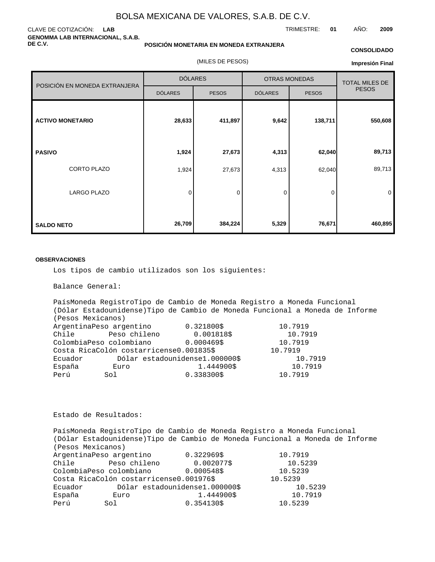### CLAVE DE COTIZACIÓN: **LAB GENOMMA LAB INTERNACIONAL, S.A.B. DE C.V.**

### **POSICIÓN MONETARIA EN MONEDA EXTRANJERA**

(MILES DE PESOS)

#### **CONSOLIDADO**

TRIMESTRE: **01** AÑO: **2009**

**Impresión Final**

|                               | <b>DÓLARES</b> |              | <b>OTRAS MONEDAS</b> |              | <b>TOTAL MILES DE</b> |  |
|-------------------------------|----------------|--------------|----------------------|--------------|-----------------------|--|
| POSICIÓN EN MONEDA EXTRANJERA | <b>DÓLARES</b> | <b>PESOS</b> | <b>DÓLARES</b>       | <b>PESOS</b> | <b>PESOS</b>          |  |
| <b>ACTIVO MONETARIO</b>       | 28,633         | 411,897      | 9,642                | 138,711      | 550,608               |  |
| <b>PASIVO</b>                 | 1,924          | 27,673       | 4,313                | 62,040       | 89,713                |  |
| CORTO PLAZO                   | 1,924          | 27,673       | 4,313                | 62,040       | 89,713                |  |
| <b>LARGO PLAZO</b>            | 0              | 0            | 0                    | 0            | 0                     |  |
| <b>SALDO NETO</b>             | 26,709         | 384,224      | 5,329                | 76,671       | 460,895               |  |

#### **OBSERVACIONES**

Los tipos de cambio utilizados son los siguientes:

Balance General:

País Moneda Registro Tipo de Cambio de Moneda Registro a Moneda Funcional (Dólar Estadounidense) Tipo de Cambio de Moneda Funcional a Moneda de Informe (Pesos Mexicanos) Argentina Peso argentino  $0.321800 \text{ }$ \$ 10.7919 Chile Peso chileno 0.001818 \$ 10.7919 Colombia Peso colombiano  $0.000469 \text{ }$ \$ 10.7919 Costa Rica Colón costarricense 0.001835 \$ 10.7919 Ecuador Dólar estadounidense 1.000000 \$ 10.7919 España Euro 1.444900 \$ 10.7919 Perú Sol  $\begin{array}{ccc} 0.338300 & 5 & 10.7919 \end{array}$ 

Estado de Resultados:

País Moneda Registro Tipo de Cambio de Moneda Registro a Moneda Funcional (Dólar Estadounidense) Tipo de Cambio de Moneda Funcional a Moneda de Informe (Pesos Mexicanos) Argentina Peso argentino  $0.322969$  \$ 10.7919 Chile Peso chileno 0.002077 \$ 10.5239 Colombia Peso colombiano  $0.000548 \xi$  10.5239 Costa Rica Colón costarricense 0.001976 \$ 10.5239 Ecuador Dólar estadounidense 1.000000 \$ 10.5239 España Euro Perú Sol (1.5239)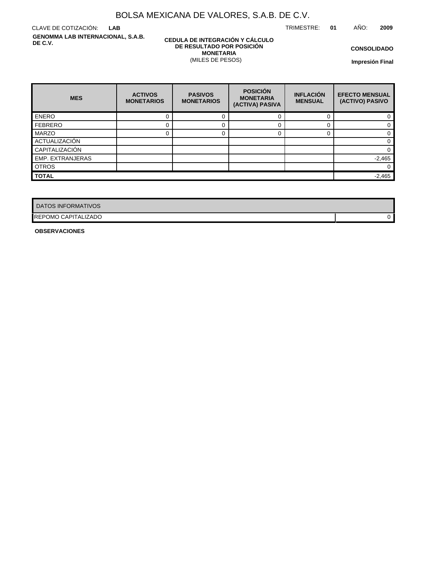TRIMESTRE: **01** AÑO: **2009**

CLAVE DE COTIZACIÓN: **LAB GENOMMA LAB INTERNACIONAL, S.A.B. DE C.V.**

### **CEDULA DE INTEGRACIÓN Y CÁLCULO DE RESULTADO POR POSICIÓN MONETARIA** (MILES DE PESOS)

**CONSOLIDADO**

**Impresión Final**

| <b>MES</b>              | <b>ACTIVOS</b><br><b>MONETARIOS</b> | <b>PASIVOS</b><br><b>MONETARIOS</b> | <b>POSICIÓN</b><br><b>MONETARIA</b><br>(ACTIVA) PASIVA | <b>INFLACIÓN</b><br><b>MENSUAL</b> | <b>EFECTO MENSUAL</b><br>(ACTIVO) PASIVO |
|-------------------------|-------------------------------------|-------------------------------------|--------------------------------------------------------|------------------------------------|------------------------------------------|
| <b>ENERO</b>            | 0                                   |                                     |                                                        |                                    |                                          |
| <b>FEBRERO</b>          |                                     |                                     |                                                        |                                    |                                          |
| MARZO                   |                                     |                                     |                                                        |                                    |                                          |
| ACTUALIZACIÓN           |                                     |                                     |                                                        |                                    | 0                                        |
| CAPITALIZACIÓN          |                                     |                                     |                                                        |                                    |                                          |
| <b>EMP. EXTRANJERAS</b> |                                     |                                     |                                                        |                                    | $-2,465$                                 |
| <b>OTROS</b>            |                                     |                                     |                                                        |                                    | 0                                        |
| <b>TOTAL</b>            |                                     |                                     |                                                        |                                    | $-2,465$                                 |

| DATOS INFORMATIVOS         |   |
|----------------------------|---|
| <b>REPOMO CAPITALIZADO</b> | 0 |

**OBSERVACIONES**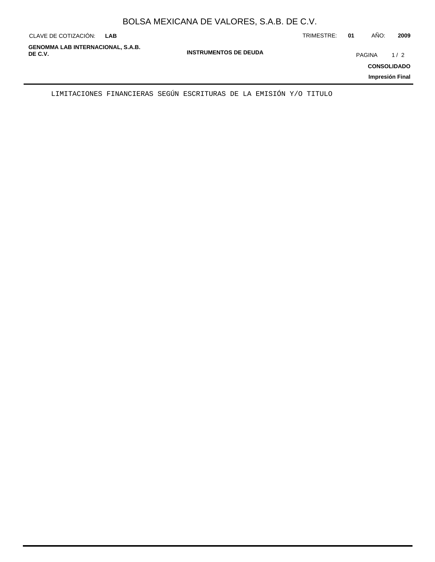|  | BOLSA MEXICANA DE VALORES, S.A.B. DE C.V. |  |
|--|-------------------------------------------|--|
|--|-------------------------------------------|--|

| CLAVE DE COTIZACIÓN:<br><b>LAB</b>                  |                              | TRIMESTRE: | 01 | AÑO:          | 2009                                         |
|-----------------------------------------------------|------------------------------|------------|----|---------------|----------------------------------------------|
| <b>GENOMMA LAB INTERNACIONAL, S.A.B.</b><br>DE C.V. | <b>INSTRUMENTOS DE DEUDA</b> |            |    | <b>PAGINA</b> | 1/2<br><b>CONSOLIDADO</b><br>Impresión Final |
|                                                     |                              |            |    |               |                                              |

LIMITACIONES FINANCIERAS SEGÚN ESCRITURAS DE LA EMISIÓN Y/O TITULO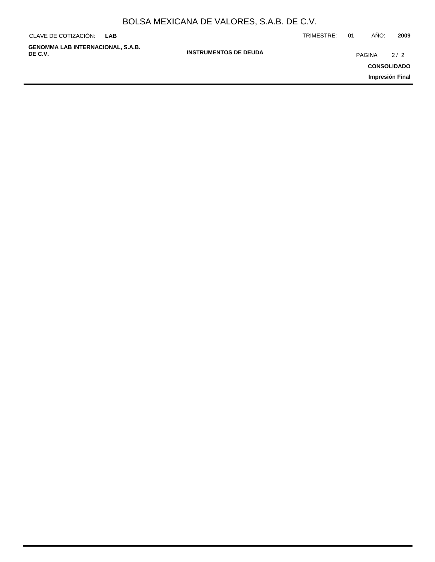| CLAVE DE COTIZACIÓN:                                | <b>LAB</b> |                              | TRIMESTRE: | 01     | AÑO: | 2009               |
|-----------------------------------------------------|------------|------------------------------|------------|--------|------|--------------------|
| <b>GENOMMA LAB INTERNACIONAL, S.A.B.</b><br>DE C.V. |            | <b>INSTRUMENTOS DE DEUDA</b> |            | PAGINA |      | 2/2                |
|                                                     |            |                              |            |        |      | <b>CONSOLIDADO</b> |
|                                                     |            |                              |            |        |      | Impresión Final    |
|                                                     |            |                              |            |        |      |                    |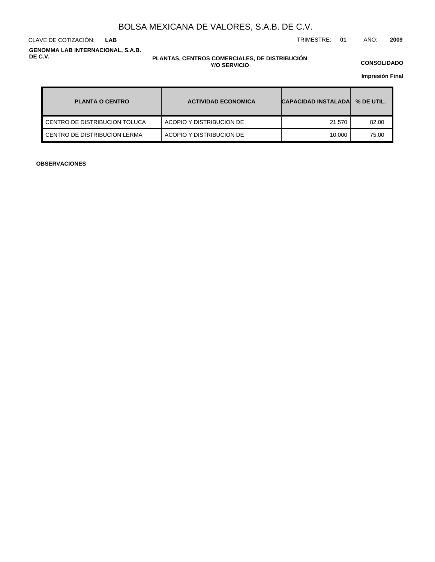CLAVE DE COTIZACIÓN: TRIMESTRE: **01** AÑO: **2009 LAB**

**GENOMMA LAB INTERNACIONAL, S.A.B. DE C.V.**

#### **PLANTAS, CENTROS COMERCIALES, DE DISTRIBUCIÓN Y/O SERVICIO**

**CONSOLIDADO**

**Impresión Final**

| <b>PLANTA O CENTRO</b>          | <b>ACTIVIDAD ECONOMICA</b> | <b>CAPACIDAD INSTALADA</b> | % DE UTIL. |
|---------------------------------|----------------------------|----------------------------|------------|
| I CENTRO DE DISTRIBUCION TOLUCA | ACOPIO Y DISTRIBUCION DE   | 21.570                     | 82.00      |
| CENTRO DE DISTRIBUCION LERMA    | ACOPIO Y DISTRIBUCION DE   | 10.000                     | 75.00      |

**OBSERVACIONES**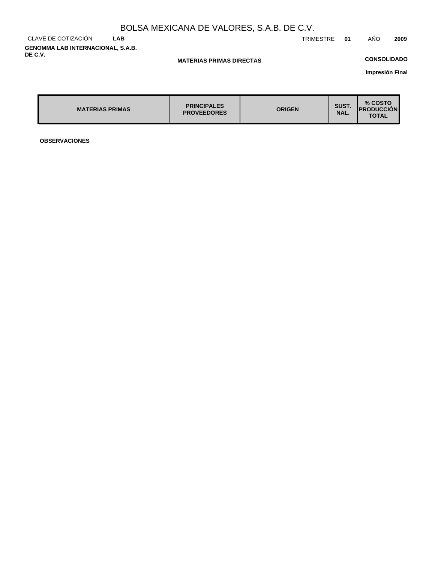CLAVE DE COTIZACIÓN **LAB GENOMMA LAB INTERNACIONAL, S.A.B. DE C.V.**

TRIMESTRE **01** AÑO **2009**

### **MATERIAS PRIMAS DIRECTAS**

## **CONSOLIDADO**

**Impresión Final**

| <b>MATERIAS PRIMAS</b> | <b>PRINCIPALES</b><br><b>PROVEEDORES</b> | <b>ORIGEN</b> | SUST.<br>NAL. | % COSTO<br><b>IPRODUCCION</b><br><b>TOTAL</b> |
|------------------------|------------------------------------------|---------------|---------------|-----------------------------------------------|
|                        |                                          |               |               |                                               |

**OBSERVACIONES**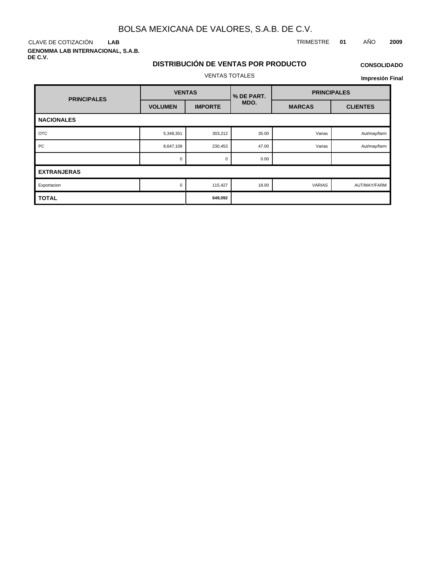CLAVE DE COTIZACIÓN TRIMESTRE **01** AÑO **2009 LAB**

**GENOMMA LAB INTERNACIONAL, S.A.B. DE C.V.**

### **CONSOLIDADO**

## VENTAS TOTALES

**DISTRIBUCIÓN DE VENTAS POR PRODUCTO**

### **Impresión Final**

| <b>PRINCIPALES</b> | <b>VENTAS</b>  |                | % DE PART. | <b>PRINCIPALES</b> |                 |
|--------------------|----------------|----------------|------------|--------------------|-----------------|
|                    | <b>VOLUMEN</b> | <b>IMPORTE</b> | MDO.       | <b>MARCAS</b>      | <b>CLIENTES</b> |
| <b>NACIONALES</b>  |                |                |            |                    |                 |
| <b>OTC</b>         | 5,348,351      | 303,212        | 35.00      | Varias             | Aut/may/farm    |
| PC                 | 8,647,109      | 230,453        | 47.00      | Varias             | Aut/may/farm    |
|                    | $\Omega$       | $\mathbf 0$    | 0.00       |                    |                 |
| <b>EXTRANJERAS</b> |                |                |            |                    |                 |
| Exportacion        | 0              | 115,427        | 18.00      | <b>VARIAS</b>      | AUT/MAY/FARM    |
| <b>TOTAL</b>       |                | 649,092        |            |                    |                 |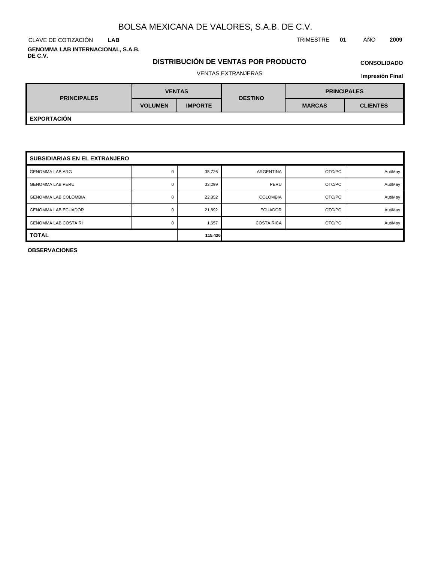CLAVE DE COTIZACIÓN TRIMESTRE **01** AÑO **2009 LAB**

**GENOMMA LAB INTERNACIONAL, S.A.B. DE C.V.**

## **DISTRIBUCIÓN DE VENTAS POR PRODUCTO**

# **CONSOLIDADO**

### VENTAS EXTRANJERAS

**Impresión Final**

| <b>PRINCIPALES</b> |                | <b>VENTAS</b>  | <b>DESTINO</b> | <b>PRINCIPALES</b> |                 |  |
|--------------------|----------------|----------------|----------------|--------------------|-----------------|--|
|                    | <b>VOLUMEN</b> | <b>IMPORTE</b> |                | <b>MARCAS</b>      | <b>CLIENTES</b> |  |
| <b>EXPORTACIÓN</b> |                |                |                |                    |                 |  |

| <b>SUBSIDIARIAS EN EL EXTRANJERO</b> |   |         |                   |        |         |  |
|--------------------------------------|---|---------|-------------------|--------|---------|--|
| <b>GENOMMA LAB ARG</b>               | 0 | 35,726  | ARGENTINA         | OTC/PC | Aut/May |  |
| <b>GENOMMA LAB PERU</b>              | O | 33,299  | PERU              | OTC/PC | Aut/May |  |
| <b>GENOMMA LAB COLOMBIA</b>          | 0 | 22,852  | <b>COLOMBIA</b>   | OTC/PC | Aut/May |  |
| <b>GENOMMA LAB ECUADOR</b>           | 0 | 21,892  | <b>ECUADOR</b>    | OTC/PC | Aut/May |  |
| <b>GENOMMA LAB COSTA RI</b>          |   | 1,657   | <b>COSTA RICA</b> | OTC/PC | Aut/May |  |
| <b>TOTAL</b>                         |   | 115,426 |                   |        |         |  |

**OBSERVACIONES**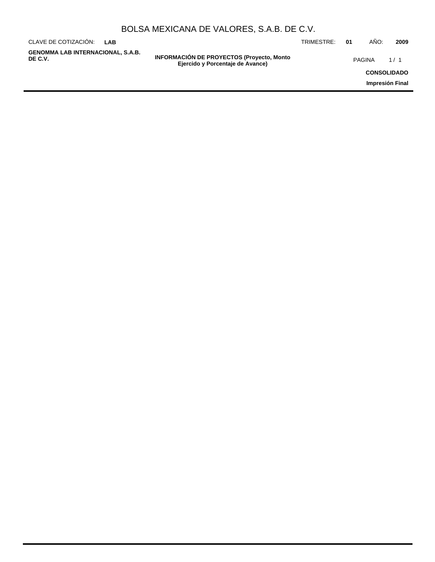| BOLSA MEXICANA DE VALORES, S.A.B. DE C.V. |  |  |  |
|-------------------------------------------|--|--|--|
|-------------------------------------------|--|--|--|

| CLAVE DE COTIZACIÓN:<br>LAB                  |                                                                                      | TRIMESTRE: | 01                 | AÑO:   | 2009            |
|----------------------------------------------|--------------------------------------------------------------------------------------|------------|--------------------|--------|-----------------|
| GENOMMA LAB INTERNACIONAL, S.A.B.<br>DE C.V. | <b>INFORMACIÓN DE PROYECTOS (Proyecto, Monto</b><br>Ejercido y Porcentaje de Avance) |            |                    | PAGINA | 1/1             |
|                                              |                                                                                      |            | <b>CONSOLIDADO</b> |        |                 |
|                                              |                                                                                      |            |                    |        | Impresión Final |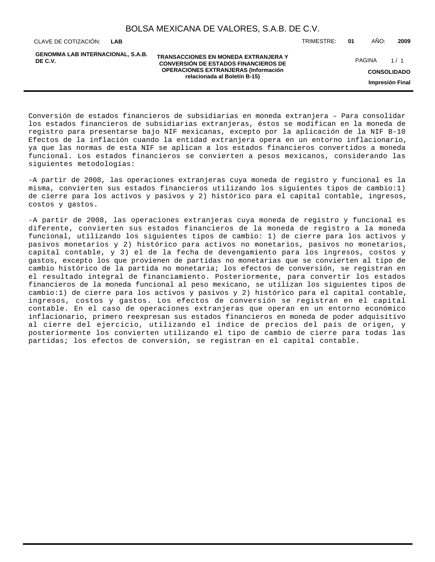**GENOMMA LAB INTERNACIONAL, S.A.B. DE C.V.**

**TRANSACCIONES EN MONEDA EXTRANJERA Y CONVERSIÓN DE ESTADOS FINANCIEROS DE OPERACIONES EXTRANJERAS (Información relacionada al Boletín B-15)**

CLAVE DE COTIZACIÓN: TRIMESTRE: **01** AÑO: **2009**

PAGINA 1/1

**CONSOLIDADO**

**Impresión Final**

Conversión de estados financieros de subsidiarias en moneda extranjera – Para consolidar los estados financieros de subsidiarias extranjeras, éstos se modifican en la moneda de registro para presentarse bajo NIF mexicanas, excepto por la aplicación de la NIF B-10 Efectos de la inflación cuando la entidad extranjera opera en un entorno inflacionario, ya que las normas de esta NIF se aplican a los estados financieros convertidos a moneda funcional. Los estados financieros se convierten a pesos mexicanos, considerando las siguientes metodologías:

- A partir de 2008, las operaciones extranjeras cuya moneda de registro y funcional es la misma, convierten sus estados financieros utilizando los siguientes tipos de cambio:1) de cierre para los activos y pasivos y 2) histórico para el capital contable, ingresos, costos y gastos.

- A partir de 2008, las operaciones extranjeras cuya moneda de registro y funcional es diferente, convierten sus estados financieros de la moneda de registro a la moneda funcional, utilizando los siguientes tipos de cambio: 1) de cierre para los activos y pasivos monetarios y 2) histórico para activos no monetarios, pasivos no monetarios, capital contable, y 3) el de la fecha de devengamiento para los ingresos, costos y gastos, excepto los que provienen de partidas no monetarias que se convierten al tipo de cambio histórico de la partida no monetaria; los efectos de conversión, se registran en el resultado integral de financiamiento. Posteriormente, para convertir los estados financieros de la moneda funcional al peso mexicano, se utilizan los siguientes tipos de cambio:1) de cierre para los activos y pasivos y 2) histórico para el capital contable, ingresos, costos y gastos. Los efectos de conversión se registran en el capital contable. En el caso de operaciones extranjeras que operan en un entorno económico inflacionario, primero reexpresan sus estados financieros en moneda de poder adquisitivo al cierre del ejercicio, utilizando el índice de precios del país de origen, y posteriormente los convierten utilizando el tipo de cambio de cierre para todas las partidas; los efectos de conversión, se registran en el capital contable.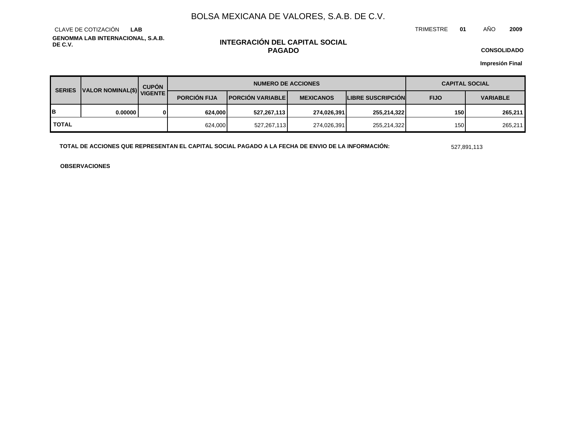TRIMESTRE **01** AÑO **2009**

**GENOMMA LAB INTERNACIONAL, S.A.B. DE C.V.** CLAVE DE COTIZACIÓN **LAB**

### **INTEGRACIÓN DEL CAPITAL SOCIAL PAGADO**

**CONSOLIDADO**

**Impresión Final**

| <b>SERIES</b> | VALOR NOMINAL(\$) VIGENTE | <b>CUPÓN</b> | <b>NUMERO DE ACCIONES</b> |                          |                  | <b>CAPITAL SOCIAL</b>    |             |                 |
|---------------|---------------------------|--------------|---------------------------|--------------------------|------------------|--------------------------|-------------|-----------------|
|               |                           |              | <b>PORCION FIJA</b>       | <b>PORCIÓN VARIABLEI</b> | <b>MEXICANOS</b> | <b>LIBRE SUSCRIPCION</b> | <b>FIJO</b> | <b>VARIABLE</b> |
| в             | 0.00000                   |              | 624,000                   | 527,267,113              | 274,026,391      | 255,214,322              | 150         | 265,211         |
| <b>TOTAL</b>  |                           |              | 624,000                   | 527,267,113              | 274.026.391      | 255,214,322              | 150         | 265,211         |

**TOTAL DE ACCIONES QUE REPRESENTAN EL CAPITAL SOCIAL PAGADO A LA FECHA DE ENVIO DE LA INFORMACIÓN:** 527,891,113

**OBSERVACIONES**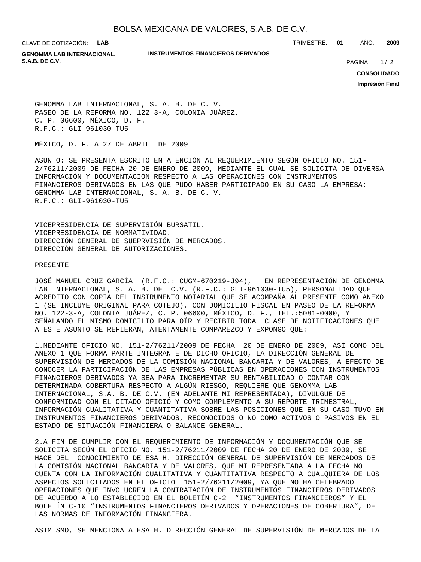CLAVE DE COTIZACIÓN: **LAB**

**INSTRUMENTOS FINANCIEROS DERIVADOS**

TRIMESTRE: **01** AÑO: **2009**

**GENOMMA LAB INTERNACIONAL, S.A.B. DE C.V. PAGINA 2020 20:20 20:20 20:20 20:20 20:20 20:20 20:20 20:20 20:20 20:20 20:20 20:20 20:20 20:20 20:20 20:20 20:20 20:20 20:20 20:20 20:20 20:20 20:20 20:20 20:20 20:20 20:20 20:20 20:20 20:20 20:20 20:20** 

 $1/2$ 

**CONSOLIDADO**

**Impresión Final**

GENOMMA LAB INTERNACIONAL, S. A. B. DE C. V. PASEO DE LA REFORMA NO. 122 3-A, COLONIA JUÁREZ, C. P. 06600, MÉXICO, D. F. R.F.C.: GLI-961030-TU5

MÉXICO, D. F. A 27 DE ABRIL DE 2009

ASUNTO: SE PRESENTA ESCRITO EN ATENCIÓN AL REQUERIMIENTO SEGÚN OFICIO NO. 151- 2/76211/2009 DE FECHA 20 DE ENERO DE 2009, MEDIANTE EL CUAL SE SOLICITA DE DIVERSA INFORMACIÓN Y DOCUMENTACIÓN RESPECTO A LAS OPERACIONES CON INSTRUMENTOS FINANCIEROS DERIVADOS EN LAS QUE PUDO HABER PARTICIPADO EN SU CASO LA EMPRESA: GENOMMA LAB INTERNACIONAL, S. A. B. DE C. V. R.F.C.: GLI-961030-TU5

VICEPRESIDENCIA DE SUPERVISIÓN BURSATIL. VICEPRESIDENCIA DE NORMATIVIDAD. DIRECCIÓN GENERAL DE SUEPRVISIÓN DE MERCADOS. DIRECCIÓN GENERAL DE AUTORIZACIONES.

#### PRESENTE

JOSÉ MANUEL CRUZ GARCÍA (R.F.C.: CUGM-670219-J94), EN REPRESENTACIÓN DE GENOMMA LAB INTERNACIONAL, S. A. B. DE C.V. (R.F.C.: GLI-961030-TU5), PERSONALIDAD QUE ACREDITO CON COPIA DEL INSTRUMENTO NOTARIAL QUE SE ACOMPAÑA AL PRESENTE COMO ANEXO 1 (SE INCLUYE ORIGINAL PARA COTEJO), CON DOMICILIO FISCAL EN PASEO DE LA REFORMA NO. 122-3-A, COLONIA JUÁREZ, C. P. 06600, MÉXICO, D. F., TEL.:5081-0000, Y SEÑALANDO EL MISMO DOMICILIO PARA OÍR Y RECIBIR TODA CLASE DE NOTIFICACIONES QUE A ESTE ASUNTO SE REFIERAN, ATENTAMENTE COMPAREZCO Y EXPONGO QUE:

1. MEDIANTE OFICIO NO. 151-2/76211/2009 DE FECHA 20 DE ENERO DE 2009, ASÍ COMO DEL ANEXO 1 QUE FORMA PARTE INTEGRANTE DE DICHO OFICIO, LA DIRECCIÓN GENERAL DE SUPERVISIÓN DE MERCADOS DE LA COMISIÓN NACIONAL BANCARIA Y DE VALORES, A EFECTO DE CONOCER LA PARTICIPACIÓN DE LAS EMPRESAS PÚBLICAS EN OPERACIONES CON INSTRUMENTOS FINANCIEROS DERIVADOS YA SEA PARA INCREMENTAR SU RENTABILIDAD O CONTAR CON DETERMINADA COBERTURA RESPECTO A ALGÚN RIESGO, REQUIERE QUE GENOMMA LAB INTERNACIONAL, S.A. B. DE C.V. (EN ADELANTE MI REPRESENTADA), DIVULGUE DE CONFORMIDAD CON EL CITADO OFICIO Y COMO COMPLEMENTO A SU REPORTE TRIMESTRAL, INFORMACIÓN CUALITATIVA Y CUANTITATIVA SOBRE LAS POSICIONES QUE EN SU CASO TUVO EN INSTRUMENTOS FINANCIEROS DERIVADOS, RECONOCIDOS O NO COMO ACTIVOS O PASIVOS EN EL ESTADO DE SITUACIÓN FINANCIERA O BALANCE GENERAL.

2. A FIN DE CUMPLIR CON EL REQUERIMIENTO DE INFORMACIÓN Y DOCUMENTACIÓN QUE SE SOLICITA SEGÚN EL OFICIO NO. 151-2/76211/2009 DE FECHA 20 DE ENERO DE 2009, SE HACE DEL CONOCIMIENTO DE ESA H. DIRECCIÓN GENERAL DE SUPERVISIÓN DE MERCADOS DE LA COMISIÓN NACIONAL BANCARIA Y DE VALORES, QUE MI REPRESENTADA A LA FECHA NO CUENTA CON LA INFORMACIÓN CUALITATIVA Y CUANTITATIVA RESPECTO A CUALQUIERA DE LOS ASPECTOS SOLICITADOS EN EL OFICIO 151-2/76211/2009, YA QUE NO HA CELEBRADO OPERACIONES QUE INVOLUCREN LA CONTRATACIÓN DE INSTRUMENTOS FINANCIEROS DERIVADOS DE ACUERDO A LO ESTABLECIDO EN EL BOLETÍN C-2 "INSTRUMENTOS FINANCIEROS" Y EL BOLETÍN C-10 "INSTRUMENTOS FINANCIEROS DERIVADOS Y OPERACIONES DE COBERTURA", DE LAS NORMAS DE INFORMACIÓN FINANCIERA.

ASIMISMO, SE MENCIONA A ESA H. DIRECCIÓN GENERAL DE SUPERVISIÓN DE MERCADOS DE LA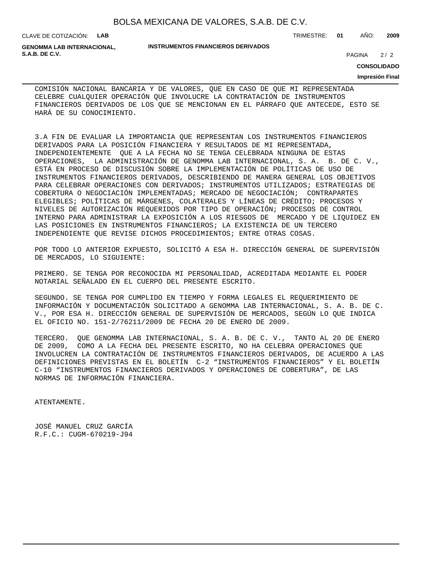CLAVE DE COTIZACIÓN: **LAB**

**GENOMMA LAB INTERNACIONAL, S.A.B. DE C.V.** 2/2

#### **INSTRUMENTOS FINANCIEROS DERIVADOS**

TRIMESTRE: **01** AÑO: **2009**

**CONSOLIDADO**

### **Impresión Final**

 $2/2$ 

COMISIÓN NACIONAL BANCARIA Y DE VALORES, QUE EN CASO DE QUE MI REPRESENTADA CELEBRE CUALQUIER OPERACIÓN QUE INVOLUCRE LA CONTRATACIÓN DE INSTRUMENTOS FINANCIEROS DERIVADOS DE LOS QUE SE MENCIONAN EN EL PÁRRAFO QUE ANTECEDE, ESTO SE HARÁ DE SU CONOCIMIENTO.

3. A FIN DE EVALUAR LA IMPORTANCIA QUE REPRESENTAN LOS INSTRUMENTOS FINANCIEROS DERIVADOS PARA LA POSICIÓN FINANCIERA Y RESULTADOS DE MI REPRESENTADA, INDEPENDIENTEMENTE QUE A LA FECHA NO SE TENGA CELEBRADA NINGUNA DE ESTAS OPERACIONES, LA ADMINISTRACIÓN DE GENOMMA LAB INTERNACIONAL, S. A. B. DE C. V., ESTÁ EN PROCESO DE DISCUSIÓN SOBRE LA IMPLEMENTACIÓN DE POLÍTICAS DE USO DE INSTRUMENTOS FINANCIEROS DERIVADOS, DESCRIBIENDO DE MANERA GENERAL LOS OBJETIVOS PARA CELEBRAR OPERACIONES CON DERIVADOS; INSTRUMENTOS UTILIZADOS; ESTRATEGIAS DE COBERTURA O NEGOCIACIÓN IMPLEMENTADAS; MERCADO DE NEGOCIACIÓN; CONTRAPARTES ELEGIBLES; POLÍTICAS DE MÁRGENES, COLATERALES Y LÍNEAS DE CRÉDITO; PROCESOS Y NIVELES DE AUTORIZACIÓN REQUERIDOS POR TIPO DE OPERACIÓN; PROCESOS DE CONTROL INTERNO PARA ADMINISTRAR LA EXPOSICIÓN A LOS RIESGOS DE MERCADO Y DE LIQUIDEZ EN LAS POSICIONES EN INSTRUMENTOS FINANCIEROS; LA EXISTENCIA DE UN TERCERO INDEPENDIENTE QUE REVISE DICHOS PROCEDIMIENTOS; ENTRE OTRAS COSAS.

POR TODO LO ANTERIOR EXPUESTO, SOLICITÓ A ESA H. DIRECCIÓN GENERAL DE SUPERVISIÓN DE MERCADOS, LO SIGUIENTE:

PRIMERO. SE TENGA POR RECONOCIDA MI PERSONALIDAD, ACREDITADA MEDIANTE EL PODER NOTARIAL SEÑALADO EN EL CUERPO DEL PRESENTE ESCRITO.

SEGUNDO. SE TENGA POR CUMPLIDO EN TIEMPO Y FORMA LEGALES EL REQUERIMIENTO DE INFORMACIÓN Y DOCUMENTACIÓN SOLICITADO A GENOMMA LAB INTERNACIONAL, S. A. B. DE C. V., POR ESA H. DIRECCIÓN GENERAL DE SUPERVISIÓN DE MERCADOS, SEGÚN LO QUE INDICA EL OFICIO NO. 151-2/76211/2009 DE FECHA 20 DE ENERO DE 2009.

TERCERO. QUE GENOMMA LAB INTERNACIONAL, S. A. B. DE C. V., TANTO AL 20 DE ENERO DE 2009, COMO A LA FECHA DEL PRESENTE ESCRITO, NO HA CELEBRA OPERACIONES QUE INVOLUCREN LA CONTRATACIÓN DE INSTRUMENTOS FINANCIEROS DERIVADOS, DE ACUERDO A LAS DEFINICIONES PREVISTAS EN EL BOLETÍN C-2 "INSTRUMENTOS FINANCIEROS" Y EL BOLETÍN C-10 "INSTRUMENTOS FINANCIEROS DERIVADOS Y OPERACIONES DE COBERTURA", DE LAS NORMAS DE INFORMACIÓN FINANCIERA.

ATENTAMENTE.

JOSÉ MANUEL CRUZ GARCÍA R.F.C.: CUGM-670219-J94